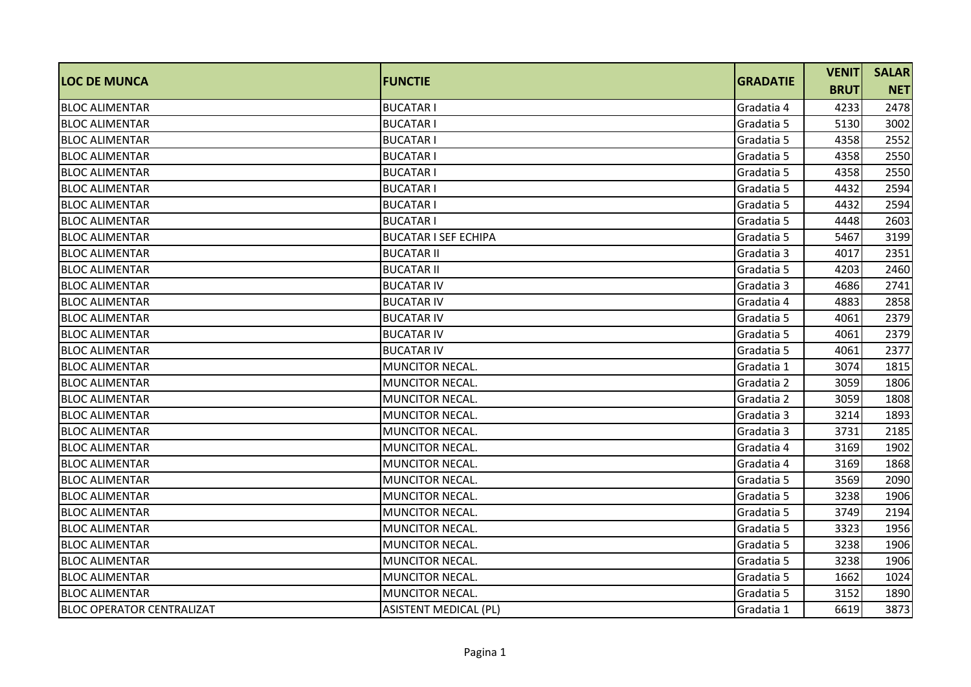| <b>LOC DE MUNCA</b>              | <b>FUNCTIE</b>               | <b>GRADATIE</b> | <b>VENIT</b> | <b>SALAR</b> |
|----------------------------------|------------------------------|-----------------|--------------|--------------|
|                                  |                              |                 | <b>BRUT</b>  | <b>NET</b>   |
| <b>BLOC ALIMENTAR</b>            | <b>BUCATARI</b>              | Gradatia 4      | 4233         | 2478         |
| IBLOC ALIMENTAR                  | <b>BUCATAR I</b>             | Gradatia 5      | 5130         | 3002         |
| <b>BLOC ALIMENTAR</b>            | <b>BUCATARI</b>              | Gradatia 5      | 4358         | 2552         |
| <b>BLOC ALIMENTAR</b>            | <b>BUCATAR I</b>             | Gradatia 5      | 4358         | 2550         |
| <b>BLOC ALIMENTAR</b>            | <b>BUCATAR I</b>             | Gradatia 5      | 4358         | 2550         |
| <b>BLOC ALIMENTAR</b>            | <b>BUCATAR I</b>             | Gradatia 5      | 4432         | 2594         |
| <b>BLOC ALIMENTAR</b>            | <b>BUCATAR I</b>             | Gradatia 5      | 4432         | 2594         |
| <b>BLOC ALIMENTAR</b>            | <b>BUCATARI</b>              | Gradatia 5      | 4448         | 2603         |
| <b>BLOC ALIMENTAR</b>            | <b>BUCATAR I SEF ECHIPA</b>  | Gradatia 5      | 5467         | 3199         |
| <b>BLOC ALIMENTAR</b>            | <b>BUCATAR II</b>            | Gradatia 3      | 4017         | 2351         |
| <b>BLOC ALIMENTAR</b>            | <b>BUCATAR II</b>            | Gradatia 5      | 4203         | 2460         |
| <b>BLOC ALIMENTAR</b>            | <b>BUCATAR IV</b>            | Gradatia 3      | 4686         | 2741         |
| IBLOC ALIMENTAR                  | <b>BUCATAR IV</b>            | Gradatia 4      | 4883         | 2858         |
| <b>BLOC ALIMENTAR</b>            | <b>BUCATAR IV</b>            | Gradatia 5      | 4061         | 2379         |
| <b>BLOC ALIMENTAR</b>            | <b>BUCATAR IV</b>            | Gradatia 5      | 4061         | 2379         |
| <b>BLOC ALIMENTAR</b>            | <b>BUCATAR IV</b>            | Gradatia 5      | 4061         | 2377         |
| <b>BLOC ALIMENTAR</b>            | MUNCITOR NECAL.              | Gradatia 1      | 3074         | 1815         |
| <b>BLOC ALIMENTAR</b>            | <b>MUNCITOR NECAL.</b>       | Gradatia 2      | 3059         | 1806         |
| <b>BLOC ALIMENTAR</b>            | <b>MUNCITOR NECAL.</b>       | Gradatia 2      | 3059         | 1808         |
| <b>BLOC ALIMENTAR</b>            | <b>MUNCITOR NECAL.</b>       | Gradatia 3      | 3214         | 1893         |
| <b>BLOC ALIMENTAR</b>            | MUNCITOR NECAL.              | Gradatia 3      | 3731         | 2185         |
| <b>BLOC ALIMENTAR</b>            | MUNCITOR NECAL.              | Gradatia 4      | 3169         | 1902         |
| <b>BLOC ALIMENTAR</b>            | MUNCITOR NECAL.              | Gradatia 4      | 3169         | 1868         |
| <b>BLOC ALIMENTAR</b>            | <b>MUNCITOR NECAL.</b>       | Gradatia 5      | 3569         | 2090         |
| <b>BLOC ALIMENTAR</b>            | MUNCITOR NECAL.              | Gradatia 5      | 3238         | 1906         |
| <b>BLOC ALIMENTAR</b>            | MUNCITOR NECAL.              | Gradatia 5      | 3749         | 2194         |
| <b>BLOC ALIMENTAR</b>            | <b>MUNCITOR NECAL.</b>       | Gradatia 5      | 3323         | 1956         |
| <b>BLOC ALIMENTAR</b>            | MUNCITOR NECAL.              | Gradatia 5      | 3238         | 1906         |
| <b>BLOC ALIMENTAR</b>            | <b>MUNCITOR NECAL.</b>       | Gradatia 5      | 3238         | 1906         |
| <b>BLOC ALIMENTAR</b>            | <b>MUNCITOR NECAL.</b>       | Gradatia 5      | 1662         | 1024         |
| <b>BLOC ALIMENTAR</b>            | <b>MUNCITOR NECAL.</b>       | Gradatia 5      | 3152         | 1890         |
| <b>BLOC OPERATOR CENTRALIZAT</b> | <b>ASISTENT MEDICAL (PL)</b> | Gradatia 1      | 6619         | 3873         |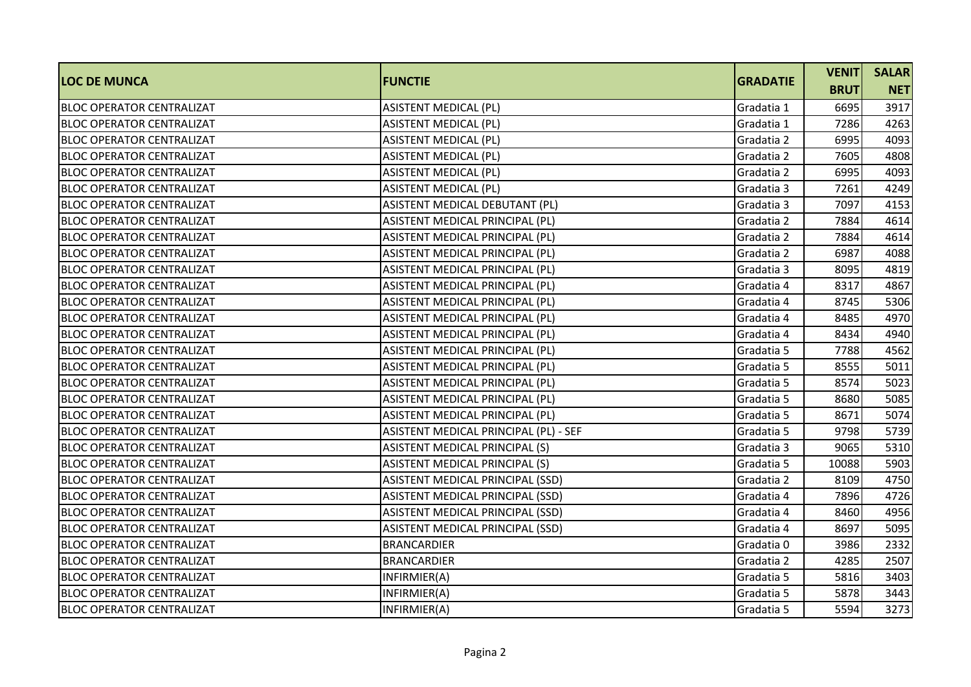| <b>LOC DE MUNCA</b>              | <b>FUNCTIE</b>                        | <b>GRADATIE</b> | <b>VENIT</b> | <b>SALAR</b> |
|----------------------------------|---------------------------------------|-----------------|--------------|--------------|
|                                  |                                       |                 | <b>BRUT</b>  | <b>NET</b>   |
| <b>BLOC OPERATOR CENTRALIZAT</b> | <b>ASISTENT MEDICAL (PL)</b>          | Gradatia 1      | 6695         | 3917         |
| <b>BLOC OPERATOR CENTRALIZAT</b> | <b>ASISTENT MEDICAL (PL)</b>          | Gradatia 1      | 7286         | 4263         |
| <b>BLOC OPERATOR CENTRALIZAT</b> | <b>ASISTENT MEDICAL (PL)</b>          | Gradatia 2      | 6995         | 4093         |
| <b>BLOC OPERATOR CENTRALIZAT</b> | <b>ASISTENT MEDICAL (PL)</b>          | Gradatia 2      | 7605         | 4808         |
| <b>BLOC OPERATOR CENTRALIZAT</b> | <b>ASISTENT MEDICAL (PL)</b>          | Gradatia 2      | 6995         | 4093         |
| IBLOC OPERATOR CENTRALIZAT       | <b>ASISTENT MEDICAL (PL)</b>          | Gradatia 3      | 7261         | 4249         |
| <b>BLOC OPERATOR CENTRALIZAT</b> | ASISTENT MEDICAL DEBUTANT (PL)        | Gradatia 3      | 7097         | 4153         |
| <b>BLOC OPERATOR CENTRALIZAT</b> | ASISTENT MEDICAL PRINCIPAL (PL)       | Gradatia 2      | 7884         | 4614         |
| <b>BLOC OPERATOR CENTRALIZAT</b> | ASISTENT MEDICAL PRINCIPAL (PL)       | Gradatia 2      | 7884         | 4614         |
| <b>BLOC OPERATOR CENTRALIZAT</b> | ASISTENT MEDICAL PRINCIPAL (PL)       | Gradatia 2      | 6987         | 4088         |
| <b>BLOC OPERATOR CENTRALIZAT</b> | ASISTENT MEDICAL PRINCIPAL (PL)       | Gradatia 3      | 8095         | 4819         |
| <b>BLOC OPERATOR CENTRALIZAT</b> | ASISTENT MEDICAL PRINCIPAL (PL)       | Gradatia 4      | 8317         | 4867         |
| <b>BLOC OPERATOR CENTRALIZAT</b> | ASISTENT MEDICAL PRINCIPAL (PL)       | Gradatia 4      | 8745         | 5306         |
| <b>BLOC OPERATOR CENTRALIZAT</b> | ASISTENT MEDICAL PRINCIPAL (PL)       | Gradatia 4      | 8485         | 4970         |
| <b>BLOC OPERATOR CENTRALIZAT</b> | ASISTENT MEDICAL PRINCIPAL (PL)       | Gradatia 4      | 8434         | 4940         |
| IBLOC OPERATOR CENTRALIZAT       | ASISTENT MEDICAL PRINCIPAL (PL)       | Gradatia 5      | 7788         | 4562         |
| IBLOC OPERATOR CENTRALIZAT       | ASISTENT MEDICAL PRINCIPAL (PL)       | Gradatia 5      | 8555         | 5011         |
| <b>BLOC OPERATOR CENTRALIZAT</b> | ASISTENT MEDICAL PRINCIPAL (PL)       | Gradatia 5      | 8574         | 5023         |
| <b>BLOC OPERATOR CENTRALIZAT</b> | ASISTENT MEDICAL PRINCIPAL (PL)       | Gradatia 5      | 8680         | 5085         |
| <b>BLOC OPERATOR CENTRALIZAT</b> | ASISTENT MEDICAL PRINCIPAL (PL)       | Gradatia 5      | 8671         | 5074         |
| <b>BLOC OPERATOR CENTRALIZAT</b> | ASISTENT MEDICAL PRINCIPAL (PL) - SEF | Gradatia 5      | 9798         | 5739         |
| <b>BLOC OPERATOR CENTRALIZAT</b> | ASISTENT MEDICAL PRINCIPAL (S)        | Gradatia 3      | 9065         | 5310         |
| <b>BLOC OPERATOR CENTRALIZAT</b> | ASISTENT MEDICAL PRINCIPAL (S)        | Gradatia 5      | 10088        | 5903         |
| <b>BLOC OPERATOR CENTRALIZAT</b> | ASISTENT MEDICAL PRINCIPAL (SSD)      | Gradatia 2      | 8109         | 4750         |
| <b>BLOC OPERATOR CENTRALIZAT</b> | ASISTENT MEDICAL PRINCIPAL (SSD)      | Gradatia 4      | 7896         | 4726         |
| <b>BLOC OPERATOR CENTRALIZAT</b> | ASISTENT MEDICAL PRINCIPAL (SSD)      | Gradatia 4      | 8460         | 4956         |
| <b>BLOC OPERATOR CENTRALIZAT</b> | ASISTENT MEDICAL PRINCIPAL (SSD)      | Gradatia 4      | 8697         | 5095         |
| <b>BLOC OPERATOR CENTRALIZAT</b> | <b>BRANCARDIER</b>                    | Gradatia 0      | 3986         | 2332         |
| <b>BLOC OPERATOR CENTRALIZAT</b> | <b>BRANCARDIER</b>                    | Gradatia 2      | 4285         | 2507         |
| <b>BLOC OPERATOR CENTRALIZAT</b> | INFIRMIER(A)                          | Gradatia 5      | 5816         | 3403         |
| <b>BLOC OPERATOR CENTRALIZAT</b> | INFIRMIER(A)                          | Gradatia 5      | 5878         | 3443         |
| <b>BLOC OPERATOR CENTRALIZAT</b> | INFIRMIER(A)                          | Gradatia 5      | 5594         | 3273         |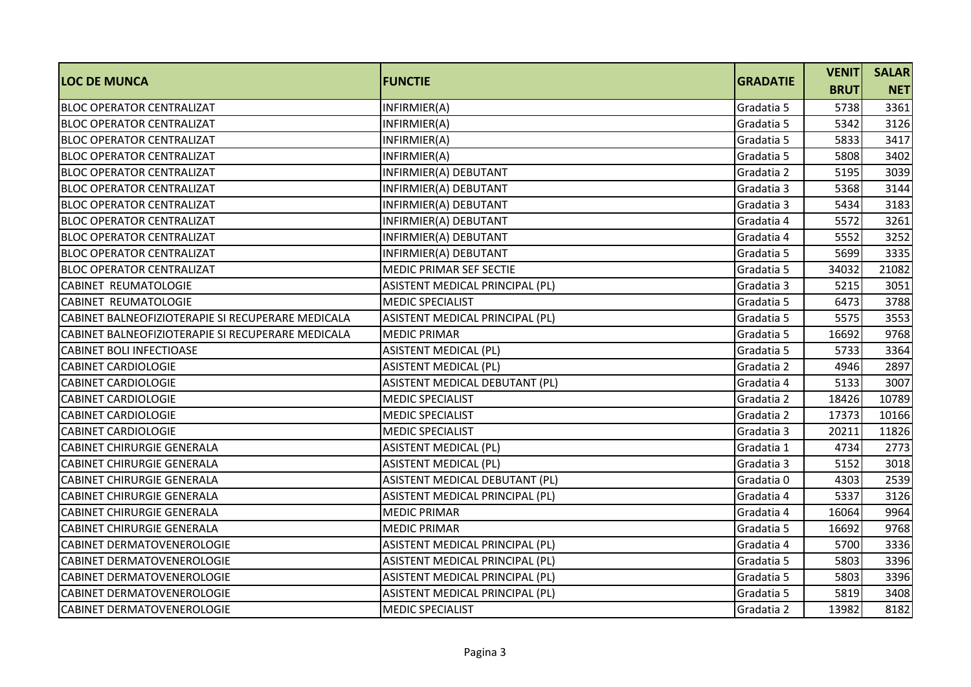| <b>LOC DE MUNCA</b>                               | <b>FUNCTIE</b>                  | <b>GRADATIE</b> | <b>VENIT</b> | <b>SALAR</b> |
|---------------------------------------------------|---------------------------------|-----------------|--------------|--------------|
|                                                   |                                 |                 | <b>BRUT</b>  | <b>NET</b>   |
| <b>BLOC OPERATOR CENTRALIZAT</b>                  | INFIRMIER(A)                    | Gradatia 5      | 5738         | 3361         |
| <b>BLOC OPERATOR CENTRALIZAT</b>                  | INFIRMIER(A)                    | Gradatia 5      | 5342         | 3126         |
| <b>BLOC OPERATOR CENTRALIZAT</b>                  | INFIRMIER(A)                    | Gradatia 5      | 5833         | 3417         |
| <b>BLOC OPERATOR CENTRALIZAT</b>                  | INFIRMIER(A)                    | Gradatia 5      | 5808         | 3402         |
| <b>BLOC OPERATOR CENTRALIZAT</b>                  | INFIRMIER(A) DEBUTANT           | Gradatia 2      | 5195         | 3039         |
| <b>BLOC OPERATOR CENTRALIZAT</b>                  | INFIRMIER(A) DEBUTANT           | Gradatia 3      | 5368         | 3144         |
| <b>BLOC OPERATOR CENTRALIZAT</b>                  | INFIRMIER(A) DEBUTANT           | Gradatia 3      | 5434         | 3183         |
| <b>BLOC OPERATOR CENTRALIZAT</b>                  | INFIRMIER(A) DEBUTANT           | Gradatia 4      | 5572         | 3261         |
| <b>BLOC OPERATOR CENTRALIZAT</b>                  | INFIRMIER(A) DEBUTANT           | Gradatia 4      | 5552         | 3252         |
| <b>BLOC OPERATOR CENTRALIZAT</b>                  | INFIRMIER(A) DEBUTANT           | Gradatia 5      | 5699         | 3335         |
| <b>BLOC OPERATOR CENTRALIZAT</b>                  | MEDIC PRIMAR SEF SECTIE         | Gradatia 5      | 34032        | 21082        |
| <b>CABINET REUMATOLOGIE</b>                       | ASISTENT MEDICAL PRINCIPAL (PL) | Gradatia 3      | 5215         | 3051         |
| <b>CABINET REUMATOLOGIE</b>                       | <b>MEDIC SPECIALIST</b>         | Gradatia 5      | 6473         | 3788         |
| CABINET BALNEOFIZIOTERAPIE SI RECUPERARE MEDICALA | ASISTENT MEDICAL PRINCIPAL (PL) | Gradatia 5      | 5575         | 3553         |
| CABINET BALNEOFIZIOTERAPIE SI RECUPERARE MEDICALA | <b>MEDIC PRIMAR</b>             | Gradatia 5      | 16692        | 9768         |
| <b>CABINET BOLI INFECTIOASE</b>                   | <b>ASISTENT MEDICAL (PL)</b>    | Gradatia 5      | 5733         | 3364         |
| <b>CABINET CARDIOLOGIE</b>                        | <b>ASISTENT MEDICAL (PL)</b>    | Gradatia 2      | 4946         | 2897         |
| <b>CABINET CARDIOLOGIE</b>                        | ASISTENT MEDICAL DEBUTANT (PL)  | Gradatia 4      | 5133         | 3007         |
| <b>CABINET CARDIOLOGIE</b>                        | <b>MEDIC SPECIALIST</b>         | Gradatia 2      | 18426        | 10789        |
| <b>CABINET CARDIOLOGIE</b>                        | <b>MEDIC SPECIALIST</b>         | Gradatia 2      | 17373        | 10166        |
| <b>CABINET CARDIOLOGIE</b>                        | <b>MEDIC SPECIALIST</b>         | Gradatia 3      | 20211        | 11826        |
| <b>CABINET CHIRURGIE GENERALA</b>                 | <b>ASISTENT MEDICAL (PL)</b>    | Gradatia 1      | 4734         | 2773         |
| <b>CABINET CHIRURGIE GENERALA</b>                 | <b>ASISTENT MEDICAL (PL)</b>    | Gradatia 3      | 5152         | 3018         |
| <b>CABINET CHIRURGIE GENERALA</b>                 | ASISTENT MEDICAL DEBUTANT (PL)  | Gradatia 0      | 4303         | 2539         |
| <b>CABINET CHIRURGIE GENERALA</b>                 | ASISTENT MEDICAL PRINCIPAL (PL) | Gradatia 4      | 5337         | 3126         |
| <b>CABINET CHIRURGIE GENERALA</b>                 | <b>MEDIC PRIMAR</b>             | Gradatia 4      | 16064        | 9964         |
| <b>CABINET CHIRURGIE GENERALA</b>                 | <b>MEDIC PRIMAR</b>             | Gradatia 5      | 16692        | 9768         |
| <b>CABINET DERMATOVENEROLOGIE</b>                 | ASISTENT MEDICAL PRINCIPAL (PL) | Gradatia 4      | 5700         | 3336         |
| <b>CABINET DERMATOVENEROLOGIE</b>                 | ASISTENT MEDICAL PRINCIPAL (PL) | Gradatia 5      | 5803         | 3396         |
| CABINET DERMATOVENEROLOGIE                        | ASISTENT MEDICAL PRINCIPAL (PL) | Gradatia 5      | 5803         | 3396         |
| <b>CABINET DERMATOVENEROLOGIE</b>                 | ASISTENT MEDICAL PRINCIPAL (PL) | Gradatia 5      | 5819         | 3408         |
| <b>CABINET DERMATOVENEROLOGIE</b>                 | <b>MEDIC SPECIALIST</b>         | Gradatia 2      | 13982        | 8182         |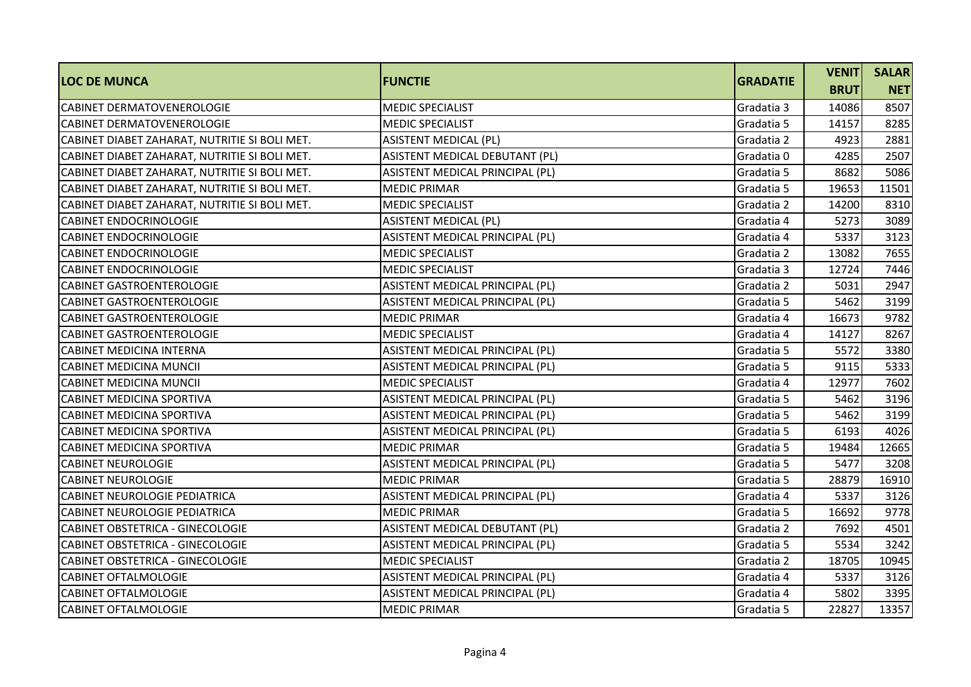| <b>LOC DE MUNCA</b>                           |                                 | <b>GRADATIE</b> | <b>VENIT</b> | <b>SALAR</b> |
|-----------------------------------------------|---------------------------------|-----------------|--------------|--------------|
|                                               | <b>FUNCTIE</b>                  |                 | <b>BRUT</b>  | <b>NET</b>   |
| <b>CABINET DERMATOVENEROLOGIE</b>             | <b>MEDIC SPECIALIST</b>         | Gradatia 3      | 14086        | 8507         |
| <b>CABINET DERMATOVENEROLOGIE</b>             | <b>MEDIC SPECIALIST</b>         | Gradatia 5      | 14157        | 8285         |
| CABINET DIABET ZAHARAT, NUTRITIE SI BOLI MET. | <b>ASISTENT MEDICAL (PL)</b>    | Gradatia 2      | 4923         | 2881         |
| CABINET DIABET ZAHARAT, NUTRITIE SI BOLI MET. | ASISTENT MEDICAL DEBUTANT (PL)  | Gradatia 0      | 4285         | 2507         |
| CABINET DIABET ZAHARAT, NUTRITIE SI BOLI MET. | ASISTENT MEDICAL PRINCIPAL (PL) | Gradatia 5      | 8682         | 5086         |
| CABINET DIABET ZAHARAT, NUTRITIE SI BOLI MET. | <b>MEDIC PRIMAR</b>             | Gradatia 5      | 19653        | 11501        |
| CABINET DIABET ZAHARAT, NUTRITIE SI BOLI MET. | <b>MEDIC SPECIALIST</b>         | Gradatia 2      | 14200        | 8310         |
| <b>CABINET ENDOCRINOLOGIE</b>                 | <b>ASISTENT MEDICAL (PL)</b>    | Gradatia 4      | 5273         | 3089         |
| <b>CABINET ENDOCRINOLOGIE</b>                 | ASISTENT MEDICAL PRINCIPAL (PL) | Gradatia 4      | 5337         | 3123         |
| <b>CABINET ENDOCRINOLOGIE</b>                 | <b>MEDIC SPECIALIST</b>         | Gradatia 2      | 13082        | 7655         |
| <b>CABINET ENDOCRINOLOGIE</b>                 | <b>MEDIC SPECIALIST</b>         | Gradatia 3      | 12724        | 7446         |
| <b>CABINET GASTROENTEROLOGIE</b>              | ASISTENT MEDICAL PRINCIPAL (PL) | Gradatia 2      | 5031         | 2947         |
| <b>CABINET GASTROENTEROLOGIE</b>              | ASISTENT MEDICAL PRINCIPAL (PL) | Gradatia 5      | 5462         | 3199         |
| <b>CABINET GASTROENTEROLOGIE</b>              | <b>MEDIC PRIMAR</b>             | Gradatia 4      | 16673        | 9782         |
| <b>CABINET GASTROENTEROLOGIE</b>              | <b>MEDIC SPECIALIST</b>         | Gradatia 4      | 14127        | 8267         |
| <b>CABINET MEDICINA INTERNA</b>               | ASISTENT MEDICAL PRINCIPAL (PL) | Gradatia 5      | 5572         | 3380         |
| <b>CABINET MEDICINA MUNCII</b>                | ASISTENT MEDICAL PRINCIPAL (PL) | Gradatia 5      | 9115         | 5333         |
| <b>CABINET MEDICINA MUNCII</b>                | <b>MEDIC SPECIALIST</b>         | Gradatia 4      | 12977        | 7602         |
| CABINET MEDICINA SPORTIVA                     | ASISTENT MEDICAL PRINCIPAL (PL) | Gradatia 5      | 5462         | 3196         |
| <b>CABINET MEDICINA SPORTIVA</b>              | ASISTENT MEDICAL PRINCIPAL (PL) | Gradatia 5      | 5462         | 3199         |
| <b>CABINET MEDICINA SPORTIVA</b>              | ASISTENT MEDICAL PRINCIPAL (PL) | Gradatia 5      | 6193         | 4026         |
| <b>CABINET MEDICINA SPORTIVA</b>              | <b>MEDIC PRIMAR</b>             | Gradatia 5      | 19484        | 12665        |
| <b>CABINET NEUROLOGIE</b>                     | ASISTENT MEDICAL PRINCIPAL (PL) | Gradatia 5      | 5477         | 3208         |
| <b>CABINET NEUROLOGIE</b>                     | <b>MEDIC PRIMAR</b>             | Gradatia 5      | 28879        | 16910        |
| <b>CABINET NEUROLOGIE PEDIATRICA</b>          | ASISTENT MEDICAL PRINCIPAL (PL) | Gradatia 4      | 5337         | 3126         |
| <b>CABINET NEUROLOGIE PEDIATRICA</b>          | <b>MEDIC PRIMAR</b>             | Gradatia 5      | 16692        | 9778         |
| CABINET OBSTETRICA - GINECOLOGIE              | ASISTENT MEDICAL DEBUTANT (PL)  | Gradatia 2      | 7692         | 4501         |
| CABINET OBSTETRICA - GINECOLOGIE              | ASISTENT MEDICAL PRINCIPAL (PL) | Gradatia 5      | 5534         | 3242         |
| CABINET OBSTETRICA - GINECOLOGIE              | <b>MEDIC SPECIALIST</b>         | Gradatia 2      | 18705        | 10945        |
| <b>CABINET OFTALMOLOGIE</b>                   | ASISTENT MEDICAL PRINCIPAL (PL) | Gradatia 4      | 5337         | 3126         |
| <b>CABINET OFTALMOLOGIE</b>                   | ASISTENT MEDICAL PRINCIPAL (PL) | Gradatia 4      | 5802         | 3395         |
| <b>CABINET OFTALMOLOGIE</b>                   | <b>MEDIC PRIMAR</b>             | Gradatia 5      | 22827        | 13357        |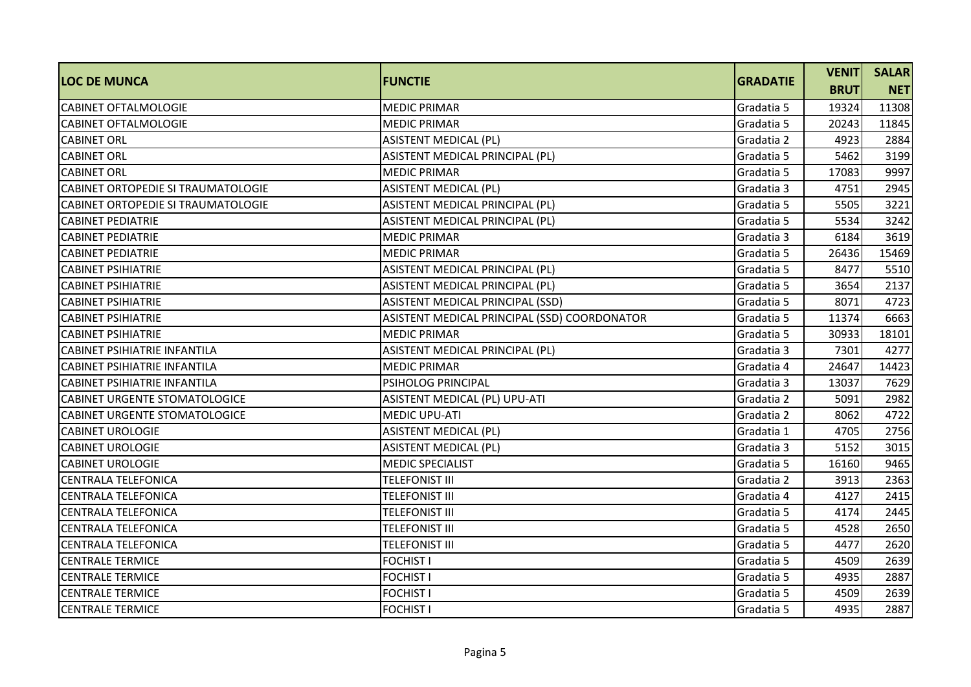| <b>LOC DE MUNCA</b>                  | <b>IFUNCTIE</b>                              | <b>GRADATIE</b> | <b>VENIT</b> | <b>SALAR</b> |
|--------------------------------------|----------------------------------------------|-----------------|--------------|--------------|
|                                      |                                              |                 | <b>BRUT</b>  | <b>NET</b>   |
| <b>CABINET OFTALMOLOGIE</b>          | <b>MEDIC PRIMAR</b>                          | Gradatia 5      | 19324        | 11308        |
| <b>CABINET OFTALMOLOGIE</b>          | <b>MEDIC PRIMAR</b>                          | Gradatia 5      | 20243        | 11845        |
| <b>CABINET ORL</b>                   | <b>ASISTENT MEDICAL (PL)</b>                 | Gradatia 2      | 4923         | 2884         |
| <b>CABINET ORL</b>                   | ASISTENT MEDICAL PRINCIPAL (PL)              | Gradatia 5      | 5462         | 3199         |
| <b>CABINET ORL</b>                   | <b>MEDIC PRIMAR</b>                          | Gradatia 5      | 17083        | 9997         |
| CABINET ORTOPEDIE SI TRAUMATOLOGIE   | <b>ASISTENT MEDICAL (PL)</b>                 | Gradatia 3      | 4751         | 2945         |
| CABINET ORTOPEDIE SI TRAUMATOLOGIE   | ASISTENT MEDICAL PRINCIPAL (PL)              | Gradatia 5      | 5505         | 3221         |
| <b>CABINET PEDIATRIE</b>             | ASISTENT MEDICAL PRINCIPAL (PL)              | Gradatia 5      | 5534         | 3242         |
| <b>CABINET PEDIATRIE</b>             | <b>MEDIC PRIMAR</b>                          | Gradatia 3      | 6184         | 3619         |
| <b>CABINET PEDIATRIE</b>             | <b>MEDIC PRIMAR</b>                          | Gradatia 5      | 26436        | 15469        |
| <b>CABINET PSIHIATRIE</b>            | ASISTENT MEDICAL PRINCIPAL (PL)              | Gradatia 5      | 8477         | 5510         |
| <b>CABINET PSIHIATRIE</b>            | ASISTENT MEDICAL PRINCIPAL (PL)              | Gradatia 5      | 3654         | 2137         |
| <b>CABINET PSIHIATRIE</b>            | ASISTENT MEDICAL PRINCIPAL (SSD)             | Gradatia 5      | 8071         | 4723         |
| <b>CABINET PSIHIATRIE</b>            | ASISTENT MEDICAL PRINCIPAL (SSD) COORDONATOR | Gradatia 5      | 11374        | 6663         |
| <b>CABINET PSIHIATRIE</b>            | <b>MEDIC PRIMAR</b>                          | Gradatia 5      | 30933        | 18101        |
| <b>CABINET PSIHIATRIE INFANTILA</b>  | ASISTENT MEDICAL PRINCIPAL (PL)              | Gradatia 3      | 7301         | 4277         |
| <b>CABINET PSIHIATRIE INFANTILA</b>  | <b>MEDIC PRIMAR</b>                          | Gradatia 4      | 24647        | 14423        |
| <b>CABINET PSIHIATRIE INFANTILA</b>  | PSIHOLOG PRINCIPAL                           | Gradatia 3      | 13037        | 7629         |
| <b>CABINET URGENTE STOMATOLOGICE</b> | ASISTENT MEDICAL (PL) UPU-ATI                | Gradatia 2      | 5091         | 2982         |
| CABINET URGENTE STOMATOLOGICE        | <b>MEDIC UPU-ATI</b>                         | Gradatia 2      | 8062         | 4722         |
| <b>CABINET UROLOGIE</b>              | <b>ASISTENT MEDICAL (PL)</b>                 | Gradatia 1      | 4705         | 2756         |
| <b>CABINET UROLOGIE</b>              | <b>ASISTENT MEDICAL (PL)</b>                 | Gradatia 3      | 5152         | 3015         |
| <b>CABINET UROLOGIE</b>              | <b>MEDIC SPECIALIST</b>                      | Gradatia 5      | 16160        | 9465         |
| <b>CENTRALA TELEFONICA</b>           | <b>TELEFONIST III</b>                        | Gradatia 2      | 3913         | 2363         |
| <b>CENTRALA TELEFONICA</b>           | TELEFONIST III                               | Gradatia 4      | 4127         | 2415         |
| <b>CENTRALA TELEFONICA</b>           | <b>TELEFONIST III</b>                        | Gradatia 5      | 4174         | 2445         |
| <b>CENTRALA TELEFONICA</b>           | TELEFONIST III                               | Gradatia 5      | 4528         | 2650         |
| <b>CENTRALA TELEFONICA</b>           | <b>TELEFONIST III</b>                        | Gradatia 5      | 4477         | 2620         |
| <b>CENTRALE TERMICE</b>              | <b>FOCHIST I</b>                             | Gradatia 5      | 4509         | 2639         |
| <b>CENTRALE TERMICE</b>              | <b>FOCHIST I</b>                             | Gradatia 5      | 4935         | 2887         |
| <b>CENTRALE TERMICE</b>              | <b>FOCHIST I</b>                             | Gradatia 5      | 4509         | 2639         |
| <b>CENTRALE TERMICE</b>              | <b>FOCHIST I</b>                             | Gradatia 5      | 4935         | 2887         |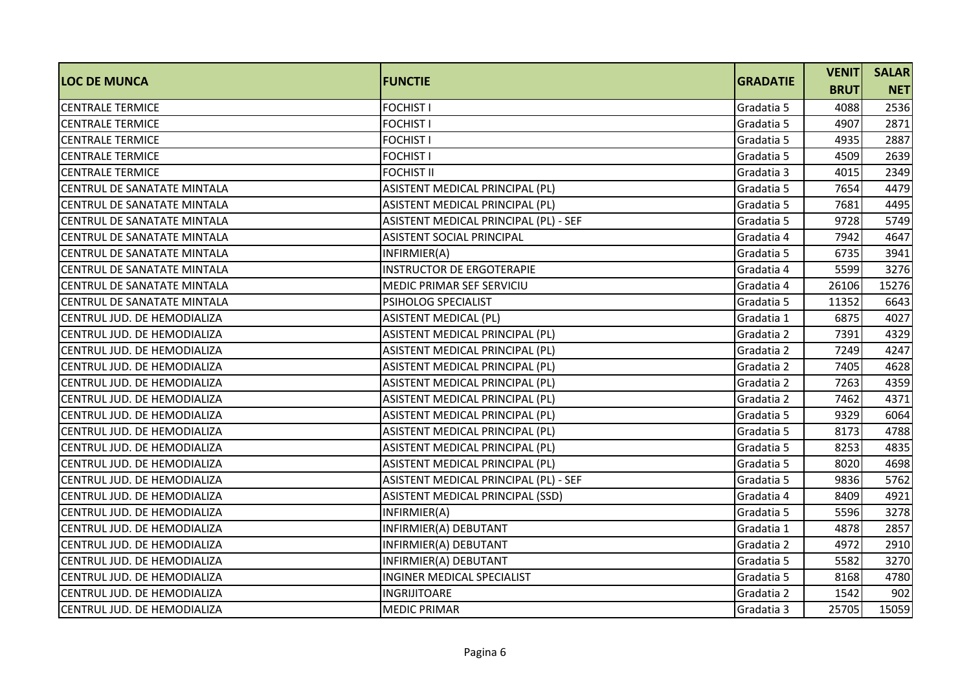| <b>LOC DE MUNCA</b>                | <b>FUNCTIE</b>                        | <b>GRADATIE</b> | <b>VENIT</b> | <b>SALAR</b> |
|------------------------------------|---------------------------------------|-----------------|--------------|--------------|
|                                    |                                       |                 | <b>BRUT</b>  | <b>NET</b>   |
| <b>CENTRALE TERMICE</b>            | <b>FOCHIST I</b>                      | Gradatia 5      | 4088         | 2536         |
| <b>CENTRALE TERMICE</b>            | <b>FOCHIST I</b>                      | Gradatia 5      | 4907         | 2871         |
| <b>CENTRALE TERMICE</b>            | <b>FOCHIST I</b>                      | Gradatia 5      | 4935         | 2887         |
| <b>CENTRALE TERMICE</b>            | <b>FOCHIST I</b>                      | Gradatia 5      | 4509         | 2639         |
| <b>CENTRALE TERMICE</b>            | <b>FOCHIST II</b>                     | Gradatia 3      | 4015         | 2349         |
| CENTRUL DE SANATATE MINTALA        | ASISTENT MEDICAL PRINCIPAL (PL)       | Gradatia 5      | 7654         | 4479         |
| CENTRUL DE SANATATE MINTALA        | ASISTENT MEDICAL PRINCIPAL (PL)       | Gradatia 5      | 7681         | 4495         |
| <b>CENTRUL DE SANATATE MINTALA</b> | ASISTENT MEDICAL PRINCIPAL (PL) - SEF | Gradatia 5      | 9728         | 5749         |
| CENTRUL DE SANATATE MINTALA        | ASISTENT SOCIAL PRINCIPAL             | Gradatia 4      | 7942         | 4647         |
| CENTRUL DE SANATATE MINTALA        | INFIRMIER(A)                          | Gradatia 5      | 6735         | 3941         |
| CENTRUL DE SANATATE MINTALA        | <b>INSTRUCTOR DE ERGOTERAPIE</b>      | Gradatia 4      | 5599         | 3276         |
| CENTRUL DE SANATATE MINTALA        | MEDIC PRIMAR SEF SERVICIU             | Gradatia 4      | 26106        | 15276        |
| CENTRUL DE SANATATE MINTALA        | PSIHOLOG SPECIALIST                   | Gradatia 5      | 11352        | 6643         |
| CENTRUL JUD. DE HEMODIALIZA        | <b>ASISTENT MEDICAL (PL)</b>          | Gradatia 1      | 6875         | 4027         |
| CENTRUL JUD. DE HEMODIALIZA        | ASISTENT MEDICAL PRINCIPAL (PL)       | Gradatia 2      | 7391         | 4329         |
| CENTRUL JUD. DE HEMODIALIZA        | ASISTENT MEDICAL PRINCIPAL (PL)       | Gradatia 2      | 7249         | 4247         |
| CENTRUL JUD. DE HEMODIALIZA        | ASISTENT MEDICAL PRINCIPAL (PL)       | Gradatia 2      | 7405         | 4628         |
| CENTRUL JUD. DE HEMODIALIZA        | ASISTENT MEDICAL PRINCIPAL (PL)       | Gradatia 2      | 7263         | 4359         |
| CENTRUL JUD. DE HEMODIALIZA        | ASISTENT MEDICAL PRINCIPAL (PL)       | Gradatia 2      | 7462         | 4371         |
| CENTRUL JUD. DE HEMODIALIZA        | ASISTENT MEDICAL PRINCIPAL (PL)       | Gradatia 5      | 9329         | 6064         |
| CENTRUL JUD. DE HEMODIALIZA        | ASISTENT MEDICAL PRINCIPAL (PL)       | Gradatia 5      | 8173         | 4788         |
| CENTRUL JUD. DE HEMODIALIZA        | ASISTENT MEDICAL PRINCIPAL (PL)       | Gradatia 5      | 8253         | 4835         |
| CENTRUL JUD. DE HEMODIALIZA        | ASISTENT MEDICAL PRINCIPAL (PL)       | Gradatia 5      | 8020         | 4698         |
| CENTRUL JUD. DE HEMODIALIZA        | ASISTENT MEDICAL PRINCIPAL (PL) - SEF | Gradatia 5      | 9836         | 5762         |
| CENTRUL JUD. DE HEMODIALIZA        | ASISTENT MEDICAL PRINCIPAL (SSD)      | Gradatia 4      | 8409         | 4921         |
| CENTRUL JUD. DE HEMODIALIZA        | INFIRMIER(A)                          | Gradatia 5      | 5596         | 3278         |
| CENTRUL JUD. DE HEMODIALIZA        | INFIRMIER(A) DEBUTANT                 | Gradatia 1      | 4878         | 2857         |
| CENTRUL JUD. DE HEMODIALIZA        | INFIRMIER(A) DEBUTANT                 | Gradatia 2      | 4972         | 2910         |
| CENTRUL JUD. DE HEMODIALIZA        | INFIRMIER(A) DEBUTANT                 | Gradatia 5      | 5582         | 3270         |
| CENTRUL JUD. DE HEMODIALIZA        | <b>INGINER MEDICAL SPECIALIST</b>     | Gradatia 5      | 8168         | 4780         |
| CENTRUL JUD. DE HEMODIALIZA        | <b>INGRIJITOARE</b>                   | Gradatia 2      | 1542         | 902          |
| CENTRUL JUD. DE HEMODIALIZA        | <b>MEDIC PRIMAR</b>                   | Gradatia 3      | 25705        | 15059        |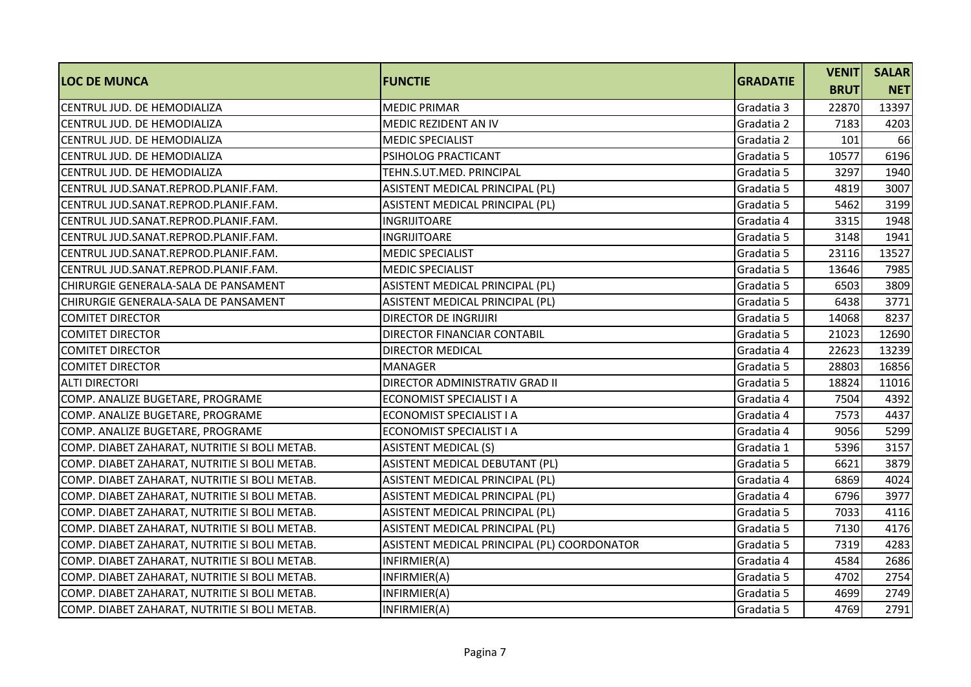| <b>LOC DE MUNCA</b>                           | <b>FUNCTIE</b>                              | <b>GRADATIE</b> | <b>VENIT</b> | <b>SALAR</b> |
|-----------------------------------------------|---------------------------------------------|-----------------|--------------|--------------|
|                                               |                                             |                 | <b>BRUT</b>  | <b>NET</b>   |
| CENTRUL JUD. DE HEMODIALIZA                   | <b>MEDIC PRIMAR</b>                         | Gradatia 3      | 22870        | 13397        |
| CENTRUL JUD. DE HEMODIALIZA                   | <b>MEDIC REZIDENT AN IV</b>                 | Gradatia 2      | 7183         | 4203         |
| CENTRUL JUD. DE HEMODIALIZA                   | <b>MEDIC SPECIALIST</b>                     | Gradatia 2      | 101          | 66           |
| CENTRUL JUD. DE HEMODIALIZA                   | PSIHOLOG PRACTICANT                         | Gradatia 5      | 10577        | 6196         |
| CENTRUL JUD. DE HEMODIALIZA                   | TEHN.S.UT.MED. PRINCIPAL                    | Gradatia 5      | 3297         | 1940         |
| CENTRUL JUD.SANAT.REPROD.PLANIF.FAM.          | ASISTENT MEDICAL PRINCIPAL (PL)             | Gradatia 5      | 4819         | 3007         |
| CENTRUL JUD.SANAT.REPROD.PLANIF.FAM.          | ASISTENT MEDICAL PRINCIPAL (PL)             | Gradatia 5      | 5462         | 3199         |
| CENTRUL JUD.SANAT.REPROD.PLANIF.FAM.          | INGRIJITOARE                                | Gradatia 4      | 3315         | 1948         |
| CENTRUL JUD.SANAT.REPROD.PLANIF.FAM.          | <b>INGRIJITOARE</b>                         | Gradatia 5      | 3148         | 1941         |
| CENTRUL JUD.SANAT.REPROD.PLANIF.FAM.          | <b>MEDIC SPECIALIST</b>                     | Gradatia 5      | 23116        | 13527        |
| CENTRUL JUD.SANAT.REPROD.PLANIF.FAM.          | <b>MEDIC SPECIALIST</b>                     | Gradatia 5      | 13646        | 7985         |
| CHIRURGIE GENERALA-SALA DE PANSAMENT          | ASISTENT MEDICAL PRINCIPAL (PL)             | Gradatia 5      | 6503         | 3809         |
| CHIRURGIE GENERALA-SALA DE PANSAMENT          | ASISTENT MEDICAL PRINCIPAL (PL)             | Gradatia 5      | 6438         | 3771         |
| <b>COMITET DIRECTOR</b>                       | <b>DIRECTOR DE INGRIJIRI</b>                | Gradatia 5      | 14068        | 8237         |
| <b>COMITET DIRECTOR</b>                       | DIRECTOR FINANCIAR CONTABIL                 | Gradatia 5      | 21023        | 12690        |
| <b>COMITET DIRECTOR</b>                       | <b>DIRECTOR MEDICAL</b>                     | Gradatia 4      | 22623        | 13239        |
| <b>COMITET DIRECTOR</b>                       | <b>MANAGER</b>                              | Gradatia 5      | 28803        | 16856        |
| <b>ALTI DIRECTORI</b>                         | DIRECTOR ADMINISTRATIV GRAD II              | Gradatia 5      | 18824        | 11016        |
| COMP. ANALIZE BUGETARE, PROGRAME              | ECONOMIST SPECIALIST I A                    | Gradatia 4      | 7504         | 4392         |
| COMP. ANALIZE BUGETARE, PROGRAME              | ECONOMIST SPECIALIST I A                    | Gradatia 4      | 7573         | 4437         |
| COMP. ANALIZE BUGETARE, PROGRAME              | ECONOMIST SPECIALIST I A                    | Gradatia 4      | 9056         | 5299         |
| COMP. DIABET ZAHARAT, NUTRITIE SI BOLI METAB. | <b>ASISTENT MEDICAL (S)</b>                 | Gradatia 1      | 5396         | 3157         |
| COMP. DIABET ZAHARAT, NUTRITIE SI BOLI METAB. | ASISTENT MEDICAL DEBUTANT (PL)              | Gradatia 5      | 6621         | 3879         |
| COMP. DIABET ZAHARAT, NUTRITIE SI BOLI METAB. | ASISTENT MEDICAL PRINCIPAL (PL)             | Gradatia 4      | 6869         | 4024         |
| COMP. DIABET ZAHARAT, NUTRITIE SI BOLI METAB. | ASISTENT MEDICAL PRINCIPAL (PL)             | Gradatia 4      | 6796         | 3977         |
| COMP. DIABET ZAHARAT, NUTRITIE SI BOLI METAB. | ASISTENT MEDICAL PRINCIPAL (PL)             | Gradatia 5      | 7033         | 4116         |
| COMP. DIABET ZAHARAT, NUTRITIE SI BOLI METAB. | ASISTENT MEDICAL PRINCIPAL (PL)             | Gradatia 5      | 7130         | 4176         |
| COMP. DIABET ZAHARAT, NUTRITIE SI BOLI METAB. | ASISTENT MEDICAL PRINCIPAL (PL) COORDONATOR | Gradatia 5      | 7319         | 4283         |
| COMP. DIABET ZAHARAT, NUTRITIE SI BOLI METAB. | INFIRMIER(A)                                | Gradatia 4      | 4584         | 2686         |
| COMP. DIABET ZAHARAT, NUTRITIE SI BOLI METAB. | INFIRMIER(A)                                | Gradatia 5      | 4702         | 2754         |
| COMP. DIABET ZAHARAT, NUTRITIE SI BOLI METAB. | INFIRMIER(A)                                | Gradatia 5      | 4699         | 2749         |
| COMP. DIABET ZAHARAT, NUTRITIE SI BOLI METAB. | INFIRMIER(A)                                | Gradatia 5      | 4769         | 2791         |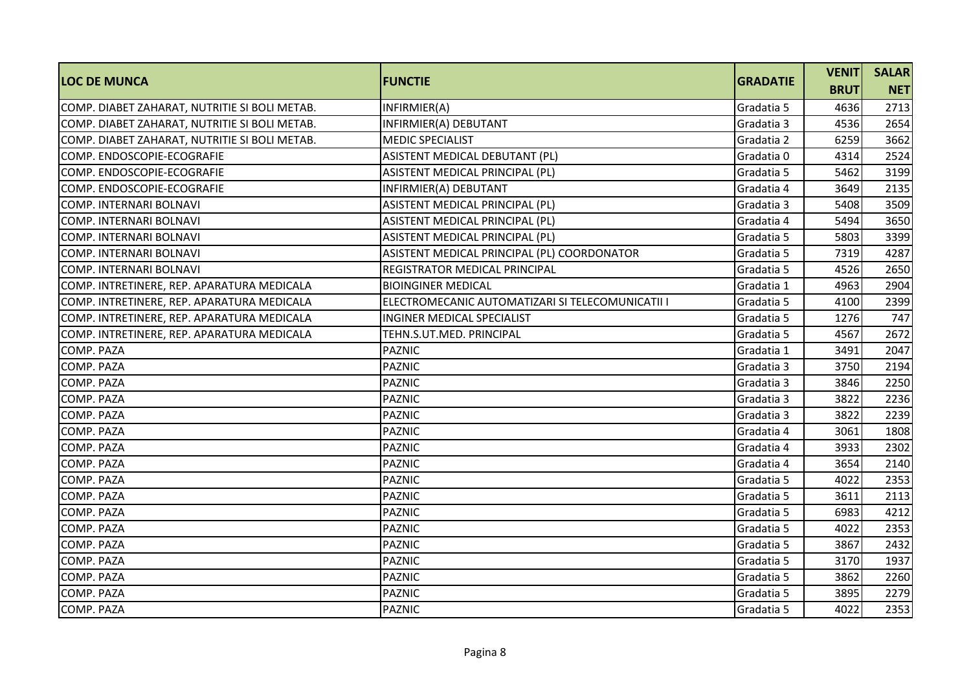| <b>LOC DE MUNCA</b>                           | <b>FUNCTIE</b>                                   | <b>GRADATIE</b> | <b>VENIT</b> | <b>SALAR</b> |
|-----------------------------------------------|--------------------------------------------------|-----------------|--------------|--------------|
|                                               |                                                  |                 | <b>BRUT</b>  | <b>NET</b>   |
| COMP. DIABET ZAHARAT, NUTRITIE SI BOLI METAB. | INFIRMIER(A)                                     | Gradatia 5      | 4636         | 2713         |
| COMP. DIABET ZAHARAT, NUTRITIE SI BOLI METAB. | INFIRMIER(A) DEBUTANT                            | Gradatia 3      | 4536         | 2654         |
| COMP. DIABET ZAHARAT, NUTRITIE SI BOLI METAB. | <b>MEDIC SPECIALIST</b>                          | Gradatia 2      | 6259         | 3662         |
| COMP. ENDOSCOPIE-ECOGRAFIE                    | ASISTENT MEDICAL DEBUTANT (PL)                   | Gradatia 0      | 4314         | 2524         |
| COMP. ENDOSCOPIE-ECOGRAFIE                    | ASISTENT MEDICAL PRINCIPAL (PL)                  | Gradatia 5      | 5462         | 3199         |
| COMP. ENDOSCOPIE-ECOGRAFIE                    | INFIRMIER(A) DEBUTANT                            | Gradatia 4      | 3649         | 2135         |
| <b>COMP. INTERNARI BOLNAVI</b>                | ASISTENT MEDICAL PRINCIPAL (PL)                  | Gradatia 3      | 5408         | 3509         |
| <b>COMP. INTERNARI BOLNAVI</b>                | ASISTENT MEDICAL PRINCIPAL (PL)                  | Gradatia 4      | 5494         | 3650         |
| <b>COMP. INTERNARI BOLNAVI</b>                | ASISTENT MEDICAL PRINCIPAL (PL)                  | Gradatia 5      | 5803         | 3399         |
| COMP. INTERNARI BOLNAVI                       | ASISTENT MEDICAL PRINCIPAL (PL) COORDONATOR      | Gradatia 5      | 7319         | 4287         |
| <b>COMP. INTERNARI BOLNAVI</b>                | <b>REGISTRATOR MEDICAL PRINCIPAL</b>             | Gradatia 5      | 4526         | 2650         |
| COMP. INTRETINERE, REP. APARATURA MEDICALA    | <b>BIOINGINER MEDICAL</b>                        | Gradatia 1      | 4963         | 2904         |
| COMP. INTRETINERE, REP. APARATURA MEDICALA    | ELECTROMECANIC AUTOMATIZARI SI TELECOMUNICATII I | Gradatia 5      | 4100         | 2399         |
| COMP. INTRETINERE, REP. APARATURA MEDICALA    | <b>INGINER MEDICAL SPECIALIST</b>                | Gradatia 5      | 1276         | 747          |
| COMP. INTRETINERE, REP. APARATURA MEDICALA    | TEHN.S.UT.MED. PRINCIPAL                         | Gradatia 5      | 4567         | 2672         |
| COMP. PAZA                                    | <b>PAZNIC</b>                                    | Gradatia 1      | 3491         | 2047         |
| <b>COMP. PAZA</b>                             | <b>PAZNIC</b>                                    | Gradatia 3      | 3750         | 2194         |
| COMP. PAZA                                    | <b>PAZNIC</b>                                    | Gradatia 3      | 3846         | 2250         |
| <b>COMP. PAZA</b>                             | <b>PAZNIC</b>                                    | Gradatia 3      | 3822         | 2236         |
| <b>COMP. PAZA</b>                             | <b>PAZNIC</b>                                    | Gradatia 3      | 3822         | 2239         |
| <b>COMP. PAZA</b>                             | <b>PAZNIC</b>                                    | Gradatia 4      | 3061         | 1808         |
| <b>COMP. PAZA</b>                             | <b>PAZNIC</b>                                    | Gradatia 4      | 3933         | 2302         |
| COMP. PAZA                                    | <b>PAZNIC</b>                                    | Gradatia 4      | 3654         | 2140         |
| COMP. PAZA                                    | <b>PAZNIC</b>                                    | Gradatia 5      | 4022         | 2353         |
| COMP. PAZA                                    | <b>PAZNIC</b>                                    | Gradatia 5      | 3611         | 2113         |
| COMP. PAZA                                    | <b>PAZNIC</b>                                    | Gradatia 5      | 6983         | 4212         |
| <b>COMP. PAZA</b>                             | <b>PAZNIC</b>                                    | Gradatia 5      | 4022         | 2353         |
| COMP. PAZA                                    | <b>PAZNIC</b>                                    | Gradatia 5      | 3867         | 2432         |
| <b>COMP. PAZA</b>                             | <b>PAZNIC</b>                                    | Gradatia 5      | 3170         | 1937         |
| COMP. PAZA                                    | <b>PAZNIC</b>                                    | Gradatia 5      | 3862         | 2260         |
| COMP. PAZA                                    | <b>PAZNIC</b>                                    | Gradatia 5      | 3895         | 2279         |
| <b>COMP. PAZA</b>                             | <b>PAZNIC</b>                                    | Gradatia 5      | 4022         | 2353         |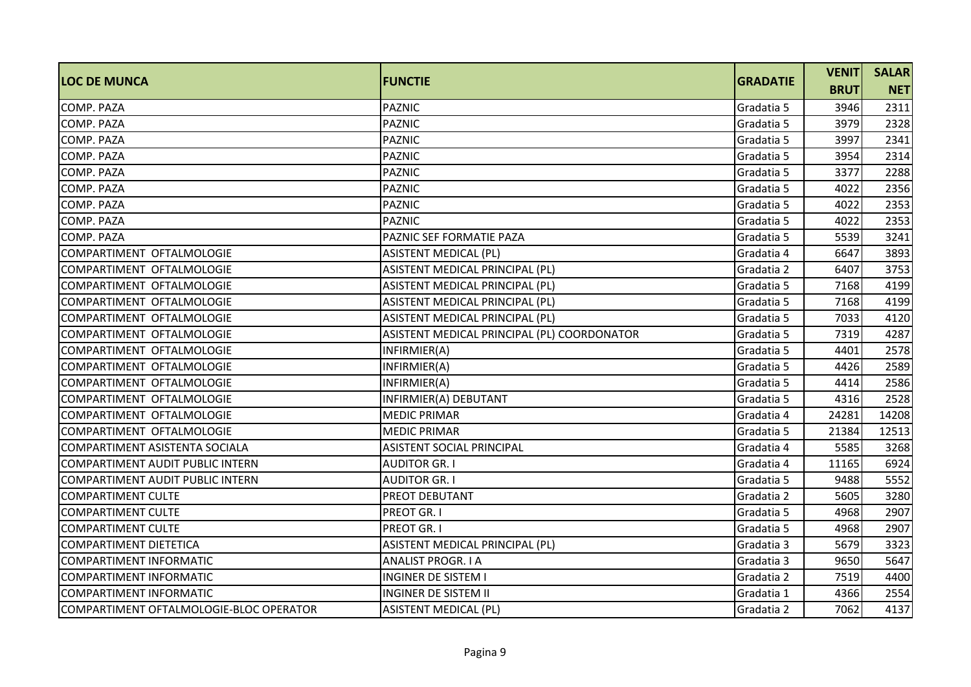| <b>LOC DE MUNCA</b>                     | <b>FUNCTIE</b>                              | <b>GRADATIE</b> | <b>VENIT</b> | <b>SALAR</b> |
|-----------------------------------------|---------------------------------------------|-----------------|--------------|--------------|
|                                         |                                             |                 | <b>BRUT</b>  | <b>NET</b>   |
| COMP. PAZA                              | <b>PAZNIC</b>                               | Gradatia 5      | 3946         | 2311         |
| COMP. PAZA                              | <b>PAZNIC</b>                               | Gradatia 5      | 3979         | 2328         |
| <b>COMP. PAZA</b>                       | <b>PAZNIC</b>                               | Gradatia 5      | 3997         | 2341         |
| COMP. PAZA                              | <b>PAZNIC</b>                               | Gradatia 5      | 3954         | 2314         |
| COMP. PAZA                              | <b>PAZNIC</b>                               | Gradatia 5      | 3377         | 2288         |
| COMP. PAZA                              | <b>PAZNIC</b>                               | Gradatia 5      | 4022         | 2356         |
| <b>COMP. PAZA</b>                       | <b>PAZNIC</b>                               | Gradatia 5      | 4022         | 2353         |
| COMP. PAZA                              | <b>PAZNIC</b>                               | Gradatia 5      | 4022         | 2353         |
| <b>COMP. PAZA</b>                       | PAZNIC SEF FORMATIE PAZA                    | Gradatia 5      | 5539         | 3241         |
| COMPARTIMENT OFTALMOLOGIE               | <b>ASISTENT MEDICAL (PL)</b>                | Gradatia 4      | 6647         | 3893         |
| COMPARTIMENT OFTALMOLOGIE               | ASISTENT MEDICAL PRINCIPAL (PL)             | Gradatia 2      | 6407         | 3753         |
| COMPARTIMENT OFTALMOLOGIE               | ASISTENT MEDICAL PRINCIPAL (PL)             | Gradatia 5      | 7168         | 4199         |
| COMPARTIMENT OFTALMOLOGIE               | ASISTENT MEDICAL PRINCIPAL (PL)             | Gradatia 5      | 7168         | 4199         |
| COMPARTIMENT OFTALMOLOGIE               | ASISTENT MEDICAL PRINCIPAL (PL)             | Gradatia 5      | 7033         | 4120         |
| COMPARTIMENT OFTALMOLOGIE               | ASISTENT MEDICAL PRINCIPAL (PL) COORDONATOR | Gradatia 5      | 7319         | 4287         |
| COMPARTIMENT OFTALMOLOGIE               | INFIRMIER(A)                                | Gradatia 5      | 4401         | 2578         |
| COMPARTIMENT OFTALMOLOGIE               | INFIRMIER(A)                                | Gradatia 5      | 4426         | 2589         |
| COMPARTIMENT OFTALMOLOGIE               | INFIRMIER(A)                                | Gradatia 5      | 4414         | 2586         |
| COMPARTIMENT OFTALMOLOGIE               | INFIRMIER(A) DEBUTANT                       | Gradatia 5      | 4316         | 2528         |
| COMPARTIMENT OFTALMOLOGIE               | <b>MEDIC PRIMAR</b>                         | Gradatia 4      | 24281        | 14208        |
| COMPARTIMENT OFTALMOLOGIE               | <b>MEDIC PRIMAR</b>                         | Gradatia 5      | 21384        | 12513        |
| COMPARTIMENT ASISTENTA SOCIALA          | <b>ASISTENT SOCIAL PRINCIPAL</b>            | Gradatia 4      | 5585         | 3268         |
| COMPARTIMENT AUDIT PUBLIC INTERN        | <b>AUDITOR GR. I</b>                        | Gradatia 4      | 11165        | 6924         |
| <b>COMPARTIMENT AUDIT PUBLIC INTERN</b> | <b>AUDITOR GR. I</b>                        | Gradatia 5      | 9488         | 5552         |
| <b>COMPARTIMENT CULTE</b>               | <b>PREOT DEBUTANT</b>                       | Gradatia 2      | 5605         | 3280         |
| <b>COMPARTIMENT CULTE</b>               | <b>PREOT GR. I</b>                          | Gradatia 5      | 4968         | 2907         |
| <b>COMPARTIMENT CULTE</b>               | <b>PREOT GR. I</b>                          | Gradatia 5      | 4968         | 2907         |
| <b>COMPARTIMENT DIETETICA</b>           | ASISTENT MEDICAL PRINCIPAL (PL)             | Gradatia 3      | 5679         | 3323         |
| <b>COMPARTIMENT INFORMATIC</b>          | <b>ANALIST PROGR. I A</b>                   | Gradatia 3      | 9650         | 5647         |
| COMPARTIMENT INFORMATIC                 | <b>INGINER DE SISTEM I</b>                  | Gradatia 2      | 7519         | 4400         |
| <b>COMPARTIMENT INFORMATIC</b>          | <b>INGINER DE SISTEM II</b>                 | Gradatia 1      | 4366         | 2554         |
| COMPARTIMENT OFTALMOLOGIE-BLOC OPERATOR | <b>ASISTENT MEDICAL (PL)</b>                | Gradatia 2      | 7062         | 4137         |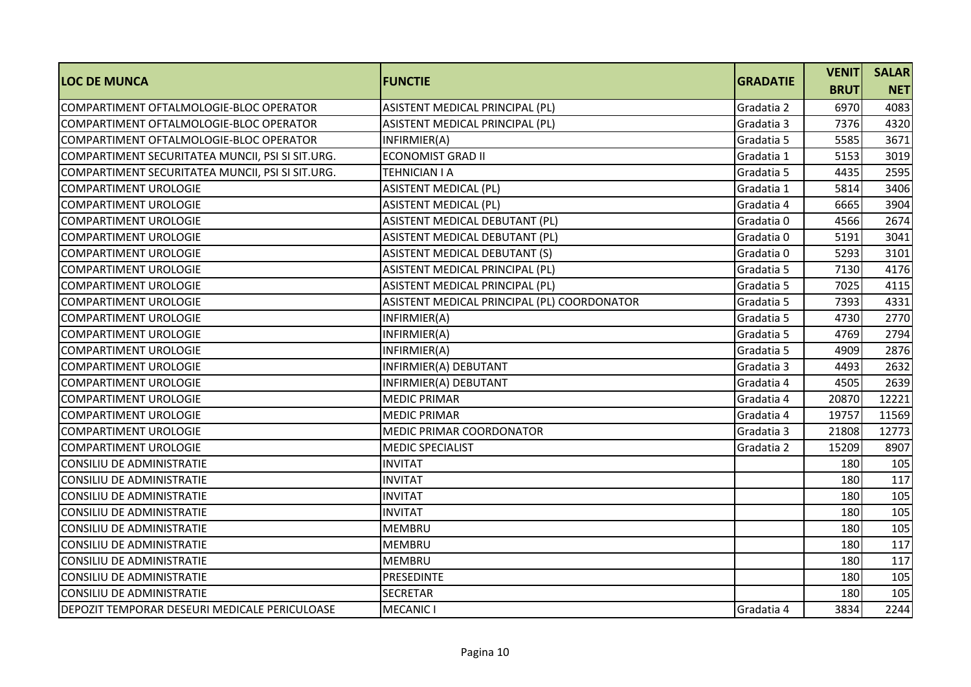| <b>LOC DE MUNCA</b>                              | <b>FUNCTIE</b>                              | <b>GRADATIE</b> | <b>VENIT</b> | <b>SALAR</b> |
|--------------------------------------------------|---------------------------------------------|-----------------|--------------|--------------|
|                                                  |                                             |                 | <b>BRUT</b>  | <b>NET</b>   |
| COMPARTIMENT OFTALMOLOGIE-BLOC OPERATOR          | ASISTENT MEDICAL PRINCIPAL (PL)             | Gradatia 2      | 6970         | 4083         |
| COMPARTIMENT OFTALMOLOGIE-BLOC OPERATOR          | ASISTENT MEDICAL PRINCIPAL (PL)             | Gradatia 3      | 7376         | 4320         |
| COMPARTIMENT OFTALMOLOGIE-BLOC OPERATOR          | INFIRMIER(A)                                | Gradatia 5      | 5585         | 3671         |
| COMPARTIMENT SECURITATEA MUNCII, PSI SI SIT.URG. | <b>ECONOMIST GRAD II</b>                    | Gradatia 1      | 5153         | 3019         |
| COMPARTIMENT SECURITATEA MUNCII, PSI SI SIT.URG. | <b>TEHNICIAN I A</b>                        | Gradatia 5      | 4435         | 2595         |
| <b>COMPARTIMENT UROLOGIE</b>                     | <b>ASISTENT MEDICAL (PL)</b>                | Gradatia 1      | 5814         | 3406         |
| <b>COMPARTIMENT UROLOGIE</b>                     | <b>ASISTENT MEDICAL (PL)</b>                | Gradatia 4      | 6665         | 3904         |
| <b>COMPARTIMENT UROLOGIE</b>                     | ASISTENT MEDICAL DEBUTANT (PL)              | Gradatia 0      | 4566         | 2674         |
| <b>COMPARTIMENT UROLOGIE</b>                     | ASISTENT MEDICAL DEBUTANT (PL)              | Gradatia 0      | 5191         | 3041         |
| <b>COMPARTIMENT UROLOGIE</b>                     | <b>ASISTENT MEDICAL DEBUTANT (S)</b>        | Gradatia 0      | 5293         | 3101         |
| <b>COMPARTIMENT UROLOGIE</b>                     | ASISTENT MEDICAL PRINCIPAL (PL)             | Gradatia 5      | 7130         | 4176         |
| <b>COMPARTIMENT UROLOGIE</b>                     | ASISTENT MEDICAL PRINCIPAL (PL)             | Gradatia 5      | 7025         | 4115         |
| <b>COMPARTIMENT UROLOGIE</b>                     | ASISTENT MEDICAL PRINCIPAL (PL) COORDONATOR | Gradatia 5      | 7393         | 4331         |
| <b>COMPARTIMENT UROLOGIE</b>                     | INFIRMIER(A)                                | Gradatia 5      | 4730         | 2770         |
| <b>COMPARTIMENT UROLOGIE</b>                     | INFIRMIER(A)                                | Gradatia 5      | 4769         | 2794         |
| COMPARTIMENT UROLOGIE                            | INFIRMIER(A)                                | Gradatia 5      | 4909         | 2876         |
| <b>COMPARTIMENT UROLOGIE</b>                     | INFIRMIER(A) DEBUTANT                       | Gradatia 3      | 4493         | 2632         |
| <b>COMPARTIMENT UROLOGIE</b>                     | INFIRMIER(A) DEBUTANT                       | Gradatia 4      | 4505         | 2639         |
| <b>COMPARTIMENT UROLOGIE</b>                     | <b>MEDIC PRIMAR</b>                         | Gradatia 4      | 20870        | 12221        |
| <b>COMPARTIMENT UROLOGIE</b>                     | <b>MEDIC PRIMAR</b>                         | Gradatia 4      | 19757        | 11569        |
| <b>COMPARTIMENT UROLOGIE</b>                     | MEDIC PRIMAR COORDONATOR                    | Gradatia 3      | 21808        | 12773        |
| <b>COMPARTIMENT UROLOGIE</b>                     | <b>MEDIC SPECIALIST</b>                     | Gradatia 2      | 15209        | 8907         |
| CONSILIU DE ADMINISTRATIE                        | <b>INVITAT</b>                              |                 | 180          | 105          |
| CONSILIU DE ADMINISTRATIE                        | <b>INVITAT</b>                              |                 | 180          | 117          |
| CONSILIU DE ADMINISTRATIE                        | <b>INVITAT</b>                              |                 | 180          | 105          |
| <b>CONSILIU DE ADMINISTRATIE</b>                 | <b>INVITAT</b>                              |                 | 180          | 105          |
| <b>CONSILIU DE ADMINISTRATIE</b>                 | <b>MEMBRU</b>                               |                 | 180          | 105          |
| <b>CONSILIU DE ADMINISTRATIE</b>                 | <b>MEMBRU</b>                               |                 | 180          | 117          |
| <b>CONSILIU DE ADMINISTRATIE</b>                 | <b>MEMBRU</b>                               |                 | 180          | 117          |
| <b>CONSILIU DE ADMINISTRATIE</b>                 | PRESEDINTE                                  |                 | 180          | 105          |
| <b>CONSILIU DE ADMINISTRATIE</b>                 | <b>SECRETAR</b>                             |                 | 180          | 105          |
| DEPOZIT TEMPORAR DESEURI MEDICALE PERICULOASE    | <b>MECANIC I</b>                            | Gradatia 4      | 3834         | 2244         |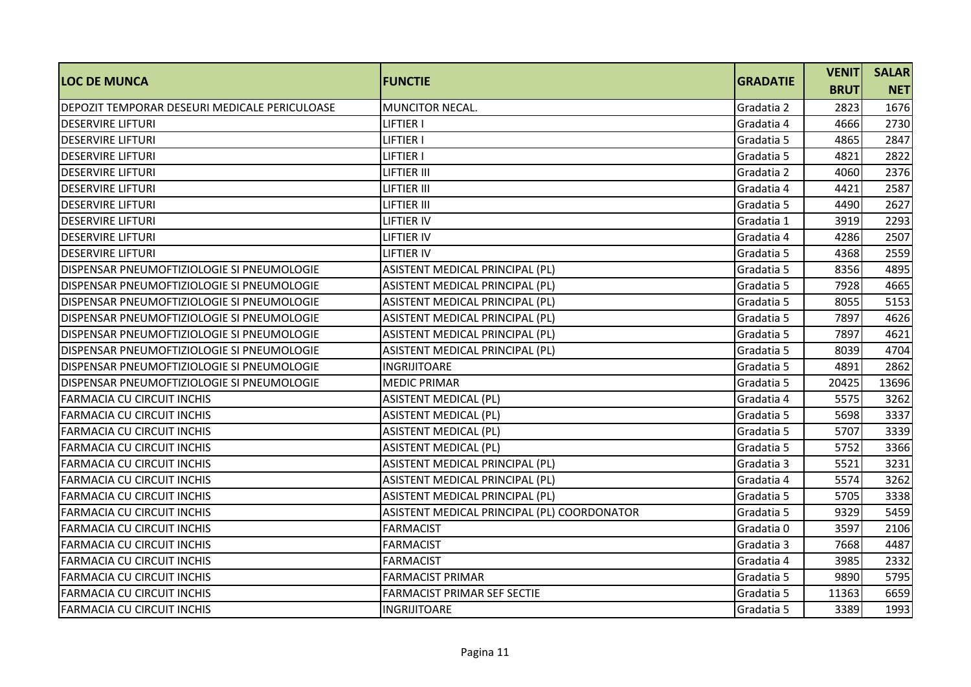| <b>LOC DE MUNCA</b>                           | <b>FUNCTIE</b>                              | <b>GRADATIE</b> | <b>VENIT</b> | <b>SALAR</b> |
|-----------------------------------------------|---------------------------------------------|-----------------|--------------|--------------|
|                                               |                                             |                 | <b>BRUT</b>  | <b>NET</b>   |
| DEPOZIT TEMPORAR DESEURI MEDICALE PERICULOASE | <b>MUNCITOR NECAL.</b>                      | Gradatia 2      | 2823         | 1676         |
| <b>DESERVIRE LIFTURI</b>                      | LIFTIER I                                   | Gradatia 4      | 4666         | 2730         |
| <b>DESERVIRE LIFTURI</b>                      | <b>LIFTIER I</b>                            | Gradatia 5      | 4865         | 2847         |
| <b>DESERVIRE LIFTURI</b>                      | LIFTIER I                                   | Gradatia 5      | 4821         | 2822         |
| <b>DESERVIRE LIFTURI</b>                      | <b>LIFTIER III</b>                          | Gradatia 2      | 4060         | 2376         |
| <b>DESERVIRE LIFTURI</b>                      | <b>LIFTIER III</b>                          | Gradatia 4      | 4421         | 2587         |
| <b>DESERVIRE LIFTURI</b>                      | <b>LIFTIER III</b>                          | Gradatia 5      | 4490         | 2627         |
| <b>DESERVIRE LIFTURI</b>                      | LIFTIER IV                                  | Gradatia 1      | 3919         | 2293         |
| <b>DESERVIRE LIFTURI</b>                      | <b>LIFTIER IV</b>                           | Gradatia 4      | 4286         | 2507         |
| <b>DESERVIRE LIFTURI</b>                      | <b>LIFTIER IV</b>                           | Gradatia 5      | 4368         | 2559         |
| DISPENSAR PNEUMOFTIZIOLOGIE SI PNEUMOLOGIE    | ASISTENT MEDICAL PRINCIPAL (PL)             | Gradatia 5      | 8356         | 4895         |
| DISPENSAR PNEUMOFTIZIOLOGIE SI PNEUMOLOGIE    | ASISTENT MEDICAL PRINCIPAL (PL)             | Gradatia 5      | 7928         | 4665         |
| DISPENSAR PNEUMOFTIZIOLOGIE SI PNEUMOLOGIE    | ASISTENT MEDICAL PRINCIPAL (PL)             | Gradatia 5      | 8055         | 5153         |
| DISPENSAR PNEUMOFTIZIOLOGIE SI PNEUMOLOGIE    | ASISTENT MEDICAL PRINCIPAL (PL)             | Gradatia 5      | 7897         | 4626         |
| DISPENSAR PNEUMOFTIZIOLOGIE SI PNEUMOLOGIE    | ASISTENT MEDICAL PRINCIPAL (PL)             | Gradatia 5      | 7897         | 4621         |
| DISPENSAR PNEUMOFTIZIOLOGIE SI PNEUMOLOGIE    | ASISTENT MEDICAL PRINCIPAL (PL)             | Gradatia 5      | 8039         | 4704         |
| DISPENSAR PNEUMOFTIZIOLOGIE SI PNEUMOLOGIE    | <b>INGRIJITOARE</b>                         | Gradatia 5      | 4891         | 2862         |
| DISPENSAR PNEUMOFTIZIOLOGIE SI PNEUMOLOGIE    | <b>MEDIC PRIMAR</b>                         | Gradatia 5      | 20425        | 13696        |
| <b>FARMACIA CU CIRCUIT INCHIS</b>             | <b>ASISTENT MEDICAL (PL)</b>                | Gradatia 4      | 5575         | 3262         |
| FARMACIA CU CIRCUIT INCHIS                    | <b>ASISTENT MEDICAL (PL)</b>                | Gradatia 5      | 5698         | 3337         |
| <b>FARMACIA CU CIRCUIT INCHIS</b>             | <b>ASISTENT MEDICAL (PL)</b>                | Gradatia 5      | 5707         | 3339         |
| <b>FARMACIA CU CIRCUIT INCHIS</b>             | <b>ASISTENT MEDICAL (PL)</b>                | Gradatia 5      | 5752         | 3366         |
| FARMACIA CU CIRCUIT INCHIS                    | ASISTENT MEDICAL PRINCIPAL (PL)             | Gradatia 3      | 5521         | 3231         |
| <b>FARMACIA CU CIRCUIT INCHIS</b>             | ASISTENT MEDICAL PRINCIPAL (PL)             | Gradatia 4      | 5574         | 3262         |
| <b>FARMACIA CU CIRCUIT INCHIS</b>             | ASISTENT MEDICAL PRINCIPAL (PL)             | Gradatia 5      | 5705         | 3338         |
| <b>FARMACIA CU CIRCUIT INCHIS</b>             | ASISTENT MEDICAL PRINCIPAL (PL) COORDONATOR | Gradatia 5      | 9329         | 5459         |
| <b>FARMACIA CU CIRCUIT INCHIS</b>             | <b>FARMACIST</b>                            | Gradatia 0      | 3597         | 2106         |
| <b>FARMACIA CU CIRCUIT INCHIS</b>             | <b>FARMACIST</b>                            | Gradatia 3      | 7668         | 4487         |
| <b>FARMACIA CU CIRCUIT INCHIS</b>             | <b>FARMACIST</b>                            | Gradatia 4      | 3985         | 2332         |
| <b>FARMACIA CU CIRCUIT INCHIS</b>             | <b>FARMACIST PRIMAR</b>                     | Gradatia 5      | 9890         | 5795         |
| <b>FARMACIA CU CIRCUIT INCHIS</b>             | <b>FARMACIST PRIMAR SEF SECTIE</b>          | Gradatia 5      | 11363        | 6659         |
| <b>FARMACIA CU CIRCUIT INCHIS</b>             | <b>INGRIJITOARE</b>                         | Gradatia 5      | 3389         | 1993         |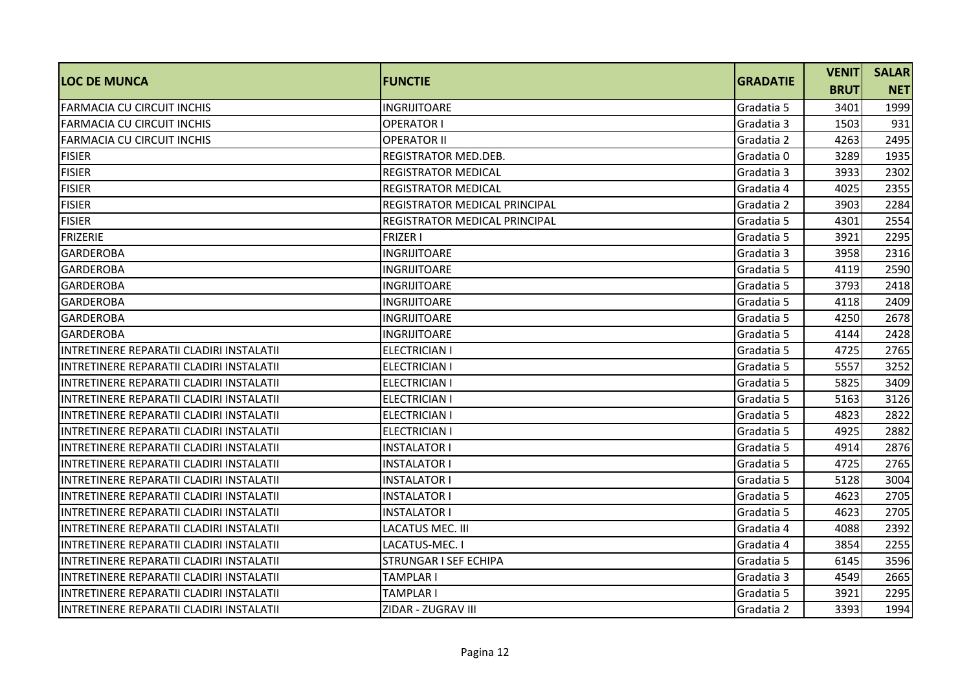| <b>LOC DE MUNCA</b>                      | <b>FUNCTIE</b>                       | <b>GRADATIE</b> | <b>VENIT</b> | <b>SALAR</b> |
|------------------------------------------|--------------------------------------|-----------------|--------------|--------------|
|                                          |                                      |                 | <b>BRUT</b>  | <b>NET</b>   |
| FARMACIA CU CIRCUIT INCHIS               | <b>INGRIJITOARE</b>                  | Gradatia 5      | 3401         | 1999         |
| FARMACIA CU CIRCUIT INCHIS               | <b>OPERATOR I</b>                    | Gradatia 3      | 1503         | 931          |
| <b>FARMACIA CU CIRCUIT INCHIS</b>        | <b>OPERATOR II</b>                   | Gradatia 2      | 4263         | 2495         |
| <b>FISIER</b>                            | <b>REGISTRATOR MED.DEB.</b>          | Gradatia 0      | 3289         | 1935         |
| <b>FISIER</b>                            | IREGISTRATOR MEDICAL                 | Gradatia 3      | 3933         | 2302         |
| <b>FISIER</b>                            | <b>REGISTRATOR MEDICAL</b>           | Gradatia 4      | 4025         | 2355         |
| <b>FISIER</b>                            | REGISTRATOR MEDICAL PRINCIPAL        | Gradatia 2      | 3903         | 2284         |
| <b>FISIER</b>                            | <b>REGISTRATOR MEDICAL PRINCIPAL</b> | Gradatia 5      | 4301         | 2554         |
| FRIZERIE                                 | <b>FRIZER I</b>                      | Gradatia 5      | 3921         | 2295         |
| <b>GARDEROBA</b>                         | INGRIJITOARE                         | Gradatia 3      | 3958         | 2316         |
| <b>GARDEROBA</b>                         | <b>INGRIJITOARE</b>                  | Gradatia 5      | 4119         | 2590         |
| <b>GARDEROBA</b>                         | <b>INGRIJITOARE</b>                  | Gradatia 5      | 3793         | 2418         |
| <b>GARDEROBA</b>                         | <b>INGRIJITOARE</b>                  | Gradatia 5      | 4118         | 2409         |
| <b>GARDEROBA</b>                         | INGRIJITOARE                         | Gradatia 5      | 4250         | 2678         |
| <b>GARDEROBA</b>                         | INGRIJITOARE                         | Gradatia 5      | 4144         | 2428         |
| INTRETINERE REPARATII CLADIRI INSTALATII | <b>ELECTRICIAN I</b>                 | Gradatia 5      | 4725         | 2765         |
| INTRETINERE REPARATII CLADIRI INSTALATII | <b>ELECTRICIAN I</b>                 | Gradatia 5      | 5557         | 3252         |
| INTRETINERE REPARATII CLADIRI INSTALATII | <b>ELECTRICIAN I</b>                 | Gradatia 5      | 5825         | 3409         |
| INTRETINERE REPARATII CLADIRI INSTALATII | ELECTRICIAN I                        | Gradatia 5      | 5163         | 3126         |
| INTRETINERE REPARATII CLADIRI INSTALATII | <b>ELECTRICIAN I</b>                 | Gradatia 5      | 4823         | 2822         |
| INTRETINERE REPARATII CLADIRI INSTALATII | <b>ELECTRICIAN I</b>                 | Gradatia 5      | 4925         | 2882         |
| INTRETINERE REPARATII CLADIRI INSTALATII | INSTALATOR I                         | Gradatia 5      | 4914         | 2876         |
| INTRETINERE REPARATII CLADIRI INSTALATII | <b>INSTALATOR I</b>                  | Gradatia 5      | 4725         | 2765         |
| INTRETINERE REPARATII CLADIRI INSTALATII | <b>INSTALATOR I</b>                  | Gradatia 5      | 5128         | 3004         |
| INTRETINERE REPARATII CLADIRI INSTALATII | <b>INSTALATOR I</b>                  | Gradatia 5      | 4623         | 2705         |
| INTRETINERE REPARATII CLADIRI INSTALATII | <b>INSTALATOR I</b>                  | Gradatia 5      | 4623         | 2705         |
| INTRETINERE REPARATII CLADIRI INSTALATII | <b>LACATUS MEC. III</b>              | Gradatia 4      | 4088         | 2392         |
| INTRETINERE REPARATII CLADIRI INSTALATII | LACATUS-MEC. I                       | Gradatia 4      | 3854         | 2255         |
| INTRETINERE REPARATII CLADIRI INSTALATII | <b>STRUNGAR I SEF ECHIPA</b>         | Gradatia 5      | 6145         | 3596         |
| INTRETINERE REPARATII CLADIRI INSTALATII | TAMPLAR I                            | Gradatia 3      | 4549         | 2665         |
| INTRETINERE REPARATII CLADIRI INSTALATII | <b>TAMPLAR I</b>                     | Gradatia 5      | 3921         | 2295         |
| INTRETINERE REPARATII CLADIRI INSTALATII | ZIDAR - ZUGRAV III                   | Gradatia 2      | 3393         | 1994         |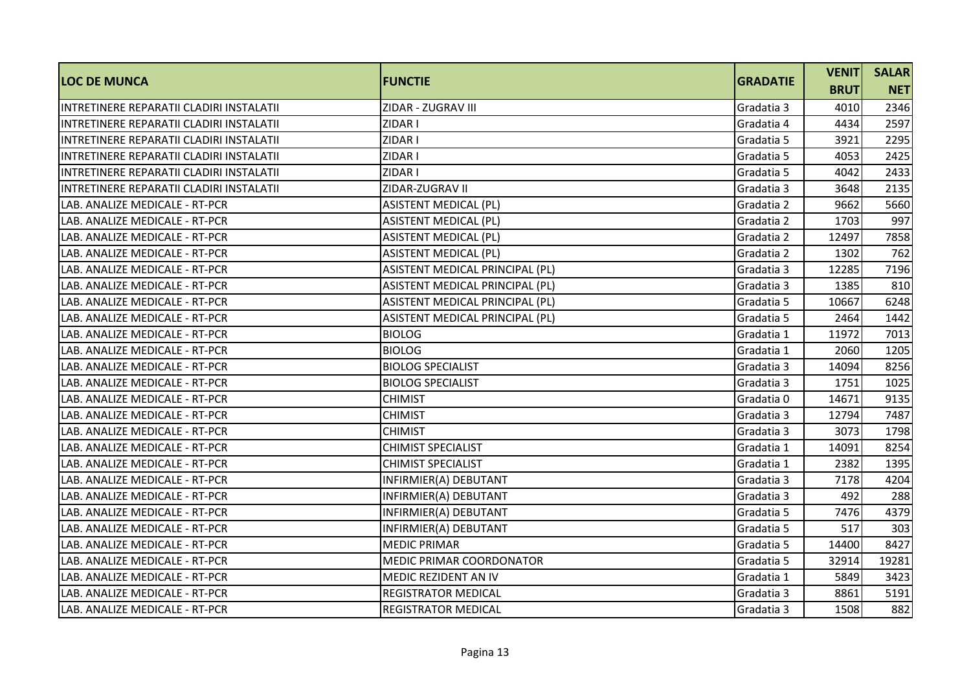| <b>LOC DE MUNCA</b>                       | <b>FUNCTIE</b>                  | <b>GRADATIE</b> | <b>VENIT</b> | <b>SALAR</b> |
|-------------------------------------------|---------------------------------|-----------------|--------------|--------------|
|                                           |                                 |                 | <b>BRUT</b>  | <b>NET</b>   |
| IINTRETINERE REPARATII CLADIRI INSTALATII | ZIDAR - ZUGRAV III              | Gradatia 3      | 4010         | 2346         |
| INTRETINERE REPARATII CLADIRI INSTALATII  | ZIDAR I                         | Gradatia 4      | 4434         | 2597         |
| INTRETINERE REPARATII CLADIRI INSTALATII  | ZIDAR I                         | Gradatia 5      | 3921         | 2295         |
| INTRETINERE REPARATII CLADIRI INSTALATII  | ZIDAR I                         | Gradatia 5      | 4053         | 2425         |
| INTRETINERE REPARATII CLADIRI INSTALATII  | ZIDAR I                         | Gradatia 5      | 4042         | 2433         |
| INTRETINERE REPARATII CLADIRI INSTALATII  | ZIDAR-ZUGRAV II                 | Gradatia 3      | 3648         | 2135         |
| LAB. ANALIZE MEDICALE - RT-PCR            | <b>ASISTENT MEDICAL (PL)</b>    | Gradatia 2      | 9662         | 5660         |
| LAB. ANALIZE MEDICALE - RT-PCR            | <b>ASISTENT MEDICAL (PL)</b>    | Gradatia 2      | 1703         | 997          |
| LAB. ANALIZE MEDICALE - RT-PCR            | <b>ASISTENT MEDICAL (PL)</b>    | Gradatia 2      | 12497        | 7858         |
| LAB. ANALIZE MEDICALE - RT-PCR            | <b>ASISTENT MEDICAL (PL)</b>    | Gradatia 2      | 1302         | 762          |
| LAB. ANALIZE MEDICALE - RT-PCR            | ASISTENT MEDICAL PRINCIPAL (PL) | Gradatia 3      | 12285        | 7196         |
| LAB. ANALIZE MEDICALE - RT-PCR            | ASISTENT MEDICAL PRINCIPAL (PL) | Gradatia 3      | 1385         | 810          |
| LAB. ANALIZE MEDICALE - RT-PCR            | ASISTENT MEDICAL PRINCIPAL (PL) | Gradatia 5      | 10667        | 6248         |
| LAB. ANALIZE MEDICALE - RT-PCR            | ASISTENT MEDICAL PRINCIPAL (PL) | Gradatia 5      | 2464         | 1442         |
| LAB. ANALIZE MEDICALE - RT-PCR            | <b>BIOLOG</b>                   | Gradatia 1      | 11972        | 7013         |
| LAB. ANALIZE MEDICALE - RT-PCR            | <b>BIOLOG</b>                   | Gradatia 1      | 2060         | 1205         |
| LAB. ANALIZE MEDICALE - RT-PCR            | <b>BIOLOG SPECIALIST</b>        | Gradatia 3      | 14094        | 8256         |
| LAB. ANALIZE MEDICALE - RT-PCR            | <b>BIOLOG SPECIALIST</b>        | Gradatia 3      | 1751         | 1025         |
| LAB. ANALIZE MEDICALE - RT-PCR            | <b>CHIMIST</b>                  | Gradatia 0      | 14671        | 9135         |
| LAB. ANALIZE MEDICALE - RT-PCR            | <b>CHIMIST</b>                  | Gradatia 3      | 12794        | 7487         |
| LAB. ANALIZE MEDICALE - RT-PCR            | <b>CHIMIST</b>                  | Gradatia 3      | 3073         | 1798         |
| LAB. ANALIZE MEDICALE - RT-PCR            | <b>CHIMIST SPECIALIST</b>       | Gradatia 1      | 14091        | 8254         |
| LAB. ANALIZE MEDICALE - RT-PCR            | <b>CHIMIST SPECIALIST</b>       | Gradatia 1      | 2382         | 1395         |
| LAB. ANALIZE MEDICALE - RT-PCR            | INFIRMIER(A) DEBUTANT           | Gradatia 3      | 7178         | 4204         |
| LAB. ANALIZE MEDICALE - RT-PCR            | INFIRMIER(A) DEBUTANT           | Gradatia 3      | 492          | 288          |
| LAB. ANALIZE MEDICALE - RT-PCR            | INFIRMIER(A) DEBUTANT           | Gradatia 5      | 7476         | 4379         |
| LAB. ANALIZE MEDICALE - RT-PCR            | INFIRMIER(A) DEBUTANT           | Gradatia 5      | 517          | 303          |
| LAB. ANALIZE MEDICALE - RT-PCR            | <b>MEDIC PRIMAR</b>             | Gradatia 5      | 14400        | 8427         |
| LAB. ANALIZE MEDICALE - RT-PCR            | <b>MEDIC PRIMAR COORDONATOR</b> | Gradatia 5      | 32914        | 19281        |
| LAB. ANALIZE MEDICALE - RT-PCR            | MEDIC REZIDENT AN IV            | Gradatia 1      | 5849         | 3423         |
| LAB. ANALIZE MEDICALE - RT-PCR            | <b>REGISTRATOR MEDICAL</b>      | Gradatia 3      | 8861         | 5191         |
| LAB. ANALIZE MEDICALE - RT-PCR            | <b>REGISTRATOR MEDICAL</b>      | Gradatia 3      | 1508         | 882          |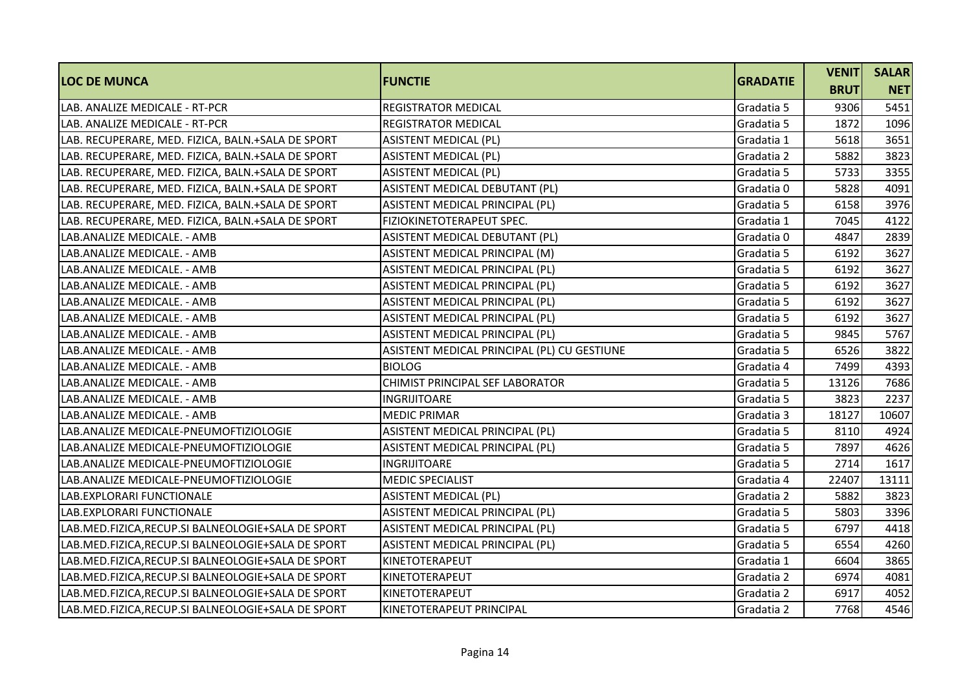|                                                    |                                             | <b>GRADATIE</b> | <b>VENIT</b> | <b>SALAR</b> |
|----------------------------------------------------|---------------------------------------------|-----------------|--------------|--------------|
| <b>LOC DE MUNCA</b>                                | <b>FUNCTIE</b>                              |                 | <b>BRUT</b>  | <b>NET</b>   |
| LAB. ANALIZE MEDICALE - RT-PCR                     | <b>REGISTRATOR MEDICAL</b>                  | Gradatia 5      | 9306         | 5451         |
| LAB. ANALIZE MEDICALE - RT-PCR                     | <b>REGISTRATOR MEDICAL</b>                  | Gradatia 5      | 1872         | 1096         |
| LAB. RECUPERARE, MED. FIZICA, BALN.+SALA DE SPORT  | <b>ASISTENT MEDICAL (PL)</b>                | Gradatia 1      | 5618         | 3651         |
| LAB. RECUPERARE, MED. FIZICA, BALN.+SALA DE SPORT  | <b>ASISTENT MEDICAL (PL)</b>                | Gradatia 2      | 5882         | 3823         |
| LAB. RECUPERARE, MED. FIZICA, BALN.+SALA DE SPORT  | <b>ASISTENT MEDICAL (PL)</b>                | Gradatia 5      | 5733         | 3355         |
| LAB. RECUPERARE, MED. FIZICA, BALN.+SALA DE SPORT  | ASISTENT MEDICAL DEBUTANT (PL)              | Gradatia 0      | 5828         | 4091         |
| LAB. RECUPERARE, MED. FIZICA, BALN.+SALA DE SPORT  | ASISTENT MEDICAL PRINCIPAL (PL)             | Gradatia 5      | 6158         | 3976         |
| LAB. RECUPERARE, MED. FIZICA, BALN.+SALA DE SPORT  | FIZIOKINETOTERAPEUT SPEC.                   | Gradatia 1      | 7045         | 4122         |
| LAB.ANALIZE MEDICALE. - AMB                        | ASISTENT MEDICAL DEBUTANT (PL)              | Gradatia 0      | 4847         | 2839         |
| LAB.ANALIZE MEDICALE. - AMB                        | ASISTENT MEDICAL PRINCIPAL (M)              | Gradatia 5      | 6192         | 3627         |
| LAB.ANALIZE MEDICALE. - AMB                        | ASISTENT MEDICAL PRINCIPAL (PL)             | Gradatia 5      | 6192         | 3627         |
| LAB.ANALIZE MEDICALE. - AMB                        | ASISTENT MEDICAL PRINCIPAL (PL)             | Gradatia 5      | 6192         | 3627         |
| LAB.ANALIZE MEDICALE. - AMB                        | ASISTENT MEDICAL PRINCIPAL (PL)             | Gradatia 5      | 6192         | 3627         |
| LAB.ANALIZE MEDICALE. - AMB                        | ASISTENT MEDICAL PRINCIPAL (PL)             | Gradatia 5      | 6192         | 3627         |
| LAB.ANALIZE MEDICALE. - AMB                        | ASISTENT MEDICAL PRINCIPAL (PL)             | Gradatia 5      | 9845         | 5767         |
| LAB.ANALIZE MEDICALE. - AMB                        | ASISTENT MEDICAL PRINCIPAL (PL) CU GESTIUNE | Gradatia 5      | 6526         | 3822         |
| LAB.ANALIZE MEDICALE. - AMB                        | <b>BIOLOG</b>                               | Gradatia 4      | 7499         | 4393         |
| LAB.ANALIZE MEDICALE. - AMB                        | CHIMIST PRINCIPAL SEF LABORATOR             | Gradatia 5      | 13126        | 7686         |
| LAB.ANALIZE MEDICALE. - AMB                        | INGRIJITOARE                                | Gradatia 5      | 3823         | 2237         |
| LAB.ANALIZE MEDICALE. - AMB                        | <b>MEDIC PRIMAR</b>                         | Gradatia 3      | 18127        | 10607        |
| LAB.ANALIZE MEDICALE-PNEUMOFTIZIOLOGIE             | ASISTENT MEDICAL PRINCIPAL (PL)             | Gradatia 5      | 8110         | 4924         |
| LAB.ANALIZE MEDICALE-PNEUMOFTIZIOLOGIE             | ASISTENT MEDICAL PRINCIPAL (PL)             | Gradatia 5      | 7897         | 4626         |
| LAB.ANALIZE MEDICALE-PNEUMOFTIZIOLOGIE             | <b>INGRIJITOARE</b>                         | Gradatia 5      | 2714         | 1617         |
| LAB.ANALIZE MEDICALE-PNEUMOFTIZIOLOGIE             | <b>MEDIC SPECIALIST</b>                     | Gradatia 4      | 22407        | 13111        |
| LAB.EXPLORARI FUNCTIONALE                          | <b>ASISTENT MEDICAL (PL)</b>                | Gradatia 2      | 5882         | 3823         |
| LAB. EXPLORARI FUNCTIONALE                         | ASISTENT MEDICAL PRINCIPAL (PL)             | Gradatia 5      | 5803         | 3396         |
| LAB.MED.FIZICA, RECUP.SI BALNEOLOGIE+SALA DE SPORT | ASISTENT MEDICAL PRINCIPAL (PL)             | Gradatia 5      | 6797         | 4418         |
| LAB.MED.FIZICA, RECUP.SI BALNEOLOGIE+SALA DE SPORT | ASISTENT MEDICAL PRINCIPAL (PL)             | Gradatia 5      | 6554         | 4260         |
| LAB.MED.FIZICA, RECUP.SI BALNEOLOGIE+SALA DE SPORT | <b>KINETOTERAPEUT</b>                       | Gradatia 1      | 6604         | 3865         |
| LAB.MED.FIZICA, RECUP.SI BALNEOLOGIE+SALA DE SPORT | KINETOTERAPEUT                              | Gradatia 2      | 6974         | 4081         |
| LAB.MED.FIZICA, RECUP.SI BALNEOLOGIE+SALA DE SPORT | KINETOTERAPEUT                              | Gradatia 2      | 6917         | 4052         |
| LAB.MED.FIZICA, RECUP.SI BALNEOLOGIE+SALA DE SPORT | KINETOTERAPEUT PRINCIPAL                    | Gradatia 2      | 7768         | 4546         |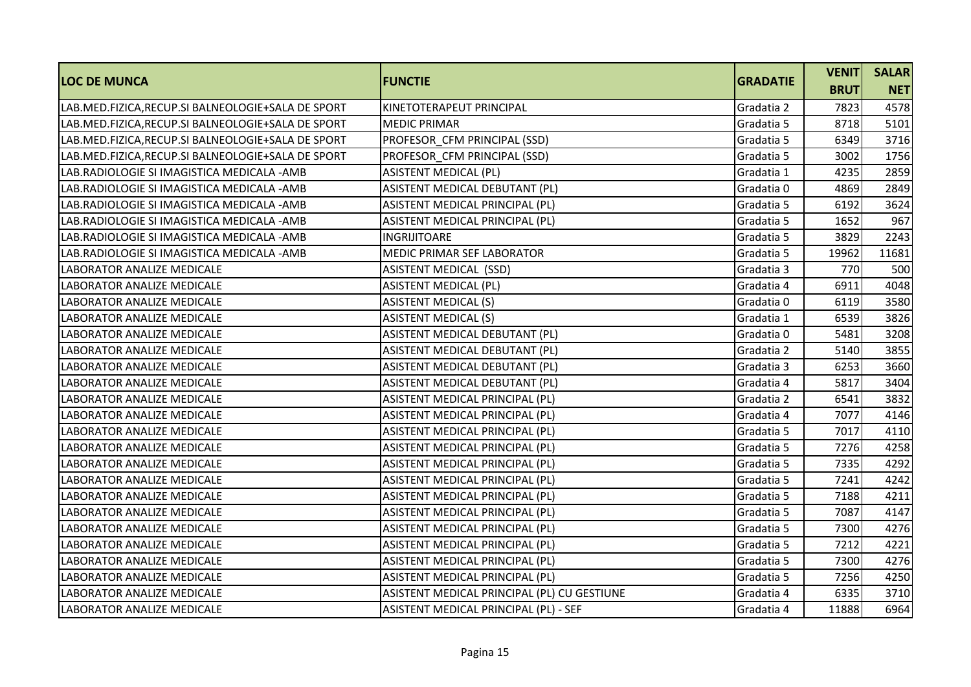| <b>LOC DE MUNCA</b>                                | <b>FUNCTIE</b>                              | <b>GRADATIE</b> | <b>VENIT</b> | <b>SALAR</b> |
|----------------------------------------------------|---------------------------------------------|-----------------|--------------|--------------|
|                                                    |                                             |                 | <b>BRUT</b>  | <b>NET</b>   |
| LAB.MED.FIZICA, RECUP.SI BALNEOLOGIE+SALA DE SPORT | KINETOTERAPEUT PRINCIPAL                    | Gradatia 2      | 7823         | 4578         |
| LAB.MED.FIZICA, RECUP.SI BALNEOLOGIE+SALA DE SPORT | <b>MEDIC PRIMAR</b>                         | Gradatia 5      | 8718         | 5101         |
| LAB.MED.FIZICA, RECUP.SI BALNEOLOGIE+SALA DE SPORT | PROFESOR CFM PRINCIPAL (SSD)                | Gradatia 5      | 6349         | 3716         |
| LAB.MED.FIZICA, RECUP.SI BALNEOLOGIE+SALA DE SPORT | PROFESOR CFM PRINCIPAL (SSD)                | Gradatia 5      | 3002         | 1756         |
| LAB.RADIOLOGIE SI IMAGISTICA MEDICALA -AMB         | <b>ASISTENT MEDICAL (PL)</b>                | Gradatia 1      | 4235         | 2859         |
| ILAB.RADIOLOGIE SI IMAGISTICA MEDICALA -AMB        | ASISTENT MEDICAL DEBUTANT (PL)              | Gradatia 0      | 4869         | 2849         |
| LAB.RADIOLOGIE SI IMAGISTICA MEDICALA -AMB         | ASISTENT MEDICAL PRINCIPAL (PL)             | Gradatia 5      | 6192         | 3624         |
| LAB.RADIOLOGIE SI IMAGISTICA MEDICALA -AMB         | ASISTENT MEDICAL PRINCIPAL (PL)             | Gradatia 5      | 1652         | 967          |
| LAB.RADIOLOGIE SI IMAGISTICA MEDICALA -AMB         | <b>INGRIJITOARE</b>                         | Gradatia 5      | 3829         | 2243         |
| LAB.RADIOLOGIE SI IMAGISTICA MEDICALA -AMB         | MEDIC PRIMAR SEF LABORATOR                  | Gradatia 5      | 19962        | 11681        |
| LABORATOR ANALIZE MEDICALE                         | <b>ASISTENT MEDICAL (SSD)</b>               | Gradatia 3      | 770          | 500          |
| <b>LABORATOR ANALIZE MEDICALE</b>                  | <b>ASISTENT MEDICAL (PL)</b>                | Gradatia 4      | 6911         | 4048         |
| LABORATOR ANALIZE MEDICALE                         | <b>ASISTENT MEDICAL (S)</b>                 | Gradatia 0      | 6119         | 3580         |
| LABORATOR ANALIZE MEDICALE                         | <b>ASISTENT MEDICAL (S)</b>                 | Gradatia 1      | 6539         | 3826         |
| <b>LABORATOR ANALIZE MEDICALE</b>                  | ASISTENT MEDICAL DEBUTANT (PL)              | Gradatia 0      | 5481         | 3208         |
| LABORATOR ANALIZE MEDICALE                         | ASISTENT MEDICAL DEBUTANT (PL)              | Gradatia 2      | 5140         | 3855         |
| LABORATOR ANALIZE MEDICALE                         | ASISTENT MEDICAL DEBUTANT (PL)              | Gradatia 3      | 6253         | 3660         |
| LABORATOR ANALIZE MEDICALE                         | ASISTENT MEDICAL DEBUTANT (PL)              | Gradatia 4      | 5817         | 3404         |
| LABORATOR ANALIZE MEDICALE                         | ASISTENT MEDICAL PRINCIPAL (PL)             | Gradatia 2      | 6541         | 3832         |
| <b>LABORATOR ANALIZE MEDICALE</b>                  | ASISTENT MEDICAL PRINCIPAL (PL)             | Gradatia 4      | 7077         | 4146         |
| <b>LABORATOR ANALIZE MEDICALE</b>                  | ASISTENT MEDICAL PRINCIPAL (PL)             | Gradatia 5      | 7017         | 4110         |
| LABORATOR ANALIZE MEDICALE                         | ASISTENT MEDICAL PRINCIPAL (PL)             | Gradatia 5      | 7276         | 4258         |
| LABORATOR ANALIZE MEDICALE                         | ASISTENT MEDICAL PRINCIPAL (PL)             | Gradatia 5      | 7335         | 4292         |
| LABORATOR ANALIZE MEDICALE                         | ASISTENT MEDICAL PRINCIPAL (PL)             | Gradatia 5      | 7241         | 4242         |
| LABORATOR ANALIZE MEDICALE                         | ASISTENT MEDICAL PRINCIPAL (PL)             | Gradatia 5      | 7188         | 4211         |
| LABORATOR ANALIZE MEDICALE                         | ASISTENT MEDICAL PRINCIPAL (PL)             | Gradatia 5      | 7087         | 4147         |
| LABORATOR ANALIZE MEDICALE                         | ASISTENT MEDICAL PRINCIPAL (PL)             | Gradatia 5      | 7300         | 4276         |
| LABORATOR ANALIZE MEDICALE                         | ASISTENT MEDICAL PRINCIPAL (PL)             | Gradatia 5      | 7212         | 4221         |
| LABORATOR ANALIZE MEDICALE                         | ASISTENT MEDICAL PRINCIPAL (PL)             | Gradatia 5      | 7300         | 4276         |
| LABORATOR ANALIZE MEDICALE                         | ASISTENT MEDICAL PRINCIPAL (PL)             | Gradatia 5      | 7256         | 4250         |
| LABORATOR ANALIZE MEDICALE                         | ASISTENT MEDICAL PRINCIPAL (PL) CU GESTIUNE | Gradatia 4      | 6335         | 3710         |
| LABORATOR ANALIZE MEDICALE                         | ASISTENT MEDICAL PRINCIPAL (PL) - SEF       | Gradatia 4      | 11888        | 6964         |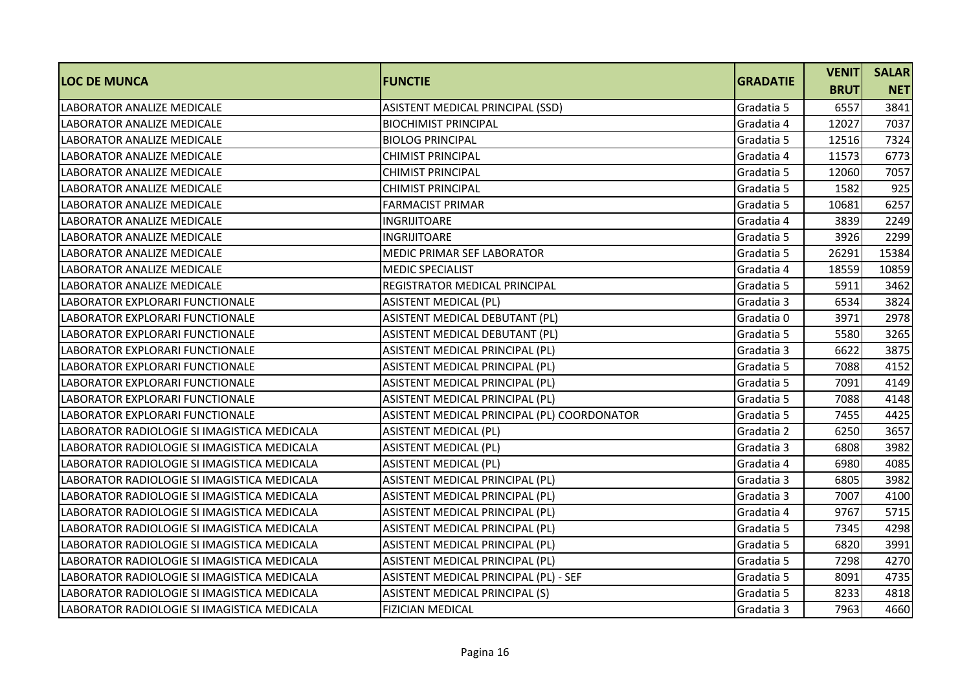| <b>LOC DE MUNCA</b>                         | <b>FUNCTIE</b>                              | <b>GRADATIE</b> |             | <b>SALAR</b> |
|---------------------------------------------|---------------------------------------------|-----------------|-------------|--------------|
|                                             |                                             |                 | <b>BRUT</b> | <b>NET</b>   |
| <b>LABORATOR ANALIZE MEDICALE</b>           | ASISTENT MEDICAL PRINCIPAL (SSD)            | Gradatia 5      | 6557        | 3841         |
| LABORATOR ANALIZE MEDICALE                  | <b>BIOCHIMIST PRINCIPAL</b>                 | Gradatia 4      | 12027       | 7037         |
| LABORATOR ANALIZE MEDICALE                  | <b>BIOLOG PRINCIPAL</b>                     | Gradatia 5      | 12516       | 7324         |
| LABORATOR ANALIZE MEDICALE                  | <b>CHIMIST PRINCIPAL</b>                    | Gradatia 4      | 11573       | 6773         |
| LABORATOR ANALIZE MEDICALE                  | <b>CHIMIST PRINCIPAL</b>                    | Gradatia 5      | 12060       | 7057         |
| LABORATOR ANALIZE MEDICALE                  | <b>CHIMIST PRINCIPAL</b>                    | Gradatia 5      | 1582        | 925          |
| LABORATOR ANALIZE MEDICALE                  | <b>FARMACIST PRIMAR</b>                     | Gradatia 5      | 10681       | 6257         |
| <b>LABORATOR ANALIZE MEDICALE</b>           | <b>INGRIJITOARE</b>                         | Gradatia 4      | 3839        | 2249         |
| LABORATOR ANALIZE MEDICALE                  | <b>INGRIJITOARE</b>                         | Gradatia 5      | 3926        | 2299         |
| <b>LABORATOR ANALIZE MEDICALE</b>           | <b>MEDIC PRIMAR SEF LABORATOR</b>           | Gradatia 5      | 26291       | 15384        |
| LABORATOR ANALIZE MEDICALE                  | <b>MEDIC SPECIALIST</b>                     | Gradatia 4      | 18559       | 10859        |
| LABORATOR ANALIZE MEDICALE                  | REGISTRATOR MEDICAL PRINCIPAL               | Gradatia 5      | 5911        | 3462         |
| LABORATOR EXPLORARI FUNCTIONALE             | <b>ASISTENT MEDICAL (PL)</b>                | Gradatia 3      | 6534        | 3824         |
| LABORATOR EXPLORARI FUNCTIONALE             | ASISTENT MEDICAL DEBUTANT (PL)              | Gradatia 0      | 3971        | 2978         |
| LABORATOR EXPLORARI FUNCTIONALE             | ASISTENT MEDICAL DEBUTANT (PL)              | Gradatia 5      | 5580        | 3265         |
| LABORATOR EXPLORARI FUNCTIONALE             | ASISTENT MEDICAL PRINCIPAL (PL)             | Gradatia 3      | 6622        | 3875         |
| LABORATOR EXPLORARI FUNCTIONALE             | ASISTENT MEDICAL PRINCIPAL (PL)             | Gradatia 5      | 7088        | 4152         |
| LABORATOR EXPLORARI FUNCTIONALE             | ASISTENT MEDICAL PRINCIPAL (PL)             | Gradatia 5      | 7091        | 4149         |
| LABORATOR EXPLORARI FUNCTIONALE             | ASISTENT MEDICAL PRINCIPAL (PL)             | Gradatia 5      | 7088        | 4148         |
| LABORATOR EXPLORARI FUNCTIONALE             | ASISTENT MEDICAL PRINCIPAL (PL) COORDONATOR | Gradatia 5      | 7455        | 4425         |
| LABORATOR RADIOLOGIE SI IMAGISTICA MEDICALA | <b>ASISTENT MEDICAL (PL)</b>                | Gradatia 2      | 6250        | 3657         |
| LABORATOR RADIOLOGIE SI IMAGISTICA MEDICALA | <b>ASISTENT MEDICAL (PL)</b>                | Gradatia 3      | 6808        | 3982         |
| LABORATOR RADIOLOGIE SI IMAGISTICA MEDICALA | <b>ASISTENT MEDICAL (PL)</b>                | Gradatia 4      | 6980        | 4085         |
| LABORATOR RADIOLOGIE SI IMAGISTICA MEDICALA | ASISTENT MEDICAL PRINCIPAL (PL)             | Gradatia 3      | 6805        | 3982         |
| LABORATOR RADIOLOGIE SI IMAGISTICA MEDICALA | ASISTENT MEDICAL PRINCIPAL (PL)             | Gradatia 3      | 7007        | 4100         |
| LABORATOR RADIOLOGIE SI IMAGISTICA MEDICALA | ASISTENT MEDICAL PRINCIPAL (PL)             | Gradatia 4      | 9767        | 5715         |
| LABORATOR RADIOLOGIE SI IMAGISTICA MEDICALA | ASISTENT MEDICAL PRINCIPAL (PL)             | Gradatia 5      | 7345        | 4298         |
| LABORATOR RADIOLOGIE SI IMAGISTICA MEDICALA | ASISTENT MEDICAL PRINCIPAL (PL)             | Gradatia 5      | 6820        | 3991         |
| LABORATOR RADIOLOGIE SI IMAGISTICA MEDICALA | ASISTENT MEDICAL PRINCIPAL (PL)             | Gradatia 5      | 7298        | 4270         |
| LABORATOR RADIOLOGIE SI IMAGISTICA MEDICALA | ASISTENT MEDICAL PRINCIPAL (PL) - SEF       | Gradatia 5      | 8091        | 4735         |
| LABORATOR RADIOLOGIE SI IMAGISTICA MEDICALA | ASISTENT MEDICAL PRINCIPAL (S)              | Gradatia 5      | 8233        | 4818         |
| LABORATOR RADIOLOGIE SI IMAGISTICA MEDICALA | <b>FIZICIAN MEDICAL</b>                     | Gradatia 3      | 7963        | 4660         |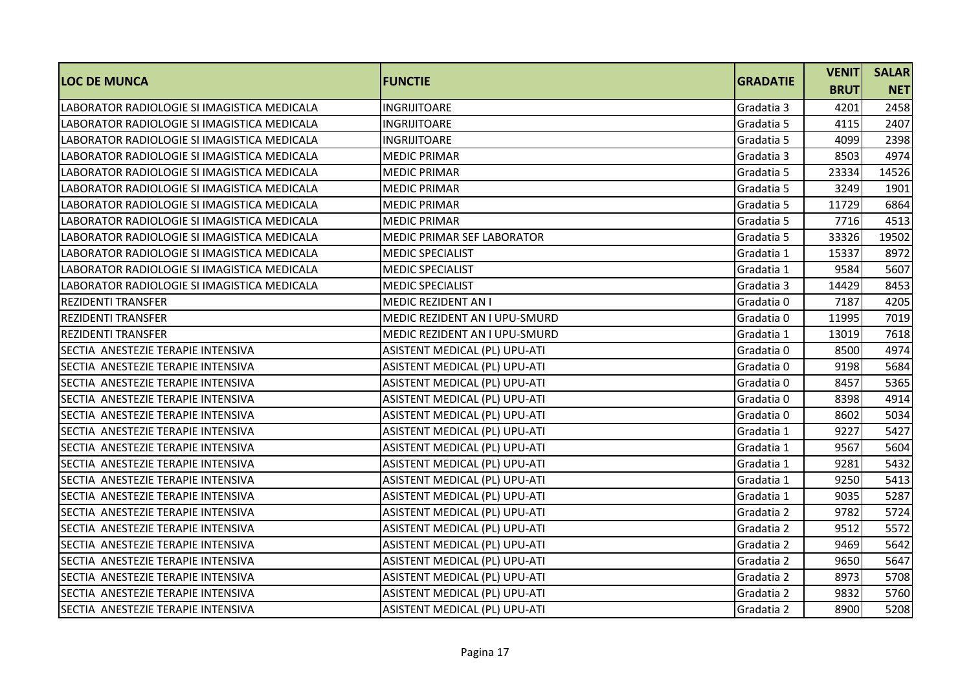| <b>LOC DE MUNCA</b>                         | <b>FUNCTIE</b>                | <b>GRADATIE</b> | <b>VENIT</b> | <b>SALAR</b> |
|---------------------------------------------|-------------------------------|-----------------|--------------|--------------|
|                                             |                               |                 | <b>BRUT</b>  | <b>NET</b>   |
| LABORATOR RADIOLOGIE SI IMAGISTICA MEDICALA | <b>INGRIJITOARE</b>           | Gradatia 3      | 4201         | 2458         |
| LABORATOR RADIOLOGIE SI IMAGISTICA MEDICALA | INGRIJITOARE                  | Gradatia 5      | 4115         | 2407         |
| LABORATOR RADIOLOGIE SI IMAGISTICA MEDICALA | <b>INGRIJITOARE</b>           | Gradatia 5      | 4099         | 2398         |
| LABORATOR RADIOLOGIE SI IMAGISTICA MEDICALA | <b>MEDIC PRIMAR</b>           | Gradatia 3      | 8503         | 4974         |
| LABORATOR RADIOLOGIE SI IMAGISTICA MEDICALA | <b>MEDIC PRIMAR</b>           | Gradatia 5      | 23334        | 14526        |
| LABORATOR RADIOLOGIE SI IMAGISTICA MEDICALA | <b>MEDIC PRIMAR</b>           | Gradatia 5      | 3249         | 1901         |
| LABORATOR RADIOLOGIE SI IMAGISTICA MEDICALA | <b>MEDIC PRIMAR</b>           | Gradatia 5      | 11729        | 6864         |
| LABORATOR RADIOLOGIE SI IMAGISTICA MEDICALA | <b>MEDIC PRIMAR</b>           | Gradatia 5      | 7716         | 4513         |
| LABORATOR RADIOLOGIE SI IMAGISTICA MEDICALA | MEDIC PRIMAR SEF LABORATOR    | Gradatia 5      | 33326        | 19502        |
| LABORATOR RADIOLOGIE SI IMAGISTICA MEDICALA | <b>MEDIC SPECIALIST</b>       | Gradatia 1      | 15337        | 8972         |
| LABORATOR RADIOLOGIE SI IMAGISTICA MEDICALA | <b>MEDIC SPECIALIST</b>       | Gradatia 1      | 9584         | 5607         |
| LABORATOR RADIOLOGIE SI IMAGISTICA MEDICALA | <b>MEDIC SPECIALIST</b>       | Gradatia 3      | 14429        | 8453         |
| <b>REZIDENTI TRANSFER</b>                   | <b>MEDIC REZIDENT AN I</b>    | Gradatia 0      | 7187         | 4205         |
| <b>REZIDENTI TRANSFER</b>                   | MEDIC REZIDENT AN I UPU-SMURD | Gradatia 0      | 11995        | 7019         |
| <b>REZIDENTI TRANSFER</b>                   | MEDIC REZIDENT AN I UPU-SMURD | Gradatia 1      | 13019        | 7618         |
| SECTIA ANESTEZIE TERAPIE INTENSIVA          | ASISTENT MEDICAL (PL) UPU-ATI | Gradatia 0      | 8500         | 4974         |
| SECTIA ANESTEZIE TERAPIE INTENSIVA          | ASISTENT MEDICAL (PL) UPU-ATI | Gradatia 0      | 9198         | 5684         |
| SECTIA ANESTEZIE TERAPIE INTENSIVA          | ASISTENT MEDICAL (PL) UPU-ATI | Gradatia 0      | 8457         | 5365         |
| SECTIA ANESTEZIE TERAPIE INTENSIVA          | ASISTENT MEDICAL (PL) UPU-ATI | Gradatia 0      | 8398         | 4914         |
| SECTIA ANESTEZIE TERAPIE INTENSIVA          | ASISTENT MEDICAL (PL) UPU-ATI | Gradatia 0      | 8602         | 5034         |
| SECTIA ANESTEZIE TERAPIE INTENSIVA          | ASISTENT MEDICAL (PL) UPU-ATI | Gradatia 1      | 9227         | 5427         |
| SECTIA ANESTEZIE TERAPIE INTENSIVA          | ASISTENT MEDICAL (PL) UPU-ATI | Gradatia 1      | 9567         | 5604         |
| SECTIA ANESTEZIE TERAPIE INTENSIVA          | ASISTENT MEDICAL (PL) UPU-ATI | Gradatia 1      | 9281         | 5432         |
| SECTIA ANESTEZIE TERAPIE INTENSIVA          | ASISTENT MEDICAL (PL) UPU-ATI | Gradatia 1      | 9250         | 5413         |
| SECTIA ANESTEZIE TERAPIE INTENSIVA          | ASISTENT MEDICAL (PL) UPU-ATI | Gradatia 1      | 9035         | 5287         |
| SECTIA ANESTEZIE TERAPIE INTENSIVA          | ASISTENT MEDICAL (PL) UPU-ATI | Gradatia 2      | 9782         | 5724         |
| SECTIA ANESTEZIE TERAPIE INTENSIVA          | ASISTENT MEDICAL (PL) UPU-ATI | Gradatia 2      | 9512         | 5572         |
| SECTIA ANESTEZIE TERAPIE INTENSIVA          | ASISTENT MEDICAL (PL) UPU-ATI | Gradatia 2      | 9469         | 5642         |
| SECTIA ANESTEZIE TERAPIE INTENSIVA          | ASISTENT MEDICAL (PL) UPU-ATI | Gradatia 2      | 9650         | 5647         |
| SECTIA ANESTEZIE TERAPIE INTENSIVA          | ASISTENT MEDICAL (PL) UPU-ATI | Gradatia 2      | 8973         | 5708         |
| SECTIA ANESTEZIE TERAPIE INTENSIVA          | ASISTENT MEDICAL (PL) UPU-ATI | Gradatia 2      | 9832         | 5760         |
| SECTIA ANESTEZIE TERAPIE INTENSIVA          | ASISTENT MEDICAL (PL) UPU-ATI | Gradatia 2      | 8900         | 5208         |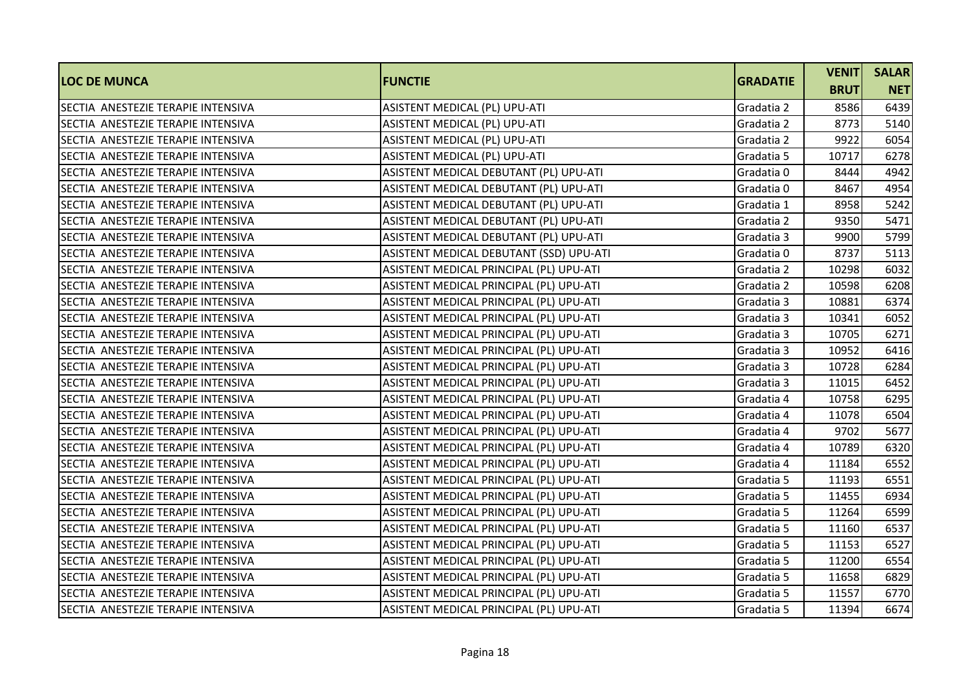|                                    |                                         |                 | <b>VENIT</b> | <b>SALAR</b> |
|------------------------------------|-----------------------------------------|-----------------|--------------|--------------|
| <b>LOC DE MUNCA</b>                | <b>FUNCTIE</b>                          | <b>GRADATIE</b> | <b>BRUT</b>  | <b>NET</b>   |
| SECTIA ANESTEZIE TERAPIE INTENSIVA | ASISTENT MEDICAL (PL) UPU-ATI           | Gradatia 2      | 8586         | 6439         |
| SECTIA ANESTEZIE TERAPIE INTENSIVA | ASISTENT MEDICAL (PL) UPU-ATI           | Gradatia 2      | 8773         | 5140         |
| SECTIA ANESTEZIE TERAPIE INTENSIVA | ASISTENT MEDICAL (PL) UPU-ATI           | Gradatia 2      | 9922         | 6054         |
| SECTIA ANESTEZIE TERAPIE INTENSIVA | ASISTENT MEDICAL (PL) UPU-ATI           | Gradatia 5      | 10717        | 6278         |
| SECTIA ANESTEZIE TERAPIE INTENSIVA | ASISTENT MEDICAL DEBUTANT (PL) UPU-ATI  | Gradatia 0      | 8444         | 4942         |
| SECTIA ANESTEZIE TERAPIE INTENSIVA | ASISTENT MEDICAL DEBUTANT (PL) UPU-ATI  | Gradatia 0      | 8467         | 4954         |
| SECTIA ANESTEZIE TERAPIE INTENSIVA | ASISTENT MEDICAL DEBUTANT (PL) UPU-ATI  | Gradatia 1      | 8958         | 5242         |
| SECTIA ANESTEZIE TERAPIE INTENSIVA | ASISTENT MEDICAL DEBUTANT (PL) UPU-ATI  | Gradatia 2      | 9350         | 5471         |
| SECTIA ANESTEZIE TERAPIE INTENSIVA | ASISTENT MEDICAL DEBUTANT (PL) UPU-ATI  | Gradatia 3      | 9900         | 5799         |
| SECTIA ANESTEZIE TERAPIE INTENSIVA | ASISTENT MEDICAL DEBUTANT (SSD) UPU-ATI | Gradatia 0      | 8737         | 5113         |
| SECTIA ANESTEZIE TERAPIE INTENSIVA | ASISTENT MEDICAL PRINCIPAL (PL) UPU-ATI | Gradatia 2      | 10298        | 6032         |
| SECTIA ANESTEZIE TERAPIE INTENSIVA | ASISTENT MEDICAL PRINCIPAL (PL) UPU-ATI | Gradatia 2      | 10598        | 6208         |
| SECTIA ANESTEZIE TERAPIE INTENSIVA | ASISTENT MEDICAL PRINCIPAL (PL) UPU-ATI | Gradatia 3      | 10881        | 6374         |
| SECTIA ANESTEZIE TERAPIE INTENSIVA | ASISTENT MEDICAL PRINCIPAL (PL) UPU-ATI | Gradatia 3      | 10341        | 6052         |
| SECTIA ANESTEZIE TERAPIE INTENSIVA | ASISTENT MEDICAL PRINCIPAL (PL) UPU-ATI | Gradatia 3      | 10705        | 6271         |
| SECTIA ANESTEZIE TERAPIE INTENSIVA | ASISTENT MEDICAL PRINCIPAL (PL) UPU-ATI | Gradatia 3      | 10952        | 6416         |
| SECTIA ANESTEZIE TERAPIE INTENSIVA | ASISTENT MEDICAL PRINCIPAL (PL) UPU-ATI | Gradatia 3      | 10728        | 6284         |
| SECTIA ANESTEZIE TERAPIE INTENSIVA | ASISTENT MEDICAL PRINCIPAL (PL) UPU-ATI | Gradatia 3      | 11015        | 6452         |
| SECTIA ANESTEZIE TERAPIE INTENSIVA | ASISTENT MEDICAL PRINCIPAL (PL) UPU-ATI | Gradatia 4      | 10758        | 6295         |
| SECTIA ANESTEZIE TERAPIE INTENSIVA | ASISTENT MEDICAL PRINCIPAL (PL) UPU-ATI | Gradatia 4      | 11078        | 6504         |
| SECTIA ANESTEZIE TERAPIE INTENSIVA | ASISTENT MEDICAL PRINCIPAL (PL) UPU-ATI | Gradatia 4      | 9702         | 5677         |
| SECTIA ANESTEZIE TERAPIE INTENSIVA | ASISTENT MEDICAL PRINCIPAL (PL) UPU-ATI | Gradatia 4      | 10789        | 6320         |
| SECTIA ANESTEZIE TERAPIE INTENSIVA | ASISTENT MEDICAL PRINCIPAL (PL) UPU-ATI | Gradatia 4      | 11184        | 6552         |
| SECTIA ANESTEZIE TERAPIE INTENSIVA | ASISTENT MEDICAL PRINCIPAL (PL) UPU-ATI | Gradatia 5      | 11193        | 6551         |
| SECTIA ANESTEZIE TERAPIE INTENSIVA | ASISTENT MEDICAL PRINCIPAL (PL) UPU-ATI | Gradatia 5      | 11455        | 6934         |
| SECTIA ANESTEZIE TERAPIE INTENSIVA | ASISTENT MEDICAL PRINCIPAL (PL) UPU-ATI | Gradatia 5      | 11264        | 6599         |
| SECTIA ANESTEZIE TERAPIE INTENSIVA | ASISTENT MEDICAL PRINCIPAL (PL) UPU-ATI | Gradatia 5      | 11160        | 6537         |
| SECTIA ANESTEZIE TERAPIE INTENSIVA | ASISTENT MEDICAL PRINCIPAL (PL) UPU-ATI | Gradatia 5      | 11153        | 6527         |
| SECTIA ANESTEZIE TERAPIE INTENSIVA | ASISTENT MEDICAL PRINCIPAL (PL) UPU-ATI | Gradatia 5      | 11200        | 6554         |
| SECTIA ANESTEZIE TERAPIE INTENSIVA | ASISTENT MEDICAL PRINCIPAL (PL) UPU-ATI | Gradatia 5      | 11658        | 6829         |
| SECTIA ANESTEZIE TERAPIE INTENSIVA | ASISTENT MEDICAL PRINCIPAL (PL) UPU-ATI | Gradatia 5      | 11557        | 6770         |
| SECTIA ANESTEZIE TERAPIE INTENSIVA | ASISTENT MEDICAL PRINCIPAL (PL) UPU-ATI | Gradatia 5      | 11394        | 6674         |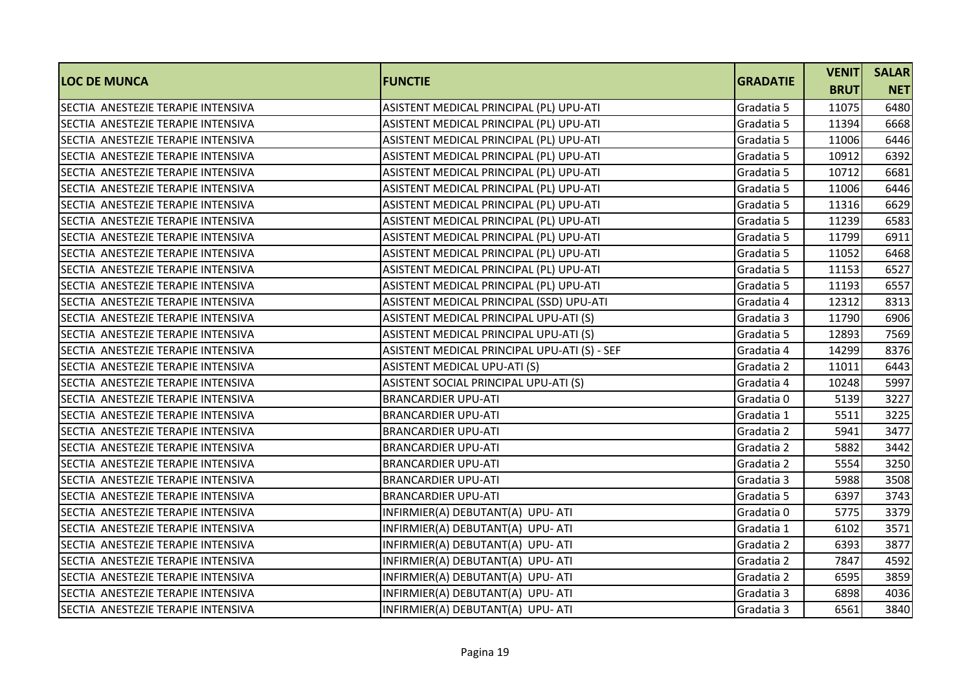| <b>LOC DE MUNCA</b>                | <b>FUNCTIE</b>                               | <b>GRADATIE</b> | <b>VENIT</b> | <b>SALAR</b> |
|------------------------------------|----------------------------------------------|-----------------|--------------|--------------|
|                                    |                                              |                 | <b>BRUT</b>  | <b>NET</b>   |
| SECTIA ANESTEZIE TERAPIE INTENSIVA | ASISTENT MEDICAL PRINCIPAL (PL) UPU-ATI      | Gradatia 5      | 11075        | 6480         |
| SECTIA ANESTEZIE TERAPIE INTENSIVA | ASISTENT MEDICAL PRINCIPAL (PL) UPU-ATI      | Gradatia 5      | 11394        | 6668         |
| SECTIA ANESTEZIE TERAPIE INTENSIVA | ASISTENT MEDICAL PRINCIPAL (PL) UPU-ATI      | Gradatia 5      | 11006        | 6446         |
| SECTIA ANESTEZIE TERAPIE INTENSIVA | ASISTENT MEDICAL PRINCIPAL (PL) UPU-ATI      | Gradatia 5      | 10912        | 6392         |
| SECTIA ANESTEZIE TERAPIE INTENSIVA | ASISTENT MEDICAL PRINCIPAL (PL) UPU-ATI      | Gradatia 5      | 10712        | 6681         |
| SECTIA ANESTEZIE TERAPIE INTENSIVA | ASISTENT MEDICAL PRINCIPAL (PL) UPU-ATI      | Gradatia 5      | 11006        | 6446         |
| SECTIA ANESTEZIE TERAPIE INTENSIVA | ASISTENT MEDICAL PRINCIPAL (PL) UPU-ATI      | Gradatia 5      | 11316        | 6629         |
| SECTIA ANESTEZIE TERAPIE INTENSIVA | ASISTENT MEDICAL PRINCIPAL (PL) UPU-ATI      | Gradatia 5      | 11239        | 6583         |
| SECTIA ANESTEZIE TERAPIE INTENSIVA | ASISTENT MEDICAL PRINCIPAL (PL) UPU-ATI      | Gradatia 5      | 11799        | 6911         |
| SECTIA ANESTEZIE TERAPIE INTENSIVA | ASISTENT MEDICAL PRINCIPAL (PL) UPU-ATI      | Gradatia 5      | 11052        | 6468         |
| SECTIA ANESTEZIE TERAPIE INTENSIVA | ASISTENT MEDICAL PRINCIPAL (PL) UPU-ATI      | Gradatia 5      | 11153        | 6527         |
| SECTIA ANESTEZIE TERAPIE INTENSIVA | ASISTENT MEDICAL PRINCIPAL (PL) UPU-ATI      | Gradatia 5      | 11193        | 6557         |
| SECTIA ANESTEZIE TERAPIE INTENSIVA | ASISTENT MEDICAL PRINCIPAL (SSD) UPU-ATI     | Gradatia 4      | 12312        | 8313         |
| SECTIA ANESTEZIE TERAPIE INTENSIVA | ASISTENT MEDICAL PRINCIPAL UPU-ATI (S)       | Gradatia 3      | 11790        | 6906         |
| SECTIA ANESTEZIE TERAPIE INTENSIVA | ASISTENT MEDICAL PRINCIPAL UPU-ATI (S)       | Gradatia 5      | 12893        | 7569         |
| SECTIA ANESTEZIE TERAPIE INTENSIVA | ASISTENT MEDICAL PRINCIPAL UPU-ATI (S) - SEF | Gradatia 4      | 14299        | 8376         |
| SECTIA ANESTEZIE TERAPIE INTENSIVA | ASISTENT MEDICAL UPU-ATI (S)                 | Gradatia 2      | 11011        | 6443         |
| SECTIA ANESTEZIE TERAPIE INTENSIVA | ASISTENT SOCIAL PRINCIPAL UPU-ATI (S)        | Gradatia 4      | 10248        | 5997         |
| SECTIA ANESTEZIE TERAPIE INTENSIVA | <b>BRANCARDIER UPU-ATI</b>                   | Gradatia 0      | 5139         | 3227         |
| SECTIA ANESTEZIE TERAPIE INTENSIVA | <b>BRANCARDIER UPU-ATI</b>                   | Gradatia 1      | 5511         | 3225         |
| SECTIA ANESTEZIE TERAPIE INTENSIVA | <b>BRANCARDIER UPU-ATI</b>                   | Gradatia 2      | 5941         | 3477         |
| SECTIA ANESTEZIE TERAPIE INTENSIVA | <b>BRANCARDIER UPU-ATI</b>                   | Gradatia 2      | 5882         | 3442         |
| SECTIA ANESTEZIE TERAPIE INTENSIVA | <b>BRANCARDIER UPU-ATI</b>                   | Gradatia 2      | 5554         | 3250         |
| SECTIA ANESTEZIE TERAPIE INTENSIVA | <b>BRANCARDIER UPU-ATI</b>                   | Gradatia 3      | 5988         | 3508         |
| SECTIA ANESTEZIE TERAPIE INTENSIVA | <b>BRANCARDIER UPU-ATI</b>                   | Gradatia 5      | 6397         | 3743         |
| SECTIA ANESTEZIE TERAPIE INTENSIVA | INFIRMIER(A) DEBUTANT(A) UPU- ATI            | Gradatia 0      | 5775         | 3379         |
| SECTIA ANESTEZIE TERAPIE INTENSIVA | INFIRMIER(A) DEBUTANT(A) UPU- ATI            | Gradatia 1      | 6102         | 3571         |
| SECTIA ANESTEZIE TERAPIE INTENSIVA | INFIRMIER(A) DEBUTANT(A) UPU- ATI            | Gradatia 2      | 6393         | 3877         |
| SECTIA ANESTEZIE TERAPIE INTENSIVA | INFIRMIER(A) DEBUTANT(A) UPU- ATI            | Gradatia 2      | 7847         | 4592         |
| SECTIA ANESTEZIE TERAPIE INTENSIVA | INFIRMIER(A) DEBUTANT(A) UPU- ATI            | Gradatia 2      | 6595         | 3859         |
| SECTIA ANESTEZIE TERAPIE INTENSIVA | INFIRMIER(A) DEBUTANT(A) UPU- ATI            | Gradatia 3      | 6898         | 4036         |
| SECTIA ANESTEZIE TERAPIE INTENSIVA | INFIRMIER(A) DEBUTANT(A) UPU- ATI            | Gradatia 3      | 6561         | 3840         |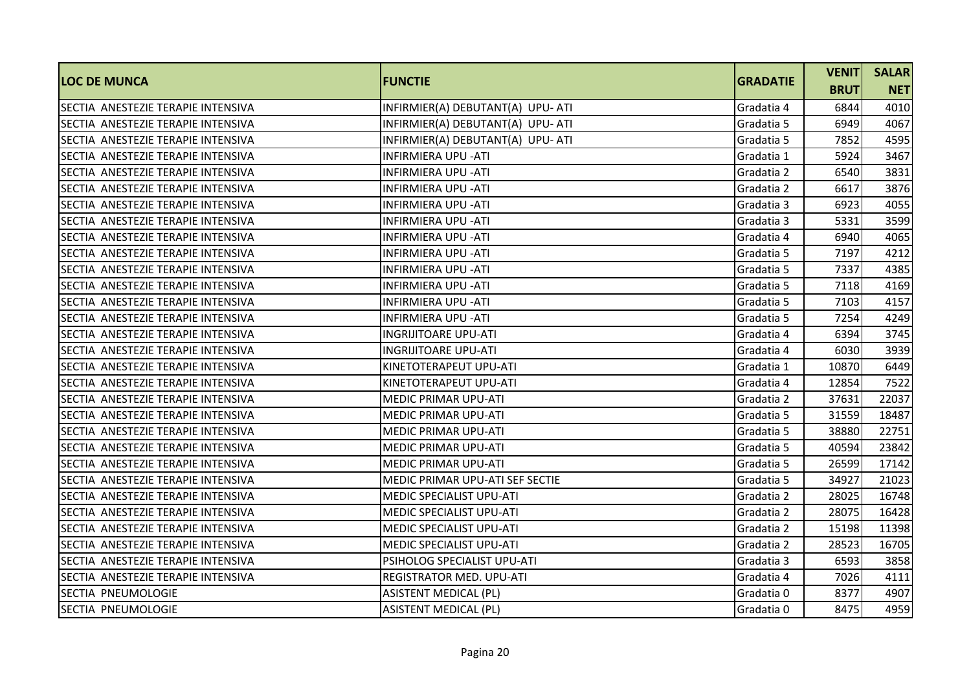| <b>LOC DE MUNCA</b>                | <b>FUNCTIE</b>                    | <b>GRADATIE</b> | <b>VENIT</b> | <b>SALAR</b> |
|------------------------------------|-----------------------------------|-----------------|--------------|--------------|
|                                    |                                   |                 | <b>BRUT</b>  | <b>NET</b>   |
| SECTIA ANESTEZIE TERAPIE INTENSIVA | INFIRMIER(A) DEBUTANT(A) UPU- ATI | Gradatia 4      | 6844         | 4010         |
| SECTIA ANESTEZIE TERAPIE INTENSIVA | INFIRMIER(A) DEBUTANT(A) UPU- ATI | Gradatia 5      | 6949         | 4067         |
| SECTIA ANESTEZIE TERAPIE INTENSIVA | INFIRMIER(A) DEBUTANT(A) UPU- ATI | Gradatia 5      | 7852         | 4595         |
| SECTIA ANESTEZIE TERAPIE INTENSIVA | <b>INFIRMIERA UPU - ATI</b>       | Gradatia 1      | 5924         | 3467         |
| SECTIA ANESTEZIE TERAPIE INTENSIVA | <b>INFIRMIERA UPU - ATI</b>       | Gradatia 2      | 6540         | 3831         |
| SECTIA ANESTEZIE TERAPIE INTENSIVA | INFIRMIERA UPU -ATI               | Gradatia 2      | 6617         | 3876         |
| SECTIA ANESTEZIE TERAPIE INTENSIVA | <b>INFIRMIERA UPU - ATI</b>       | Gradatia 3      | 6923         | 4055         |
| SECTIA ANESTEZIE TERAPIE INTENSIVA | <b>INFIRMIERA UPU - ATI</b>       | Gradatia 3      | 5331         | 3599         |
| SECTIA ANESTEZIE TERAPIE INTENSIVA | <b>INFIRMIERA UPU - ATI</b>       | Gradatia 4      | 6940         | 4065         |
| SECTIA ANESTEZIE TERAPIE INTENSIVA | <b>INFIRMIERA UPU - ATI</b>       | Gradatia 5      | 7197         | 4212         |
| SECTIA ANESTEZIE TERAPIE INTENSIVA | <b>INFIRMIERA UPU - ATI</b>       | Gradatia 5      | 7337         | 4385         |
| SECTIA ANESTEZIE TERAPIE INTENSIVA | <b>INFIRMIERA UPU - ATI</b>       | Gradatia 5      | 7118         | 4169         |
| SECTIA ANESTEZIE TERAPIE INTENSIVA | <b>INFIRMIERA UPU - ATI</b>       | Gradatia 5      | 7103         | 4157         |
| SECTIA ANESTEZIE TERAPIE INTENSIVA | <b>INFIRMIERA UPU - ATI</b>       | Gradatia 5      | 7254         | 4249         |
| SECTIA ANESTEZIE TERAPIE INTENSIVA | <b>INGRIJITOARE UPU-ATI</b>       | Gradatia 4      | 6394         | 3745         |
| SECTIA ANESTEZIE TERAPIE INTENSIVA | <b>INGRIJITOARE UPU-ATI</b>       | Gradatia 4      | 6030         | 3939         |
| SECTIA ANESTEZIE TERAPIE INTENSIVA | KINETOTERAPEUT UPU-ATI            | Gradatia 1      | 10870        | 6449         |
| SECTIA ANESTEZIE TERAPIE INTENSIVA | KINETOTERAPEUT UPU-ATI            | Gradatia 4      | 12854        | 7522         |
| SECTIA ANESTEZIE TERAPIE INTENSIVA | <b>MEDIC PRIMAR UPU-ATI</b>       | Gradatia 2      | 37631        | 22037        |
| SECTIA ANESTEZIE TERAPIE INTENSIVA | <b>MEDIC PRIMAR UPU-ATI</b>       | Gradatia 5      | 31559        | 18487        |
| SECTIA ANESTEZIE TERAPIE INTENSIVA | <b>MEDIC PRIMAR UPU-ATI</b>       | Gradatia 5      | 38880        | 22751        |
| SECTIA ANESTEZIE TERAPIE INTENSIVA | MEDIC PRIMAR UPU-ATI              | Gradatia 5      | 40594        | 23842        |
| SECTIA ANESTEZIE TERAPIE INTENSIVA | <b>MEDIC PRIMAR UPU-ATI</b>       | Gradatia 5      | 26599        | 17142        |
| SECTIA ANESTEZIE TERAPIE INTENSIVA | MEDIC PRIMAR UPU-ATI SEF SECTIE   | Gradatia 5      | 34927        | 21023        |
| SECTIA ANESTEZIE TERAPIE INTENSIVA | <b>MEDIC SPECIALIST UPU-ATI</b>   | Gradatia 2      | 28025        | 16748        |
| SECTIA ANESTEZIE TERAPIE INTENSIVA | <b>MEDIC SPECIALIST UPU-ATI</b>   | Gradatia 2      | 28075        | 16428        |
| SECTIA ANESTEZIE TERAPIE INTENSIVA | <b>MEDIC SPECIALIST UPU-ATI</b>   | Gradatia 2      | 15198        | 11398        |
| SECTIA ANESTEZIE TERAPIE INTENSIVA | <b>MEDIC SPECIALIST UPU-ATI</b>   | Gradatia 2      | 28523        | 16705        |
| SECTIA ANESTEZIE TERAPIE INTENSIVA | PSIHOLOG SPECIALIST UPU-ATI       | Gradatia 3      | 6593         | 3858         |
| SECTIA ANESTEZIE TERAPIE INTENSIVA | REGISTRATOR MED. UPU-ATI          | Gradatia 4      | 7026         | 4111         |
| SECTIA PNEUMOLOGIE                 | <b>ASISTENT MEDICAL (PL)</b>      | Gradatia 0      | 8377         | 4907         |
| SECTIA PNEUMOLOGIE                 | <b>ASISTENT MEDICAL (PL)</b>      | Gradatia 0      | 8475         | 4959         |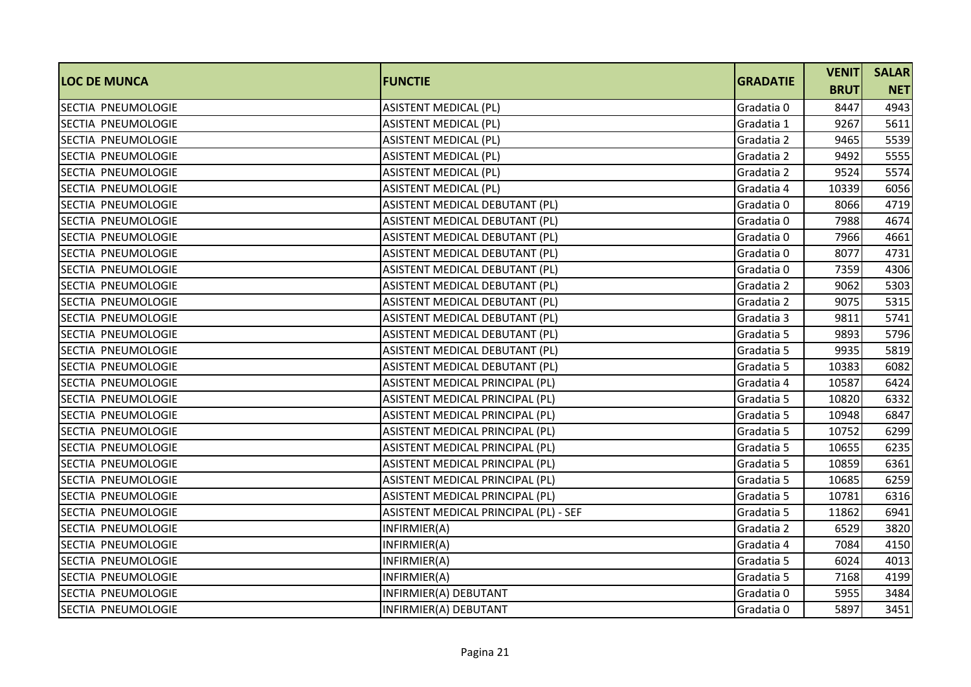|                           |                                       |                 | <b>VENIT</b> | <b>SALAR</b> |
|---------------------------|---------------------------------------|-----------------|--------------|--------------|
| <b>LOC DE MUNCA</b>       | <b>FUNCTIE</b>                        | <b>GRADATIE</b> | <b>BRUT</b>  | <b>NET</b>   |
| SECTIA PNEUMOLOGIE        | <b>ASISTENT MEDICAL (PL)</b>          | Gradatia 0      | 8447         | 4943         |
| SECTIA PNEUMOLOGIE        | <b>ASISTENT MEDICAL (PL)</b>          | Gradatia 1      | 9267         | 5611         |
| SECTIA PNEUMOLOGIE        | <b>ASISTENT MEDICAL (PL)</b>          | Gradatia 2      | 9465         | 5539         |
| SECTIA PNEUMOLOGIE        | <b>ASISTENT MEDICAL (PL)</b>          | Gradatia 2      | 9492         | 5555         |
| SECTIA PNEUMOLOGIE        | <b>ASISTENT MEDICAL (PL)</b>          | Gradatia 2      | 9524         | 5574         |
| SECTIA PNEUMOLOGIE        | <b>ASISTENT MEDICAL (PL)</b>          | Gradatia 4      | 10339        | 6056         |
| SECTIA PNEUMOLOGIE        | ASISTENT MEDICAL DEBUTANT (PL)        | Gradatia 0      | 8066         | 4719         |
| SECTIA PNEUMOLOGIE        | ASISTENT MEDICAL DEBUTANT (PL)        | Gradatia 0      | 7988         | 4674         |
| SECTIA PNEUMOLOGIE        | ASISTENT MEDICAL DEBUTANT (PL)        | Gradatia 0      | 7966         | 4661         |
| SECTIA PNEUMOLOGIE        | ASISTENT MEDICAL DEBUTANT (PL)        | Gradatia 0      | 8077         | 4731         |
| SECTIA PNEUMOLOGIE        | ASISTENT MEDICAL DEBUTANT (PL)        | Gradatia 0      | 7359         | 4306         |
| SECTIA PNEUMOLOGIE        | ASISTENT MEDICAL DEBUTANT (PL)        | Gradatia 2      | 9062         | 5303         |
| SECTIA PNEUMOLOGIE        | ASISTENT MEDICAL DEBUTANT (PL)        | Gradatia 2      | 9075         | 5315         |
| SECTIA PNEUMOLOGIE        | ASISTENT MEDICAL DEBUTANT (PL)        | Gradatia 3      | 9811         | 5741         |
| SECTIA PNEUMOLOGIE        | ASISTENT MEDICAL DEBUTANT (PL)        | Gradatia 5      | 9893         | 5796         |
| <b>SECTIA PNEUMOLOGIE</b> | ASISTENT MEDICAL DEBUTANT (PL)        | Gradatia 5      | 9935         | 5819         |
| SECTIA PNEUMOLOGIE        | ASISTENT MEDICAL DEBUTANT (PL)        | Gradatia 5      | 10383        | 6082         |
| SECTIA PNEUMOLOGIE        | ASISTENT MEDICAL PRINCIPAL (PL)       | Gradatia 4      | 10587        | 6424         |
| SECTIA PNEUMOLOGIE        | ASISTENT MEDICAL PRINCIPAL (PL)       | Gradatia 5      | 10820        | 6332         |
| SECTIA PNEUMOLOGIE        | ASISTENT MEDICAL PRINCIPAL (PL)       | Gradatia 5      | 10948        | 6847         |
| SECTIA PNEUMOLOGIE        | ASISTENT MEDICAL PRINCIPAL (PL)       | Gradatia 5      | 10752        | 6299         |
| SECTIA PNEUMOLOGIE        | ASISTENT MEDICAL PRINCIPAL (PL)       | Gradatia 5      | 10655        | 6235         |
| SECTIA PNEUMOLOGIE        | ASISTENT MEDICAL PRINCIPAL (PL)       | Gradatia 5      | 10859        | 6361         |
| SECTIA PNEUMOLOGIE        | ASISTENT MEDICAL PRINCIPAL (PL)       | Gradatia 5      | 10685        | 6259         |
| SECTIA PNEUMOLOGIE        | ASISTENT MEDICAL PRINCIPAL (PL)       | Gradatia 5      | 10781        | 6316         |
| SECTIA PNEUMOLOGIE        | ASISTENT MEDICAL PRINCIPAL (PL) - SEF | Gradatia 5      | 11862        | 6941         |
| SECTIA PNEUMOLOGIE        | INFIRMIER(A)                          | Gradatia 2      | 6529         | 3820         |
| SECTIA PNEUMOLOGIE        | INFIRMIER(A)                          | Gradatia 4      | 7084         | 4150         |
| SECTIA PNEUMOLOGIE        | INFIRMIER(A)                          | Gradatia 5      | 6024         | 4013         |
| SECTIA PNEUMOLOGIE        | INFIRMIER(A)                          | Gradatia 5      | 7168         | 4199         |
| SECTIA PNEUMOLOGIE        | INFIRMIER(A) DEBUTANT                 | Gradatia 0      | 5955         | 3484         |
| SECTIA PNEUMOLOGIE        | INFIRMIER(A) DEBUTANT                 | Gradatia 0      | 5897         | 3451         |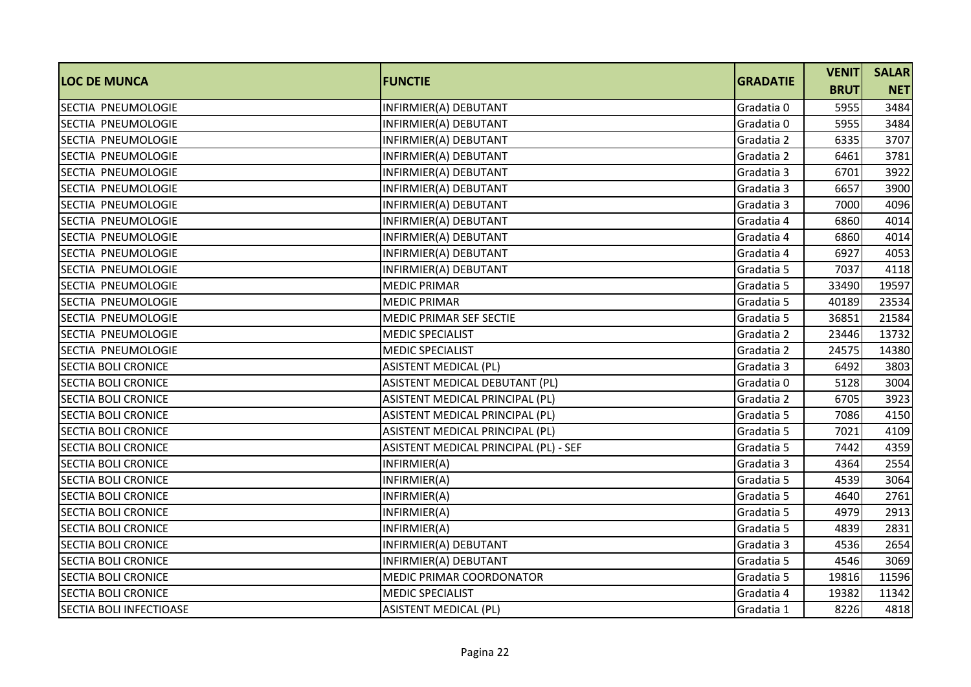| <b>LOC DE MUNCA</b>            | <b>FUNCTIE</b>                        | <b>GRADATIE</b> | <b>VENIT</b> | <b>SALAR</b> |
|--------------------------------|---------------------------------------|-----------------|--------------|--------------|
|                                |                                       |                 | <b>BRUT</b>  | <b>NET</b>   |
| SECTIA PNEUMOLOGIE             | INFIRMIER(A) DEBUTANT                 | Gradatia 0      | 5955         | 3484         |
| SECTIA PNEUMOLOGIE             | INFIRMIER(A) DEBUTANT                 | Gradatia 0      | 5955         | 3484         |
| SECTIA PNEUMOLOGIE             | INFIRMIER(A) DEBUTANT                 | Gradatia 2      | 6335         | 3707         |
| SECTIA PNEUMOLOGIE             | INFIRMIER(A) DEBUTANT                 | Gradatia 2      | 6461         | 3781         |
| SECTIA PNEUMOLOGIE             | INFIRMIER(A) DEBUTANT                 | Gradatia 3      | 6701         | 3922         |
| SECTIA PNEUMOLOGIE             | INFIRMIER(A) DEBUTANT                 | Gradatia 3      | 6657         | 3900         |
| SECTIA PNEUMOLOGIE             | INFIRMIER(A) DEBUTANT                 | Gradatia 3      | 7000         | 4096         |
| SECTIA PNEUMOLOGIE             | INFIRMIER(A) DEBUTANT                 | Gradatia 4      | 6860         | 4014         |
| SECTIA PNEUMOLOGIE             | INFIRMIER(A) DEBUTANT                 | Gradatia 4      | 6860         | 4014         |
| SECTIA PNEUMOLOGIE             | INFIRMIER(A) DEBUTANT                 | Gradatia 4      | 6927         | 4053         |
| SECTIA PNEUMOLOGIE             | INFIRMIER(A) DEBUTANT                 | Gradatia 5      | 7037         | 4118         |
| <b>SECTIA PNEUMOLOGIE</b>      | <b>MEDIC PRIMAR</b>                   | Gradatia 5      | 33490        | 19597        |
| SECTIA PNEUMOLOGIE             | <b>MEDIC PRIMAR</b>                   | Gradatia 5      | 40189        | 23534        |
| SECTIA PNEUMOLOGIE             | MEDIC PRIMAR SEF SECTIE               | Gradatia 5      | 36851        | 21584        |
| SECTIA PNEUMOLOGIE             | <b>MEDIC SPECIALIST</b>               | Gradatia 2      | 23446        | 13732        |
| SECTIA PNEUMOLOGIE             | <b>MEDIC SPECIALIST</b>               | Gradatia 2      | 24575        | 14380        |
| <b>SECTIA BOLI CRONICE</b>     | <b>ASISTENT MEDICAL (PL)</b>          | Gradatia 3      | 6492         | 3803         |
| <b>SECTIA BOLI CRONICE</b>     | ASISTENT MEDICAL DEBUTANT (PL)        | Gradatia 0      | 5128         | 3004         |
| <b>SECTIA BOLI CRONICE</b>     | ASISTENT MEDICAL PRINCIPAL (PL)       | Gradatia 2      | 6705         | 3923         |
| <b>SECTIA BOLI CRONICE</b>     | ASISTENT MEDICAL PRINCIPAL (PL)       | Gradatia 5      | 7086         | 4150         |
| <b>SECTIA BOLI CRONICE</b>     | ASISTENT MEDICAL PRINCIPAL (PL)       | Gradatia 5      | 7021         | 4109         |
| <b>SECTIA BOLI CRONICE</b>     | ASISTENT MEDICAL PRINCIPAL (PL) - SEF | Gradatia 5      | 7442         | 4359         |
| <b>SECTIA BOLI CRONICE</b>     | INFIRMIER(A)                          | Gradatia 3      | 4364         | 2554         |
| <b>SECTIA BOLI CRONICE</b>     | INFIRMIER(A)                          | Gradatia 5      | 4539         | 3064         |
| <b>SECTIA BOLI CRONICE</b>     | INFIRMIER(A)                          | Gradatia 5      | 4640         | 2761         |
| <b>SECTIA BOLI CRONICE</b>     | INFIRMIER(A)                          | Gradatia 5      | 4979         | 2913         |
| <b>SECTIA BOLI CRONICE</b>     | INFIRMIER(A)                          | Gradatia 5      | 4839         | 2831         |
| <b>SECTIA BOLI CRONICE</b>     | INFIRMIER(A) DEBUTANT                 | Gradatia 3      | 4536         | 2654         |
| <b>SECTIA BOLI CRONICE</b>     | INFIRMIER(A) DEBUTANT                 | Gradatia 5      | 4546         | 3069         |
| <b>SECTIA BOLI CRONICE</b>     | MEDIC PRIMAR COORDONATOR              | Gradatia 5      | 19816        | 11596        |
| <b>SECTIA BOLI CRONICE</b>     | <b>MEDIC SPECIALIST</b>               | Gradatia 4      | 19382        | 11342        |
| <b>SECTIA BOLI INFECTIOASE</b> | <b>ASISTENT MEDICAL (PL)</b>          | Gradatia 1      | 8226         | 4818         |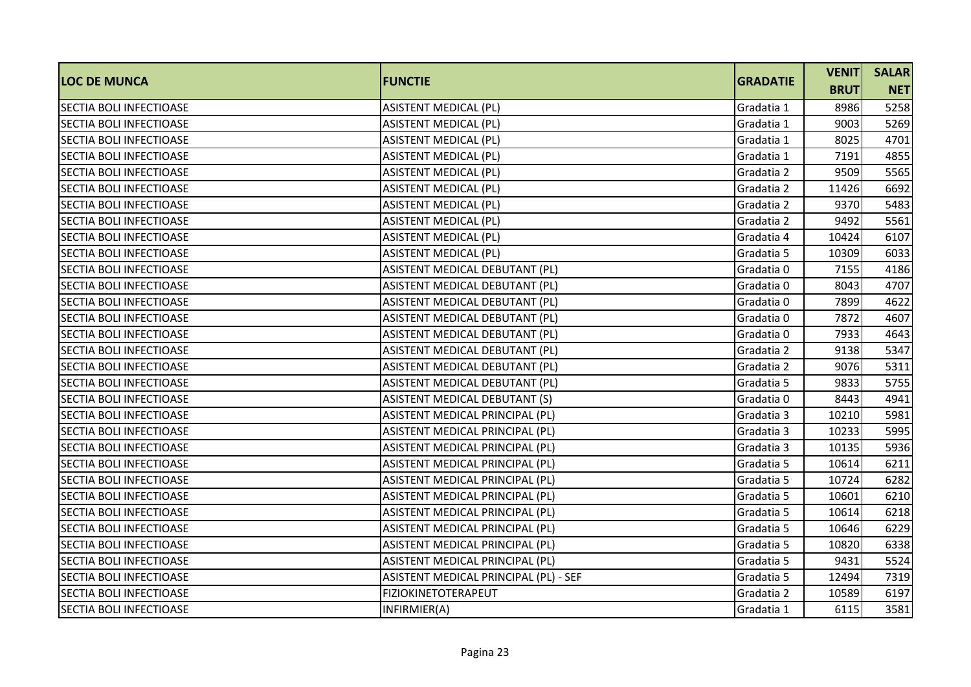|                                |                                       | <b>GRADATIE</b> | <b>VENIT</b> | <b>SALAR</b> |
|--------------------------------|---------------------------------------|-----------------|--------------|--------------|
| <b>LOC DE MUNCA</b>            | <b>FUNCTIE</b>                        |                 | <b>BRUT</b>  | <b>NET</b>   |
| <b>SECTIA BOLI INFECTIOASE</b> | <b>ASISTENT MEDICAL (PL)</b>          | Gradatia 1      | 8986         | 5258         |
| <b>SECTIA BOLI INFECTIOASE</b> | <b>ASISTENT MEDICAL (PL)</b>          | Gradatia 1      | 9003         | 5269         |
| <b>SECTIA BOLI INFECTIOASE</b> | <b>ASISTENT MEDICAL (PL)</b>          | Gradatia 1      | 8025         | 4701         |
| <b>SECTIA BOLI INFECTIOASE</b> | <b>ASISTENT MEDICAL (PL)</b>          | Gradatia 1      | 7191         | 4855         |
| <b>SECTIA BOLI INFECTIOASE</b> | <b>ASISTENT MEDICAL (PL)</b>          | Gradatia 2      | 9509         | 5565         |
| <b>SECTIA BOLI INFECTIOASE</b> | <b>ASISTENT MEDICAL (PL)</b>          | Gradatia 2      | 11426        | 6692         |
| <b>SECTIA BOLI INFECTIOASE</b> | <b>ASISTENT MEDICAL (PL)</b>          | Gradatia 2      | 9370         | 5483         |
| <b>SECTIA BOLI INFECTIOASE</b> | <b>ASISTENT MEDICAL (PL)</b>          | Gradatia 2      | 9492         | 5561         |
| <b>SECTIA BOLI INFECTIOASE</b> | <b>ASISTENT MEDICAL (PL)</b>          | Gradatia 4      | 10424        | 6107         |
| SECTIA BOLI INFECTIOASE        | <b>ASISTENT MEDICAL (PL)</b>          | Gradatia 5      | 10309        | 6033         |
| <b>SECTIA BOLI INFECTIOASE</b> | ASISTENT MEDICAL DEBUTANT (PL)        | Gradatia 0      | 7155         | 4186         |
| <b>SECTIA BOLI INFECTIOASE</b> | ASISTENT MEDICAL DEBUTANT (PL)        | Gradatia 0      | 8043         | 4707         |
| <b>SECTIA BOLI INFECTIOASE</b> | ASISTENT MEDICAL DEBUTANT (PL)        | Gradatia 0      | 7899         | 4622         |
| <b>SECTIA BOLI INFECTIOASE</b> | ASISTENT MEDICAL DEBUTANT (PL)        | Gradatia 0      | 7872         | 4607         |
| SECTIA BOLI INFECTIOASE        | ASISTENT MEDICAL DEBUTANT (PL)        | Gradatia 0      | 7933         | 4643         |
| SECTIA BOLI INFECTIOASE        | ASISTENT MEDICAL DEBUTANT (PL)        | Gradatia 2      | 9138         | 5347         |
| <b>SECTIA BOLI INFECTIOASE</b> | ASISTENT MEDICAL DEBUTANT (PL)        | Gradatia 2      | 9076         | 5311         |
| <b>SECTIA BOLI INFECTIOASE</b> | ASISTENT MEDICAL DEBUTANT (PL)        | Gradatia 5      | 9833         | 5755         |
| <b>SECTIA BOLI INFECTIOASE</b> | ASISTENT MEDICAL DEBUTANT (S)         | Gradatia 0      | 8443         | 4941         |
| <b>SECTIA BOLI INFECTIOASE</b> | ASISTENT MEDICAL PRINCIPAL (PL)       | Gradatia 3      | 10210        | 5981         |
| <b>SECTIA BOLI INFECTIOASE</b> | ASISTENT MEDICAL PRINCIPAL (PL)       | Gradatia 3      | 10233        | 5995         |
| <b>SECTIA BOLI INFECTIOASE</b> | ASISTENT MEDICAL PRINCIPAL (PL)       | Gradatia 3      | 10135        | 5936         |
| SECTIA BOLI INFECTIOASE        | ASISTENT MEDICAL PRINCIPAL (PL)       | Gradatia 5      | 10614        | 6211         |
| <b>SECTIA BOLI INFECTIOASE</b> | ASISTENT MEDICAL PRINCIPAL (PL)       | Gradatia 5      | 10724        | 6282         |
| SECTIA BOLI INFECTIOASE        | ASISTENT MEDICAL PRINCIPAL (PL)       | Gradatia 5      | 10601        | 6210         |
| <b>SECTIA BOLI INFECTIOASE</b> | ASISTENT MEDICAL PRINCIPAL (PL)       | Gradatia 5      | 10614        | 6218         |
| <b>SECTIA BOLI INFECTIOASE</b> | ASISTENT MEDICAL PRINCIPAL (PL)       | Gradatia 5      | 10646        | 6229         |
| SECTIA BOLI INFECTIOASE        | ASISTENT MEDICAL PRINCIPAL (PL)       | Gradatia 5      | 10820        | 6338         |
| <b>SECTIA BOLI INFECTIOASE</b> | ASISTENT MEDICAL PRINCIPAL (PL)       | Gradatia 5      | 9431         | 5524         |
| <b>SECTIA BOLI INFECTIOASE</b> | ASISTENT MEDICAL PRINCIPAL (PL) - SEF | Gradatia 5      | 12494        | 7319         |
| <b>SECTIA BOLI INFECTIOASE</b> | <b>FIZIOKINETOTERAPEUT</b>            | Gradatia 2      | 10589        | 6197         |
| SECTIA BOLI INFECTIOASE        | INFIRMIER(A)                          | Gradatia 1      | 6115         | 3581         |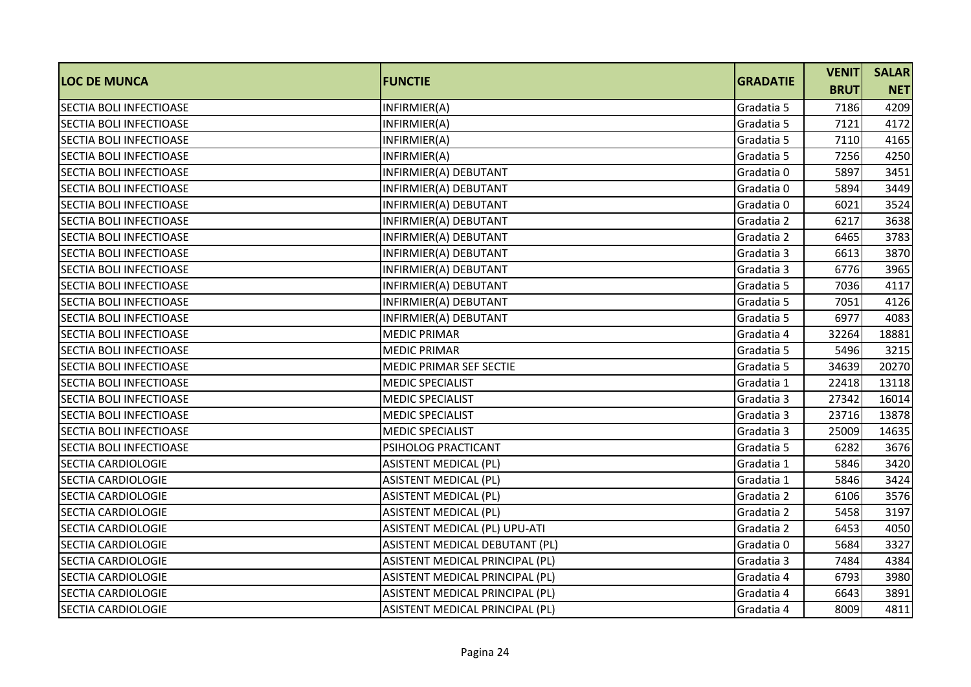| <b>LOC DE MUNCA</b>            | <b>FUNCTIE</b>                  | <b>GRADATIE</b> | <b>VENIT</b> | <b>SALAR</b> |
|--------------------------------|---------------------------------|-----------------|--------------|--------------|
|                                |                                 |                 | <b>BRUT</b>  | <b>NET</b>   |
| <b>SECTIA BOLI INFECTIOASE</b> | INFIRMIER(A)                    | Gradatia 5      | 7186         | 4209         |
| SECTIA BOLI INFECTIOASE        | INFIRMIER(A)                    | Gradatia 5      | 7121         | 4172         |
| SECTIA BOLI INFECTIOASE        | INFIRMIER(A)                    | Gradatia 5      | 7110         | 4165         |
| SECTIA BOLI INFECTIOASE        | INFIRMIER(A)                    | Gradatia 5      | 7256         | 4250         |
| <b>SECTIA BOLI INFECTIOASE</b> | INFIRMIER(A) DEBUTANT           | Gradatia 0      | 5897         | 3451         |
| <b>SECTIA BOLI INFECTIOASE</b> | INFIRMIER(A) DEBUTANT           | Gradatia 0      | 5894         | 3449         |
| SECTIA BOLI INFECTIOASE        | INFIRMIER(A) DEBUTANT           | Gradatia 0      | 6021         | 3524         |
| <b>SECTIA BOLI INFECTIOASE</b> | INFIRMIER(A) DEBUTANT           | Gradatia 2      | 6217         | 3638         |
| SECTIA BOLI INFECTIOASE        | INFIRMIER(A) DEBUTANT           | Gradatia 2      | 6465         | 3783         |
| <b>SECTIA BOLI INFECTIOASE</b> | INFIRMIER(A) DEBUTANT           | Gradatia 3      | 6613         | 3870         |
| <b>SECTIA BOLI INFECTIOASE</b> | INFIRMIER(A) DEBUTANT           | Gradatia 3      | 6776         | 3965         |
| <b>SECTIA BOLI INFECTIOASE</b> | INFIRMIER(A) DEBUTANT           | Gradatia 5      | 7036         | 4117         |
| <b>SECTIA BOLI INFECTIOASE</b> | INFIRMIER(A) DEBUTANT           | Gradatia 5      | 7051         | 4126         |
| SECTIA BOLI INFECTIOASE        | INFIRMIER(A) DEBUTANT           | Gradatia 5      | 6977         | 4083         |
| SECTIA BOLI INFECTIOASE        | <b>MEDIC PRIMAR</b>             | Gradatia 4      | 32264        | 18881        |
| <b>SECTIA BOLI INFECTIOASE</b> | <b>MEDIC PRIMAR</b>             | Gradatia 5      | 5496         | 3215         |
| <b>SECTIA BOLI INFECTIOASE</b> | MEDIC PRIMAR SEF SECTIE         | Gradatia 5      | 34639        | 20270        |
| <b>SECTIA BOLI INFECTIOASE</b> | <b>MEDIC SPECIALIST</b>         | Gradatia 1      | 22418        | 13118        |
| <b>SECTIA BOLI INFECTIOASE</b> | <b>MEDIC SPECIALIST</b>         | Gradatia 3      | 27342        | 16014        |
| SECTIA BOLI INFECTIOASE        | <b>MEDIC SPECIALIST</b>         | Gradatia 3      | 23716        | 13878        |
| SECTIA BOLI INFECTIOASE        | <b>MEDIC SPECIALIST</b>         | Gradatia 3      | 25009        | 14635        |
| <b>SECTIA BOLI INFECTIOASE</b> | PSIHOLOG PRACTICANT             | Gradatia 5      | 6282         | 3676         |
| <b>SECTIA CARDIOLOGIE</b>      | <b>ASISTENT MEDICAL (PL)</b>    | Gradatia 1      | 5846         | 3420         |
| <b>SECTIA CARDIOLOGIE</b>      | <b>ASISTENT MEDICAL (PL)</b>    | Gradatia 1      | 5846         | 3424         |
| <b>SECTIA CARDIOLOGIE</b>      | <b>ASISTENT MEDICAL (PL)</b>    | Gradatia 2      | 6106         | 3576         |
| <b>SECTIA CARDIOLOGIE</b>      | <b>ASISTENT MEDICAL (PL)</b>    | Gradatia 2      | 5458         | 3197         |
| <b>SECTIA CARDIOLOGIE</b>      | ASISTENT MEDICAL (PL) UPU-ATI   | Gradatia 2      | 6453         | 4050         |
| SECTIA CARDIOLOGIE             | ASISTENT MEDICAL DEBUTANT (PL)  | Gradatia 0      | 5684         | 3327         |
| <b>SECTIA CARDIOLOGIE</b>      | ASISTENT MEDICAL PRINCIPAL (PL) | Gradatia 3      | 7484         | 4384         |
| SECTIA CARDIOLOGIE             | ASISTENT MEDICAL PRINCIPAL (PL) | Gradatia 4      | 6793         | 3980         |
| <b>SECTIA CARDIOLOGIE</b>      | ASISTENT MEDICAL PRINCIPAL (PL) | Gradatia 4      | 6643         | 3891         |
| SECTIA CARDIOLOGIE             | ASISTENT MEDICAL PRINCIPAL (PL) | Gradatia 4      | 8009         | 4811         |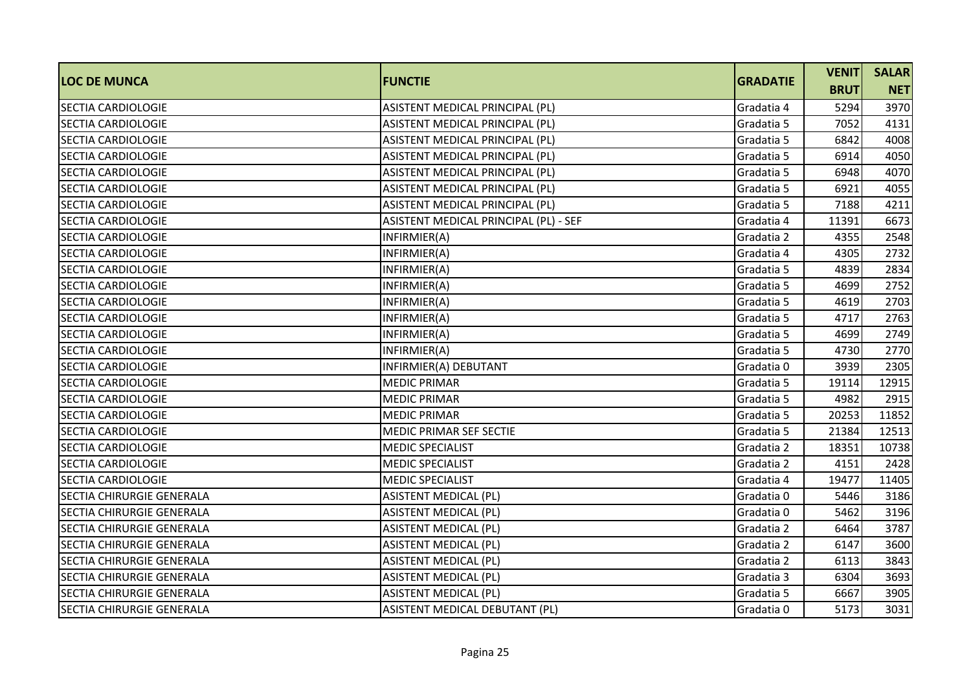| <b>LOC DE MUNCA</b>              | <b>FUNCTIE</b>                        | <b>GRADATIE</b> | <b>VENIT</b> | <b>SALAR</b> |
|----------------------------------|---------------------------------------|-----------------|--------------|--------------|
|                                  |                                       |                 | <b>BRUT</b>  | <b>NET</b>   |
| <b>SECTIA CARDIOLOGIE</b>        | ASISTENT MEDICAL PRINCIPAL (PL)       | Gradatia 4      | 5294         | 3970         |
| <b>SECTIA CARDIOLOGIE</b>        | ASISTENT MEDICAL PRINCIPAL (PL)       | Gradatia 5      | 7052         | 4131         |
| <b>SECTIA CARDIOLOGIE</b>        | ASISTENT MEDICAL PRINCIPAL (PL)       | Gradatia 5      | 6842         | 4008         |
| <b>SECTIA CARDIOLOGIE</b>        | ASISTENT MEDICAL PRINCIPAL (PL)       | Gradatia 5      | 6914         | 4050         |
| <b>SECTIA CARDIOLOGIE</b>        | ASISTENT MEDICAL PRINCIPAL (PL)       | Gradatia 5      | 6948         | 4070         |
| <b>SECTIA CARDIOLOGIE</b>        | ASISTENT MEDICAL PRINCIPAL (PL)       | Gradatia 5      | 6921         | 4055         |
| SECTIA CARDIOLOGIE               | ASISTENT MEDICAL PRINCIPAL (PL)       | Gradatia 5      | 7188         | 4211         |
| <b>SECTIA CARDIOLOGIE</b>        | ASISTENT MEDICAL PRINCIPAL (PL) - SEF | Gradatia 4      | 11391        | 6673         |
| SECTIA CARDIOLOGIE               | INFIRMIER(A)                          | Gradatia 2      | 4355         | 2548         |
| SECTIA CARDIOLOGIE               | INFIRMIER(A)                          | Gradatia 4      | 4305         | 2732         |
| <b>SECTIA CARDIOLOGIE</b>        | INFIRMIER(A)                          | Gradatia 5      | 4839         | 2834         |
| SECTIA CARDIOLOGIE               | INFIRMIER(A)                          | Gradatia 5      | 4699         | 2752         |
| <b>SECTIA CARDIOLOGIE</b>        | INFIRMIER(A)                          | Gradatia 5      | 4619         | 2703         |
| <b>SECTIA CARDIOLOGIE</b>        | INFIRMIER(A)                          | Gradatia 5      | 4717         | 2763         |
| <b>SECTIA CARDIOLOGIE</b>        | INFIRMIER(A)                          | Gradatia 5      | 4699         | 2749         |
| <b>SECTIA CARDIOLOGIE</b>        | INFIRMIER(A)                          | Gradatia 5      | 4730         | 2770         |
| <b>SECTIA CARDIOLOGIE</b>        | INFIRMIER(A) DEBUTANT                 | Gradatia 0      | 3939         | 2305         |
| <b>SECTIA CARDIOLOGIE</b>        | <b>MEDIC PRIMAR</b>                   | Gradatia 5      | 19114        | 12915        |
| SECTIA CARDIOLOGIE               | <b>MEDIC PRIMAR</b>                   | Gradatia 5      | 4982         | 2915         |
| <b>SECTIA CARDIOLOGIE</b>        | <b>MEDIC PRIMAR</b>                   | Gradatia 5      | 20253        | 11852        |
| SECTIA CARDIOLOGIE               | MEDIC PRIMAR SEF SECTIE               | Gradatia 5      | 21384        | 12513        |
| <b>SECTIA CARDIOLOGIE</b>        | <b>MEDIC SPECIALIST</b>               | Gradatia 2      | 18351        | 10738        |
| SECTIA CARDIOLOGIE               | <b>MEDIC SPECIALIST</b>               | Gradatia 2      | 4151         | 2428         |
| <b>SECTIA CARDIOLOGIE</b>        | <b>MEDIC SPECIALIST</b>               | Gradatia 4      | 19477        | 11405        |
| SECTIA CHIRURGIE GENERALA        | <b>ASISTENT MEDICAL (PL)</b>          | Gradatia 0      | 5446         | 3186         |
| SECTIA CHIRURGIE GENERALA        | <b>ASISTENT MEDICAL (PL)</b>          | Gradatia 0      | 5462         | 3196         |
| <b>SECTIA CHIRURGIE GENERALA</b> | <b>ASISTENT MEDICAL (PL)</b>          | Gradatia 2      | 6464         | 3787         |
| <b>SECTIA CHIRURGIE GENERALA</b> | <b>ASISTENT MEDICAL (PL)</b>          | Gradatia 2      | 6147         | 3600         |
| <b>SECTIA CHIRURGIE GENERALA</b> | <b>ASISTENT MEDICAL (PL)</b>          | Gradatia 2      | 6113         | 3843         |
| <b>SECTIA CHIRURGIE GENERALA</b> | <b>ASISTENT MEDICAL (PL)</b>          | Gradatia 3      | 6304         | 3693         |
| <b>SECTIA CHIRURGIE GENERALA</b> | ASISTENT MEDICAL (PL)                 | Gradatia 5      | 6667         | 3905         |
| <b>SECTIA CHIRURGIE GENERALA</b> | ASISTENT MEDICAL DEBUTANT (PL)        | Gradatia 0      | 5173         | 3031         |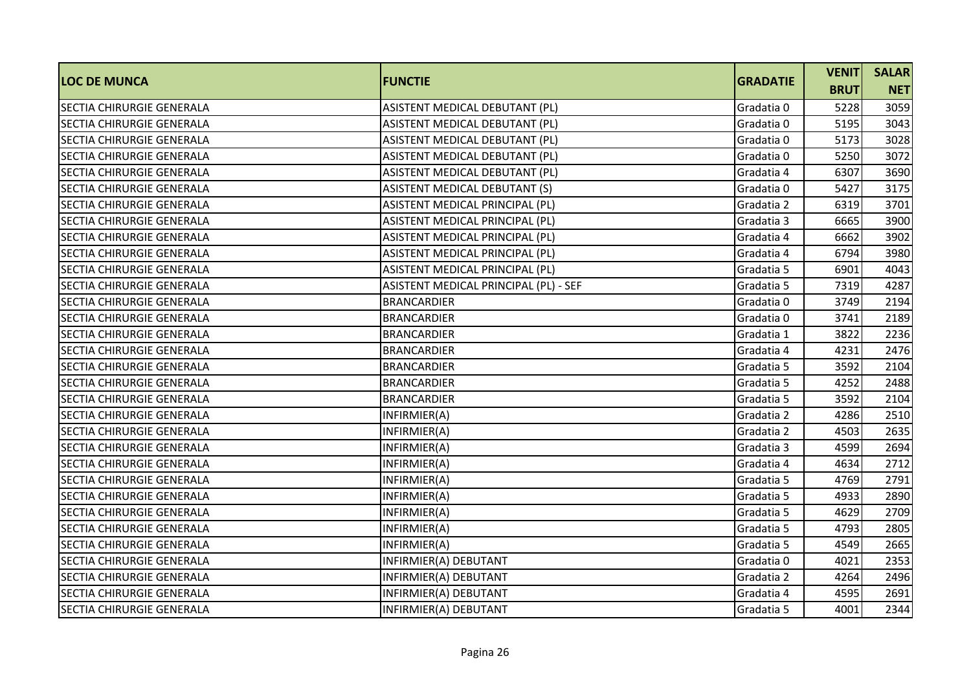|                                  | <b>FUNCTIE</b>                        |                 | <b>VENIT</b> | <b>SALAR</b> |
|----------------------------------|---------------------------------------|-----------------|--------------|--------------|
| <b>LOC DE MUNCA</b>              |                                       | <b>GRADATIE</b> | <b>BRUT</b>  | <b>NET</b>   |
| <b>SECTIA CHIRURGIE GENERALA</b> | ASISTENT MEDICAL DEBUTANT (PL)        | Gradatia 0      | 5228         | 3059         |
| SECTIA CHIRURGIE GENERALA        | ASISTENT MEDICAL DEBUTANT (PL)        | Gradatia 0      | 5195         | 3043         |
| SECTIA CHIRURGIE GENERALA        | ASISTENT MEDICAL DEBUTANT (PL)        | Gradatia 0      | 5173         | 3028         |
| SECTIA CHIRURGIE GENERALA        | ASISTENT MEDICAL DEBUTANT (PL)        | Gradatia 0      | 5250         | 3072         |
| <b>SECTIA CHIRURGIE GENERALA</b> | ASISTENT MEDICAL DEBUTANT (PL)        | Gradatia 4      | 6307         | 3690         |
| SECTIA CHIRURGIE GENERALA        | ASISTENT MEDICAL DEBUTANT (S)         | Gradatia 0      | 5427         | 3175         |
| <b>SECTIA CHIRURGIE GENERALA</b> | ASISTENT MEDICAL PRINCIPAL (PL)       | Gradatia 2      | 6319         | 3701         |
| SECTIA CHIRURGIE GENERALA        | ASISTENT MEDICAL PRINCIPAL (PL)       | Gradatia 3      | 6665         | 3900         |
| SECTIA CHIRURGIE GENERALA        | ASISTENT MEDICAL PRINCIPAL (PL)       | Gradatia 4      | 6662         | 3902         |
| <b>SECTIA CHIRURGIE GENERALA</b> | ASISTENT MEDICAL PRINCIPAL (PL)       | Gradatia 4      | 6794         | 3980         |
| <b>SECTIA CHIRURGIE GENERALA</b> | ASISTENT MEDICAL PRINCIPAL (PL)       | Gradatia 5      | 6901         | 4043         |
| SECTIA CHIRURGIE GENERALA        | ASISTENT MEDICAL PRINCIPAL (PL) - SEF | Gradatia 5      | 7319         | 4287         |
| <b>SECTIA CHIRURGIE GENERALA</b> | <b>BRANCARDIER</b>                    | Gradatia 0      | 3749         | 2194         |
| <b>SECTIA CHIRURGIE GENERALA</b> | <b>BRANCARDIER</b>                    | Gradatia 0      | 3741         | 2189         |
| SECTIA CHIRURGIE GENERALA        | <b>BRANCARDIER</b>                    | Gradatia 1      | 3822         | 2236         |
| <b>SECTIA CHIRURGIE GENERALA</b> | <b>BRANCARDIER</b>                    | Gradatia 4      | 4231         | 2476         |
| <b>SECTIA CHIRURGIE GENERALA</b> | <b>BRANCARDIER</b>                    | Gradatia 5      | 3592         | 2104         |
| <b>SECTIA CHIRURGIE GENERALA</b> | <b>BRANCARDIER</b>                    | Gradatia 5      | 4252         | 2488         |
| <b>SECTIA CHIRURGIE GENERALA</b> | <b>BRANCARDIER</b>                    | Gradatia 5      | 3592         | 2104         |
| SECTIA CHIRURGIE GENERALA        | INFIRMIER(A)                          | Gradatia 2      | 4286         | 2510         |
| SECTIA CHIRURGIE GENERALA        | INFIRMIER(A)                          | Gradatia 2      | 4503         | 2635         |
| <b>SECTIA CHIRURGIE GENERALA</b> | INFIRMIER(A)                          | Gradatia 3      | 4599         | 2694         |
| SECTIA CHIRURGIE GENERALA        | INFIRMIER(A)                          | Gradatia 4      | 4634         | 2712         |
| <b>SECTIA CHIRURGIE GENERALA</b> | INFIRMIER(A)                          | Gradatia 5      | 4769         | 2791         |
| <b>SECTIA CHIRURGIE GENERALA</b> | INFIRMIER(A)                          | Gradatia 5      | 4933         | 2890         |
| SECTIA CHIRURGIE GENERALA        | INFIRMIER(A)                          | Gradatia 5      | 4629         | 2709         |
| SECTIA CHIRURGIE GENERALA        | INFIRMIER(A)                          | Gradatia 5      | 4793         | 2805         |
| <b>SECTIA CHIRURGIE GENERALA</b> | INFIRMIER(A)                          | Gradatia 5      | 4549         | 2665         |
| <b>SECTIA CHIRURGIE GENERALA</b> | INFIRMIER(A) DEBUTANT                 | Gradatia 0      | 4021         | 2353         |
| <b>SECTIA CHIRURGIE GENERALA</b> | INFIRMIER(A) DEBUTANT                 | Gradatia 2      | 4264         | 2496         |
| SECTIA CHIRURGIE GENERALA        | INFIRMIER(A) DEBUTANT                 | Gradatia 4      | 4595         | 2691         |
| <b>SECTIA CHIRURGIE GENERALA</b> | INFIRMIER(A) DEBUTANT                 | Gradatia 5      | 4001         | 2344         |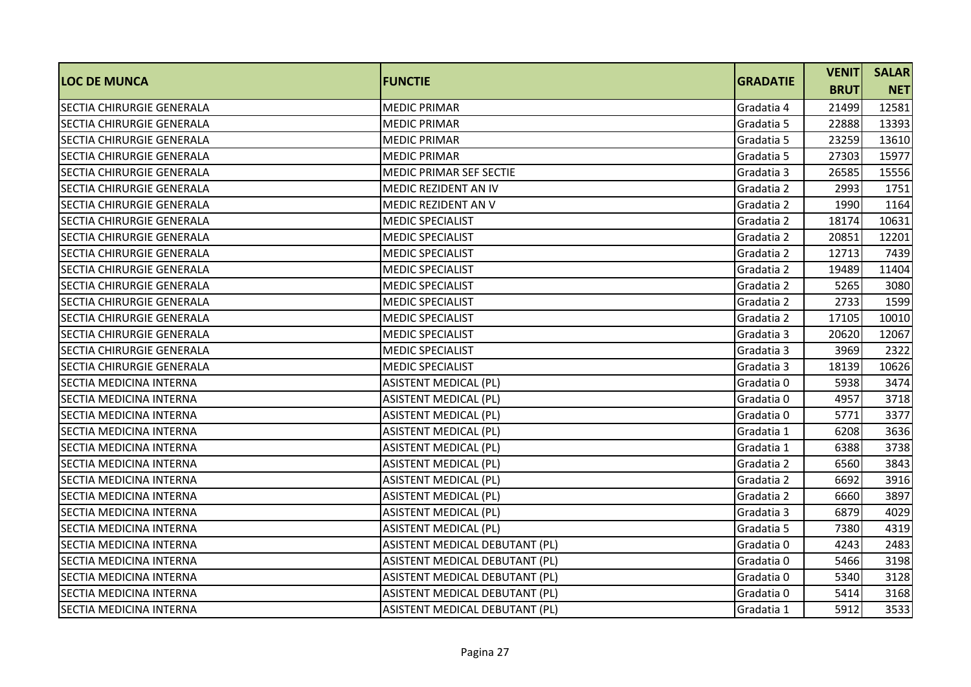| <b>LOC DE MUNCA</b>              | <b>FUNCTIE</b>                 | <b>GRADATIE</b> | <b>VENIT</b> | <b>SALAR</b> |
|----------------------------------|--------------------------------|-----------------|--------------|--------------|
|                                  |                                |                 | <b>BRUT</b>  | <b>NET</b>   |
| <b>SECTIA CHIRURGIE GENERALA</b> | <b>MEDIC PRIMAR</b>            | Gradatia 4      | 21499        | 12581        |
| SECTIA CHIRURGIE GENERALA        | <b>MEDIC PRIMAR</b>            | Gradatia 5      | 22888        | 13393        |
| SECTIA CHIRURGIE GENERALA        | <b>MEDIC PRIMAR</b>            | Gradatia 5      | 23259        | 13610        |
| <b>SECTIA CHIRURGIE GENERALA</b> | <b>MEDIC PRIMAR</b>            | Gradatia 5      | 27303        | 15977        |
| <b>SECTIA CHIRURGIE GENERALA</b> | MEDIC PRIMAR SEF SECTIE        | Gradatia 3      | 26585        | 15556        |
| <b>SECTIA CHIRURGIE GENERALA</b> | <b>MEDIC REZIDENT AN IV</b>    | Gradatia 2      | 2993         | 1751         |
| SECTIA CHIRURGIE GENERALA        | <b>MEDIC REZIDENT AN V</b>     | Gradatia 2      | 1990         | 1164         |
| <b>SECTIA CHIRURGIE GENERALA</b> | <b>MEDIC SPECIALIST</b>        | Gradatia 2      | 18174        | 10631        |
| SECTIA CHIRURGIE GENERALA        | <b>MEDIC SPECIALIST</b>        | Gradatia 2      | 20851        | 12201        |
| <b>SECTIA CHIRURGIE GENERALA</b> | <b>MEDIC SPECIALIST</b>        | Gradatia 2      | 12713        | 7439         |
| <b>SECTIA CHIRURGIE GENERALA</b> | <b>MEDIC SPECIALIST</b>        | Gradatia 2      | 19489        | 11404        |
| SECTIA CHIRURGIE GENERALA        | <b>MEDIC SPECIALIST</b>        | Gradatia 2      | 5265         | 3080         |
| <b>SECTIA CHIRURGIE GENERALA</b> | <b>MEDIC SPECIALIST</b>        | Gradatia 2      | 2733         | 1599         |
| SECTIA CHIRURGIE GENERALA        | <b>MEDIC SPECIALIST</b>        | Gradatia 2      | 17105        | 10010        |
| SECTIA CHIRURGIE GENERALA        | <b>MEDIC SPECIALIST</b>        | Gradatia 3      | 20620        | 12067        |
| <b>SECTIA CHIRURGIE GENERALA</b> | <b>MEDIC SPECIALIST</b>        | Gradatia 3      | 3969         | 2322         |
| <b>SECTIA CHIRURGIE GENERALA</b> | <b>MEDIC SPECIALIST</b>        | Gradatia 3      | 18139        | 10626        |
| SECTIA MEDICINA INTERNA          | <b>ASISTENT MEDICAL (PL)</b>   | Gradatia 0      | 5938         | 3474         |
| <b>SECTIA MEDICINA INTERNA</b>   | <b>ASISTENT MEDICAL (PL)</b>   | Gradatia 0      | 4957         | 3718         |
| <b>SECTIA MEDICINA INTERNA</b>   | <b>ASISTENT MEDICAL (PL)</b>   | Gradatia 0      | 5771         | 3377         |
| SECTIA MEDICINA INTERNA          | <b>ASISTENT MEDICAL (PL)</b>   | Gradatia 1      | 6208         | 3636         |
| SECTIA MEDICINA INTERNA          | <b>ASISTENT MEDICAL (PL)</b>   | Gradatia 1      | 6388         | 3738         |
| SECTIA MEDICINA INTERNA          | <b>ASISTENT MEDICAL (PL)</b>   | Gradatia 2      | 6560         | 3843         |
| SECTIA MEDICINA INTERNA          | <b>ASISTENT MEDICAL (PL)</b>   | Gradatia 2      | 6692         | 3916         |
| SECTIA MEDICINA INTERNA          | <b>ASISTENT MEDICAL (PL)</b>   | Gradatia 2      | 6660         | 3897         |
| SECTIA MEDICINA INTERNA          | <b>ASISTENT MEDICAL (PL)</b>   | Gradatia 3      | 6879         | 4029         |
| SECTIA MEDICINA INTERNA          | <b>ASISTENT MEDICAL (PL)</b>   | Gradatia 5      | 7380         | 4319         |
| SECTIA MEDICINA INTERNA          | ASISTENT MEDICAL DEBUTANT (PL) | Gradatia 0      | 4243         | 2483         |
| SECTIA MEDICINA INTERNA          | ASISTENT MEDICAL DEBUTANT (PL) | Gradatia 0      | 5466         | 3198         |
| SECTIA MEDICINA INTERNA          | ASISTENT MEDICAL DEBUTANT (PL) | Gradatia 0      | 5340         | 3128         |
| <b>SECTIA MEDICINA INTERNA</b>   | ASISTENT MEDICAL DEBUTANT (PL) | Gradatia 0      | 5414         | 3168         |
| SECTIA MEDICINA INTERNA          | ASISTENT MEDICAL DEBUTANT (PL) | Gradatia 1      | 5912         | 3533         |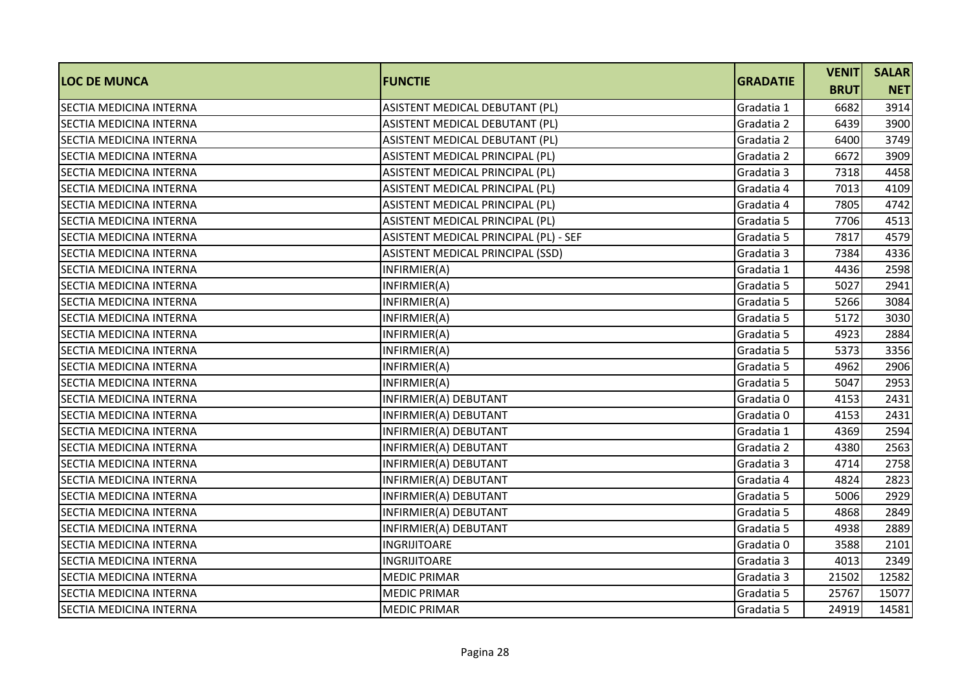|                                | <b>FUNCTIE</b>                        | <b>GRADATIE</b> | <b>VENIT</b> | <b>SALAR</b> |
|--------------------------------|---------------------------------------|-----------------|--------------|--------------|
| <b>LOC DE MUNCA</b>            |                                       |                 | <b>BRUT</b>  | <b>NET</b>   |
| <b>SECTIA MEDICINA INTERNA</b> | ASISTENT MEDICAL DEBUTANT (PL)        | Gradatia 1      | 6682         | 3914         |
| SECTIA MEDICINA INTERNA        | ASISTENT MEDICAL DEBUTANT (PL)        | Gradatia 2      | 6439         | 3900         |
| SECTIA MEDICINA INTERNA        | ASISTENT MEDICAL DEBUTANT (PL)        | Gradatia 2      | 6400         | 3749         |
| SECTIA MEDICINA INTERNA        | ASISTENT MEDICAL PRINCIPAL (PL)       | Gradatia 2      | 6672         | 3909         |
| <b>SECTIA MEDICINA INTERNA</b> | ASISTENT MEDICAL PRINCIPAL (PL)       | Gradatia 3      | 7318         | 4458         |
| SECTIA MEDICINA INTERNA        | ASISTENT MEDICAL PRINCIPAL (PL)       | Gradatia 4      | 7013         | 4109         |
| SECTIA MEDICINA INTERNA        | ASISTENT MEDICAL PRINCIPAL (PL)       | Gradatia 4      | 7805         | 4742         |
| <b>SECTIA MEDICINA INTERNA</b> | ASISTENT MEDICAL PRINCIPAL (PL)       | Gradatia 5      | 7706         | 4513         |
| SECTIA MEDICINA INTERNA        | ASISTENT MEDICAL PRINCIPAL (PL) - SEF | Gradatia 5      | 7817         | 4579         |
| SECTIA MEDICINA INTERNA        | ASISTENT MEDICAL PRINCIPAL (SSD)      | Gradatia 3      | 7384         | 4336         |
| SECTIA MEDICINA INTERNA        | INFIRMIER(A)                          | Gradatia 1      | 4436         | 2598         |
| SECTIA MEDICINA INTERNA        | INFIRMIER(A)                          | Gradatia 5      | 5027         | 2941         |
| SECTIA MEDICINA INTERNA        | INFIRMIER(A)                          | Gradatia 5      | 5266         | 3084         |
| SECTIA MEDICINA INTERNA        | INFIRMIER(A)                          | Gradatia 5      | 5172         | 3030         |
| SECTIA MEDICINA INTERNA        | INFIRMIER(A)                          | Gradatia 5      | 4923         | 2884         |
| <b>SECTIA MEDICINA INTERNA</b> | INFIRMIER(A)                          | Gradatia 5      | 5373         | 3356         |
| SECTIA MEDICINA INTERNA        | INFIRMIER(A)                          | Gradatia 5      | 4962         | 2906         |
| SECTIA MEDICINA INTERNA        | INFIRMIER(A)                          | Gradatia 5      | 5047         | 2953         |
| SECTIA MEDICINA INTERNA        | INFIRMIER(A) DEBUTANT                 | Gradatia 0      | 4153         | 2431         |
| SECTIA MEDICINA INTERNA        | INFIRMIER(A) DEBUTANT                 | Gradatia 0      | 4153         | 2431         |
| SECTIA MEDICINA INTERNA        | INFIRMIER(A) DEBUTANT                 | Gradatia 1      | 4369         | 2594         |
| <b>SECTIA MEDICINA INTERNA</b> | INFIRMIER(A) DEBUTANT                 | Gradatia 2      | 4380         | 2563         |
| SECTIA MEDICINA INTERNA        | INFIRMIER(A) DEBUTANT                 | Gradatia 3      | 4714         | 2758         |
| SECTIA MEDICINA INTERNA        | INFIRMIER(A) DEBUTANT                 | Gradatia 4      | 4824         | 2823         |
| SECTIA MEDICINA INTERNA        | INFIRMIER(A) DEBUTANT                 | Gradatia 5      | 5006         | 2929         |
| SECTIA MEDICINA INTERNA        | INFIRMIER(A) DEBUTANT                 | Gradatia 5      | 4868         | 2849         |
| <b>SECTIA MEDICINA INTERNA</b> | INFIRMIER(A) DEBUTANT                 | Gradatia 5      | 4938         | 2889         |
| SECTIA MEDICINA INTERNA        | <b>INGRIJITOARE</b>                   | Gradatia 0      | 3588         | 2101         |
| SECTIA MEDICINA INTERNA        | INGRIJITOARE                          | Gradatia 3      | 4013         | 2349         |
| SECTIA MEDICINA INTERNA        | <b>MEDIC PRIMAR</b>                   | Gradatia 3      | 21502        | 12582        |
| <b>SECTIA MEDICINA INTERNA</b> | <b>MEDIC PRIMAR</b>                   | Gradatia 5      | 25767        | 15077        |
| SECTIA MEDICINA INTERNA        | <b>MEDIC PRIMAR</b>                   | Gradatia 5      | 24919        | 14581        |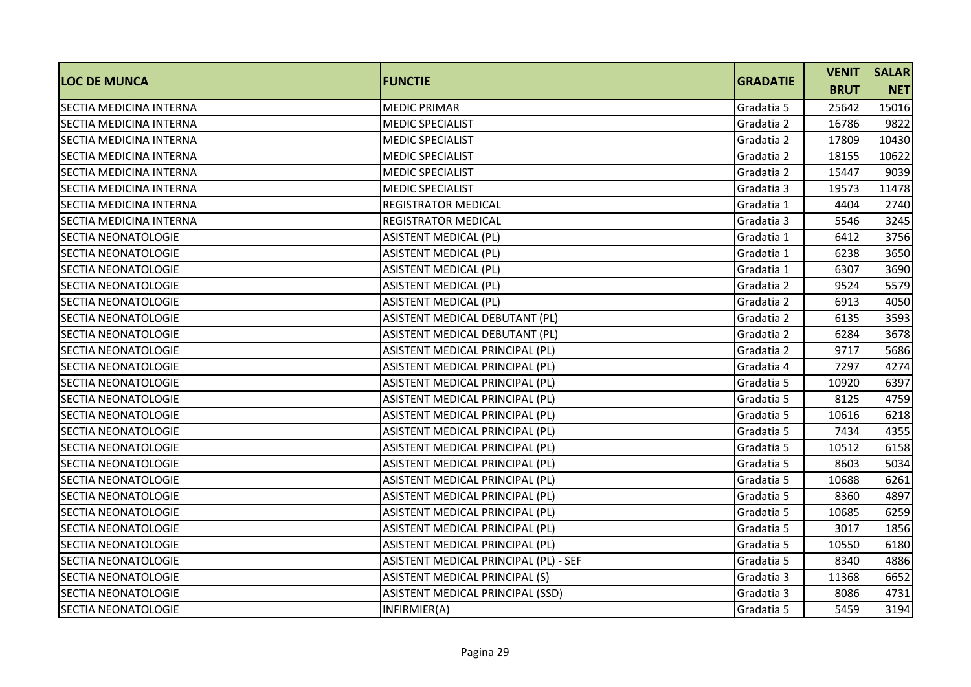|                                |                                       | <b>GRADATIE</b> | <b>VENIT</b> | <b>SALAR</b> |
|--------------------------------|---------------------------------------|-----------------|--------------|--------------|
| <b>LOC DE MUNCA</b>            | <b>FUNCTIE</b>                        |                 | <b>BRUT</b>  | <b>NET</b>   |
| <b>SECTIA MEDICINA INTERNA</b> | <b>MEDIC PRIMAR</b>                   | Gradatia 5      | 25642        | 15016        |
| SECTIA MEDICINA INTERNA        | <b>MEDIC SPECIALIST</b>               | Gradatia 2      | 16786        | 9822         |
| SECTIA MEDICINA INTERNA        | <b>MEDIC SPECIALIST</b>               | Gradatia 2      | 17809        | 10430        |
| <b>SECTIA MEDICINA INTERNA</b> | <b>MEDIC SPECIALIST</b>               | Gradatia 2      | 18155        | 10622        |
| SECTIA MEDICINA INTERNA        | <b>MEDIC SPECIALIST</b>               | Gradatia 2      | 15447        | 9039         |
| <b>SECTIA MEDICINA INTERNA</b> | <b>MEDIC SPECIALIST</b>               | Gradatia 3      | 19573        | 11478        |
| <b>SECTIA MEDICINA INTERNA</b> | <b>REGISTRATOR MEDICAL</b>            | Gradatia 1      | 4404         | 2740         |
| SECTIA MEDICINA INTERNA        | <b>REGISTRATOR MEDICAL</b>            | Gradatia 3      | 5546         | 3245         |
| <b>SECTIA NEONATOLOGIE</b>     | <b>ASISTENT MEDICAL (PL)</b>          | Gradatia 1      | 6412         | 3756         |
| SECTIA NEONATOLOGIE            | <b>ASISTENT MEDICAL (PL)</b>          | Gradatia 1      | 6238         | 3650         |
| <b>SECTIA NEONATOLOGIE</b>     | <b>ASISTENT MEDICAL (PL)</b>          | Gradatia 1      | 6307         | 3690         |
| <b>SECTIA NEONATOLOGIE</b>     | <b>ASISTENT MEDICAL (PL)</b>          | Gradatia 2      | 9524         | 5579         |
| <b>SECTIA NEONATOLOGIE</b>     | <b>ASISTENT MEDICAL (PL)</b>          | Gradatia 2      | 6913         | 4050         |
| <b>SECTIA NEONATOLOGIE</b>     | ASISTENT MEDICAL DEBUTANT (PL)        | Gradatia 2      | 6135         | 3593         |
| SECTIA NEONATOLOGIE            | ASISTENT MEDICAL DEBUTANT (PL)        | Gradatia 2      | 6284         | 3678         |
| <b>SECTIA NEONATOLOGIE</b>     | ASISTENT MEDICAL PRINCIPAL (PL)       | Gradatia 2      | 9717         | 5686         |
| <b>SECTIA NEONATOLOGIE</b>     | ASISTENT MEDICAL PRINCIPAL (PL)       | Gradatia 4      | 7297         | 4274         |
| <b>SECTIA NEONATOLOGIE</b>     | ASISTENT MEDICAL PRINCIPAL (PL)       | Gradatia 5      | 10920        | 6397         |
| <b>SECTIA NEONATOLOGIE</b>     | ASISTENT MEDICAL PRINCIPAL (PL)       | Gradatia 5      | 8125         | 4759         |
| <b>SECTIA NEONATOLOGIE</b>     | ASISTENT MEDICAL PRINCIPAL (PL)       | Gradatia 5      | 10616        | 6218         |
| <b>SECTIA NEONATOLOGIE</b>     | ASISTENT MEDICAL PRINCIPAL (PL)       | Gradatia 5      | 7434         | 4355         |
| <b>SECTIA NEONATOLOGIE</b>     | ASISTENT MEDICAL PRINCIPAL (PL)       | Gradatia 5      | 10512        | 6158         |
| SECTIA NEONATOLOGIE            | ASISTENT MEDICAL PRINCIPAL (PL)       | Gradatia 5      | 8603         | 5034         |
| <b>SECTIA NEONATOLOGIE</b>     | ASISTENT MEDICAL PRINCIPAL (PL)       | Gradatia 5      | 10688        | 6261         |
| SECTIA NEONATOLOGIE            | ASISTENT MEDICAL PRINCIPAL (PL)       | Gradatia 5      | 8360         | 4897         |
| <b>SECTIA NEONATOLOGIE</b>     | ASISTENT MEDICAL PRINCIPAL (PL)       | Gradatia 5      | 10685        | 6259         |
| <b>SECTIA NEONATOLOGIE</b>     | ASISTENT MEDICAL PRINCIPAL (PL)       | Gradatia 5      | 3017         | 1856         |
| <b>SECTIA NEONATOLOGIE</b>     | ASISTENT MEDICAL PRINCIPAL (PL)       | Gradatia 5      | 10550        | 6180         |
| <b>SECTIA NEONATOLOGIE</b>     | ASISTENT MEDICAL PRINCIPAL (PL) - SEF | Gradatia 5      | 8340         | 4886         |
| SECTIA NEONATOLOGIE            | ASISTENT MEDICAL PRINCIPAL (S)        | Gradatia 3      | 11368        | 6652         |
| SECTIA NEONATOLOGIE            | ASISTENT MEDICAL PRINCIPAL (SSD)      | Gradatia 3      | 8086         | 4731         |
| SECTIA NEONATOLOGIE            | INFIRMIER(A)                          | Gradatia 5      | 5459         | 3194         |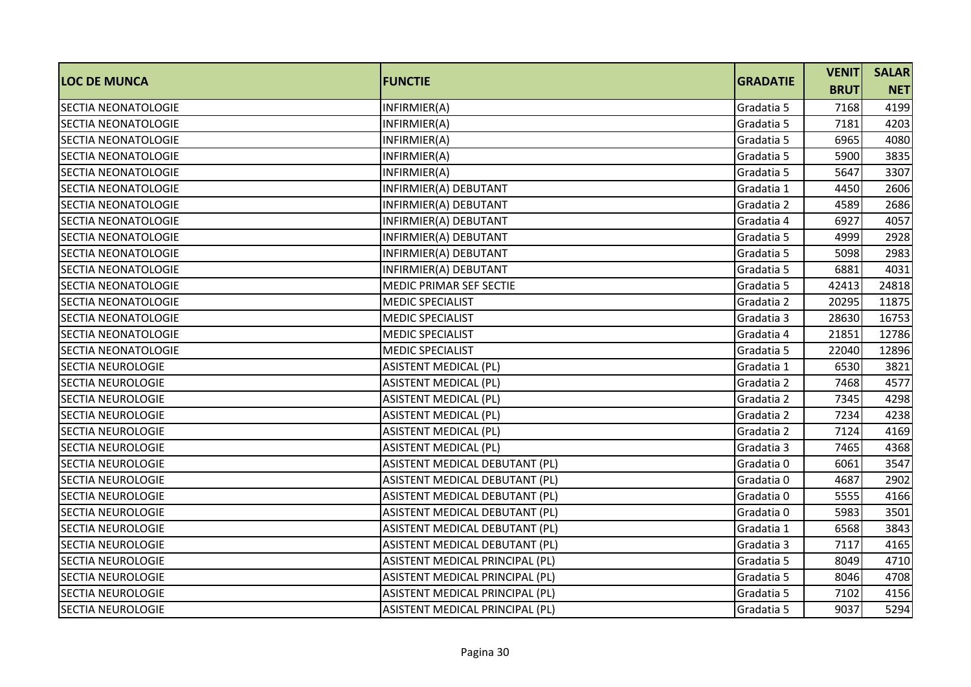|                            |                                 | <b>GRADATIE</b> | <b>VENIT</b> | <b>SALAR</b> |
|----------------------------|---------------------------------|-----------------|--------------|--------------|
| <b>LOC DE MUNCA</b>        | <b>FUNCTIE</b>                  |                 | <b>BRUT</b>  | <b>NET</b>   |
| <b>SECTIA NEONATOLOGIE</b> | INFIRMIER(A)                    | Gradatia 5      | 7168         | 4199         |
| <b>SECTIA NEONATOLOGIE</b> | INFIRMIER(A)                    | Gradatia 5      | 7181         | 4203         |
| <b>SECTIA NEONATOLOGIE</b> | INFIRMIER(A)                    | Gradatia 5      | 6965         | 4080         |
| <b>SECTIA NEONATOLOGIE</b> | INFIRMIER(A)                    | Gradatia 5      | 5900         | 3835         |
| <b>SECTIA NEONATOLOGIE</b> | INFIRMIER(A)                    | Gradatia 5      | 5647         | 3307         |
| <b>SECTIA NEONATOLOGIE</b> | INFIRMIER(A) DEBUTANT           | Gradatia 1      | 4450         | 2606         |
| <b>SECTIA NEONATOLOGIE</b> | INFIRMIER(A) DEBUTANT           | Gradatia 2      | 4589         | 2686         |
| <b>SECTIA NEONATOLOGIE</b> | INFIRMIER(A) DEBUTANT           | Gradatia 4      | 6927         | 4057         |
| <b>SECTIA NEONATOLOGIE</b> | INFIRMIER(A) DEBUTANT           | Gradatia 5      | 4999         | 2928         |
| <b>SECTIA NEONATOLOGIE</b> | INFIRMIER(A) DEBUTANT           | Gradatia 5      | 5098         | 2983         |
| <b>SECTIA NEONATOLOGIE</b> | INFIRMIER(A) DEBUTANT           | Gradatia 5      | 6881         | 4031         |
| <b>SECTIA NEONATOLOGIE</b> | MEDIC PRIMAR SEF SECTIE         | Gradatia 5      | 42413        | 24818        |
| <b>SECTIA NEONATOLOGIE</b> | <b>MEDIC SPECIALIST</b>         | Gradatia 2      | 20295        | 11875        |
| <b>SECTIA NEONATOLOGIE</b> | <b>MEDIC SPECIALIST</b>         | Gradatia 3      | 28630        | 16753        |
| SECTIA NEONATOLOGIE        | <b>MEDIC SPECIALIST</b>         | Gradatia 4      | 21851        | 12786        |
| <b>SECTIA NEONATOLOGIE</b> | <b>MEDIC SPECIALIST</b>         | Gradatia 5      | 22040        | 12896        |
| <b>SECTIA NEUROLOGIE</b>   | <b>ASISTENT MEDICAL (PL)</b>    | Gradatia 1      | 6530         | 3821         |
| <b>SECTIA NEUROLOGIE</b>   | <b>ASISTENT MEDICAL (PL)</b>    | Gradatia 2      | 7468         | 4577         |
| <b>SECTIA NEUROLOGIE</b>   | <b>ASISTENT MEDICAL (PL)</b>    | Gradatia 2      | 7345         | 4298         |
| <b>SECTIA NEUROLOGIE</b>   | <b>ASISTENT MEDICAL (PL)</b>    | Gradatia 2      | 7234         | 4238         |
| <b>SECTIA NEUROLOGIE</b>   | <b>ASISTENT MEDICAL (PL)</b>    | Gradatia 2      | 7124         | 4169         |
| <b>SECTIA NEUROLOGIE</b>   | <b>ASISTENT MEDICAL (PL)</b>    | Gradatia 3      | 7465         | 4368         |
| <b>SECTIA NEUROLOGIE</b>   | ASISTENT MEDICAL DEBUTANT (PL)  | Gradatia 0      | 6061         | 3547         |
| <b>SECTIA NEUROLOGIE</b>   | ASISTENT MEDICAL DEBUTANT (PL)  | Gradatia 0      | 4687         | 2902         |
| <b>SECTIA NEUROLOGIE</b>   | ASISTENT MEDICAL DEBUTANT (PL)  | Gradatia 0      | 5555         | 4166         |
| <b>SECTIA NEUROLOGIE</b>   | ASISTENT MEDICAL DEBUTANT (PL)  | Gradatia 0      | 5983         | 3501         |
| <b>SECTIA NEUROLOGIE</b>   | ASISTENT MEDICAL DEBUTANT (PL)  | Gradatia 1      | 6568         | 3843         |
| <b>SECTIA NEUROLOGIE</b>   | ASISTENT MEDICAL DEBUTANT (PL)  | Gradatia 3      | 7117         | 4165         |
| <b>SECTIA NEUROLOGIE</b>   | ASISTENT MEDICAL PRINCIPAL (PL) | Gradatia 5      | 8049         | 4710         |
| <b>SECTIA NEUROLOGIE</b>   | ASISTENT MEDICAL PRINCIPAL (PL) | Gradatia 5      | 8046         | 4708         |
| <b>SECTIA NEUROLOGIE</b>   | ASISTENT MEDICAL PRINCIPAL (PL) | Gradatia 5      | 7102         | 4156         |
| <b>SECTIA NEUROLOGIE</b>   | ASISTENT MEDICAL PRINCIPAL (PL) | Gradatia 5      | 9037         | 5294         |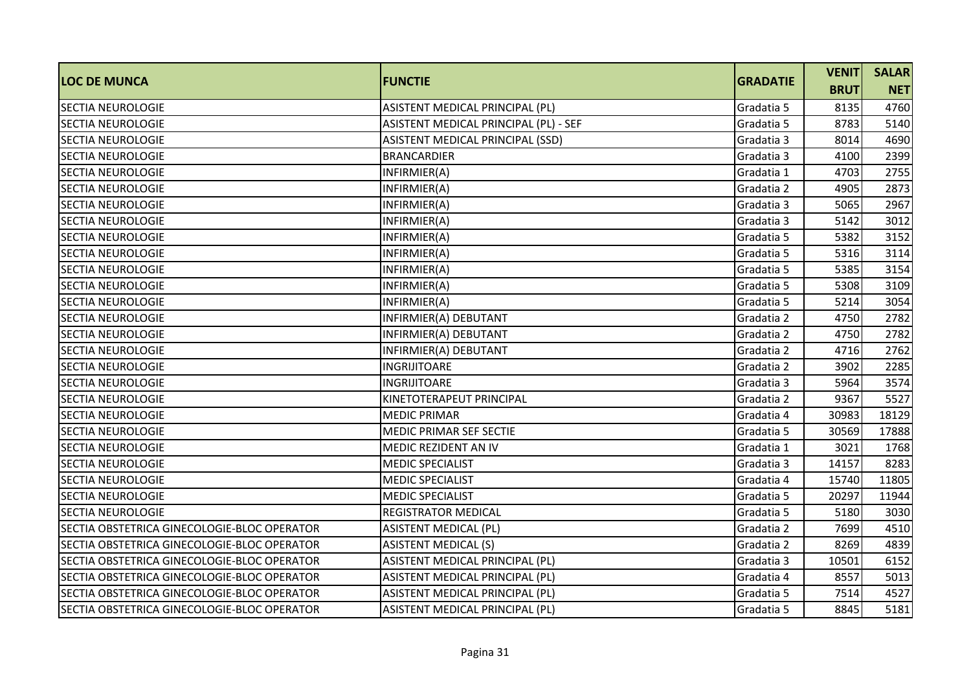| <b>LOC DE MUNCA</b>                         | <b>FUNCTIE</b>                        | <b>GRADATIE</b> | <b>VENIT</b> | <b>SALAR</b> |
|---------------------------------------------|---------------------------------------|-----------------|--------------|--------------|
|                                             |                                       |                 | <b>BRUT</b>  | <b>NET</b>   |
| <b>SECTIA NEUROLOGIE</b>                    | ASISTENT MEDICAL PRINCIPAL (PL)       | Gradatia 5      | 8135         | 4760         |
| <b>SECTIA NEUROLOGIE</b>                    | ASISTENT MEDICAL PRINCIPAL (PL) - SEF | Gradatia 5      | 8783         | 5140         |
| <b>SECTIA NEUROLOGIE</b>                    | ASISTENT MEDICAL PRINCIPAL (SSD)      | Gradatia 3      | 8014         | 4690         |
| <b>SECTIA NEUROLOGIE</b>                    | <b>BRANCARDIER</b>                    | Gradatia 3      | 4100         | 2399         |
| <b>SECTIA NEUROLOGIE</b>                    | INFIRMIER(A)                          | Gradatia 1      | 4703         | 2755         |
| <b>SECTIA NEUROLOGIE</b>                    | INFIRMIER(A)                          | Gradatia 2      | 4905         | 2873         |
| <b>SECTIA NEUROLOGIE</b>                    | INFIRMIER(A)                          | Gradatia 3      | 5065         | 2967         |
| <b>SECTIA NEUROLOGIE</b>                    | INFIRMIER(A)                          | Gradatia 3      | 5142         | 3012         |
| <b>SECTIA NEUROLOGIE</b>                    | INFIRMIER(A)                          | Gradatia 5      | 5382         | 3152         |
| <b>SECTIA NEUROLOGIE</b>                    | INFIRMIER(A)                          | Gradatia 5      | 5316         | 3114         |
| <b>SECTIA NEUROLOGIE</b>                    | INFIRMIER(A)                          | Gradatia 5      | 5385         | 3154         |
| <b>SECTIA NEUROLOGIE</b>                    | INFIRMIER(A)                          | Gradatia 5      | 5308         | 3109         |
| <b>SECTIA NEUROLOGIE</b>                    | INFIRMIER(A)                          | Gradatia 5      | 5214         | 3054         |
| <b>SECTIA NEUROLOGIE</b>                    | INFIRMIER(A) DEBUTANT                 | Gradatia 2      | 4750         | 2782         |
| <b>SECTIA NEUROLOGIE</b>                    | INFIRMIER(A) DEBUTANT                 | Gradatia 2      | 4750         | 2782         |
| <b>SECTIA NEUROLOGIE</b>                    | INFIRMIER(A) DEBUTANT                 | Gradatia 2      | 4716         | 2762         |
| <b>SECTIA NEUROLOGIE</b>                    | <b>INGRIJITOARE</b>                   | Gradatia 2      | 3902         | 2285         |
| <b>SECTIA NEUROLOGIE</b>                    | <b>INGRIJITOARE</b>                   | Gradatia 3      | 5964         | 3574         |
| <b>SECTIA NEUROLOGIE</b>                    | KINETOTERAPEUT PRINCIPAL              | Gradatia 2      | 9367         | 5527         |
| <b>SECTIA NEUROLOGIE</b>                    | <b>MEDIC PRIMAR</b>                   | Gradatia 4      | 30983        | 18129        |
| <b>SECTIA NEUROLOGIE</b>                    | MEDIC PRIMAR SEF SECTIE               | Gradatia 5      | 30569        | 17888        |
| <b>SECTIA NEUROLOGIE</b>                    | <b>MEDIC REZIDENT AN IV</b>           | Gradatia 1      | 3021         | 1768         |
| <b>SECTIA NEUROLOGIE</b>                    | <b>MEDIC SPECIALIST</b>               | Gradatia 3      | 14157        | 8283         |
| <b>SECTIA NEUROLOGIE</b>                    | <b>MEDIC SPECIALIST</b>               | Gradatia 4      | 15740        | 11805        |
| <b>SECTIA NEUROLOGIE</b>                    | <b>MEDIC SPECIALIST</b>               | Gradatia 5      | 20297        | 11944        |
| <b>SECTIA NEUROLOGIE</b>                    | <b>REGISTRATOR MEDICAL</b>            | Gradatia 5      | 5180         | 3030         |
| SECTIA OBSTETRICA GINECOLOGIE-BLOC OPERATOR | <b>ASISTENT MEDICAL (PL)</b>          | Gradatia 2      | 7699         | 4510         |
| SECTIA OBSTETRICA GINECOLOGIE-BLOC OPERATOR | <b>ASISTENT MEDICAL (S)</b>           | Gradatia 2      | 8269         | 4839         |
| SECTIA OBSTETRICA GINECOLOGIE-BLOC OPERATOR | ASISTENT MEDICAL PRINCIPAL (PL)       | Gradatia 3      | 10501        | 6152         |
| SECTIA OBSTETRICA GINECOLOGIE-BLOC OPERATOR | ASISTENT MEDICAL PRINCIPAL (PL)       | Gradatia 4      | 8557         | 5013         |
| SECTIA OBSTETRICA GINECOLOGIE-BLOC OPERATOR | ASISTENT MEDICAL PRINCIPAL (PL)       | Gradatia 5      | 7514         | 4527         |
| SECTIA OBSTETRICA GINECOLOGIE-BLOC OPERATOR | ASISTENT MEDICAL PRINCIPAL (PL)       | Gradatia 5      | 8845         | 5181         |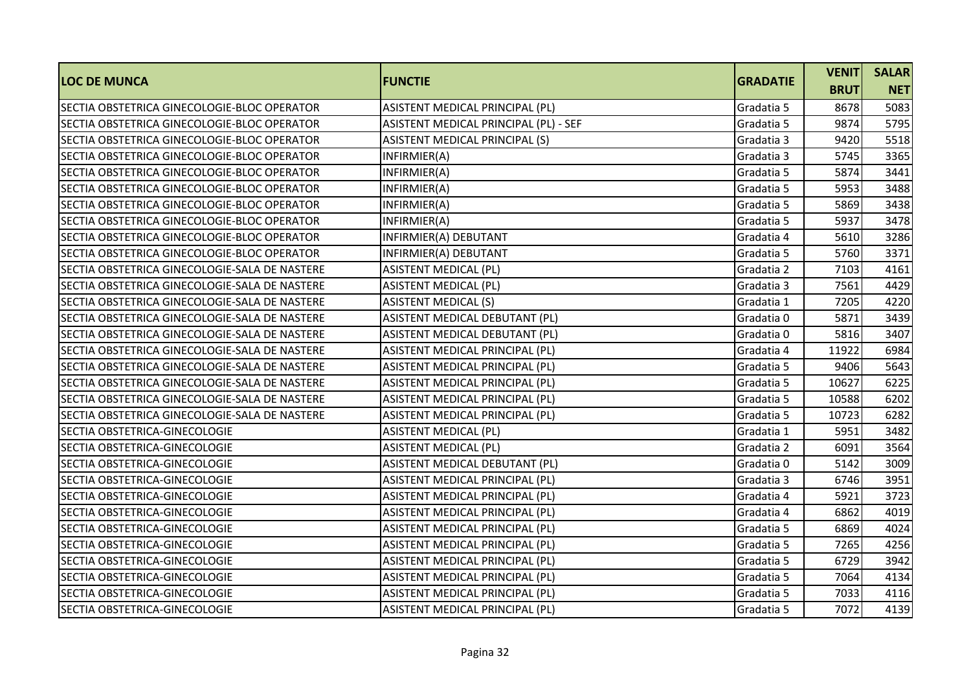| <b>LOC DE MUNCA</b>                           | <b>FUNCTIE</b>                        | <b>GRADATIE</b> | <b>VENIT</b> | <b>SALAR</b> |
|-----------------------------------------------|---------------------------------------|-----------------|--------------|--------------|
|                                               |                                       |                 | <b>BRUT</b>  | <b>NET</b>   |
| SECTIA OBSTETRICA GINECOLOGIE-BLOC OPERATOR   | ASISTENT MEDICAL PRINCIPAL (PL)       | Gradatia 5      | 8678         | 5083         |
| SECTIA OBSTETRICA GINECOLOGIE-BLOC OPERATOR   | ASISTENT MEDICAL PRINCIPAL (PL) - SEF | Gradatia 5      | 9874         | 5795         |
| SECTIA OBSTETRICA GINECOLOGIE-BLOC OPERATOR   | ASISTENT MEDICAL PRINCIPAL (S)        | Gradatia 3      | 9420         | 5518         |
| SECTIA OBSTETRICA GINECOLOGIE-BLOC OPERATOR   | INFIRMIER(A)                          | Gradatia 3      | 5745         | 3365         |
| SECTIA OBSTETRICA GINECOLOGIE-BLOC OPERATOR   | INFIRMIER(A)                          | Gradatia 5      | 5874         | 3441         |
| SECTIA OBSTETRICA GINECOLOGIE-BLOC OPERATOR   | INFIRMIER(A)                          | Gradatia 5      | 5953         | 3488         |
| SECTIA OBSTETRICA GINECOLOGIE-BLOC OPERATOR   | INFIRMIER(A)                          | Gradatia 5      | 5869         | 3438         |
| SECTIA OBSTETRICA GINECOLOGIE-BLOC OPERATOR   | INFIRMIER(A)                          | Gradatia 5      | 5937         | 3478         |
| SECTIA OBSTETRICA GINECOLOGIE-BLOC OPERATOR   | INFIRMIER(A) DEBUTANT                 | Gradatia 4      | 5610         | 3286         |
| SECTIA OBSTETRICA GINECOLOGIE-BLOC OPERATOR   | INFIRMIER(A) DEBUTANT                 | Gradatia 5      | 5760         | 3371         |
| SECTIA OBSTETRICA GINECOLOGIE-SALA DE NASTERE | <b>ASISTENT MEDICAL (PL)</b>          | Gradatia 2      | 7103         | 4161         |
| SECTIA OBSTETRICA GINECOLOGIE-SALA DE NASTERE | <b>ASISTENT MEDICAL (PL)</b>          | Gradatia 3      | 7561         | 4429         |
| SECTIA OBSTETRICA GINECOLOGIE-SALA DE NASTERE | <b>ASISTENT MEDICAL (S)</b>           | Gradatia 1      | 7205         | 4220         |
| SECTIA OBSTETRICA GINECOLOGIE-SALA DE NASTERE | ASISTENT MEDICAL DEBUTANT (PL)        | Gradatia 0      | 5871         | 3439         |
| SECTIA OBSTETRICA GINECOLOGIE-SALA DE NASTERE | ASISTENT MEDICAL DEBUTANT (PL)        | Gradatia 0      | 5816         | 3407         |
| SECTIA OBSTETRICA GINECOLOGIE-SALA DE NASTERE | ASISTENT MEDICAL PRINCIPAL (PL)       | Gradatia 4      | 11922        | 6984         |
| SECTIA OBSTETRICA GINECOLOGIE-SALA DE NASTERE | ASISTENT MEDICAL PRINCIPAL (PL)       | Gradatia 5      | 9406         | 5643         |
| SECTIA OBSTETRICA GINECOLOGIE-SALA DE NASTERE | ASISTENT MEDICAL PRINCIPAL (PL)       | Gradatia 5      | 10627        | 6225         |
| SECTIA OBSTETRICA GINECOLOGIE-SALA DE NASTERE | ASISTENT MEDICAL PRINCIPAL (PL)       | Gradatia 5      | 10588        | 6202         |
| SECTIA OBSTETRICA GINECOLOGIE-SALA DE NASTERE | ASISTENT MEDICAL PRINCIPAL (PL)       | Gradatia 5      | 10723        | 6282         |
| SECTIA OBSTETRICA-GINECOLOGIE                 | <b>ASISTENT MEDICAL (PL)</b>          | Gradatia 1      | 5951         | 3482         |
| SECTIA OBSTETRICA-GINECOLOGIE                 | <b>ASISTENT MEDICAL (PL)</b>          | Gradatia 2      | 6091         | 3564         |
| SECTIA OBSTETRICA-GINECOLOGIE                 | ASISTENT MEDICAL DEBUTANT (PL)        | Gradatia 0      | 5142         | 3009         |
| SECTIA OBSTETRICA-GINECOLOGIE                 | ASISTENT MEDICAL PRINCIPAL (PL)       | Gradatia 3      | 6746         | 3951         |
| SECTIA OBSTETRICA-GINECOLOGIE                 | ASISTENT MEDICAL PRINCIPAL (PL)       | Gradatia 4      | 5921         | 3723         |
| SECTIA OBSTETRICA-GINECOLOGIE                 | ASISTENT MEDICAL PRINCIPAL (PL)       | Gradatia 4      | 6862         | 4019         |
| SECTIA OBSTETRICA-GINECOLOGIE                 | ASISTENT MEDICAL PRINCIPAL (PL)       | Gradatia 5      | 6869         | 4024         |
| SECTIA OBSTETRICA-GINECOLOGIE                 | ASISTENT MEDICAL PRINCIPAL (PL)       | Gradatia 5      | 7265         | 4256         |
| SECTIA OBSTETRICA-GINECOLOGIE                 | ASISTENT MEDICAL PRINCIPAL (PL)       | Gradatia 5      | 6729         | 3942         |
| SECTIA OBSTETRICA-GINECOLOGIE                 | ASISTENT MEDICAL PRINCIPAL (PL)       | Gradatia 5      | 7064         | 4134         |
| SECTIA OBSTETRICA-GINECOLOGIE                 | ASISTENT MEDICAL PRINCIPAL (PL)       | Gradatia 5      | 7033         | 4116         |
| SECTIA OBSTETRICA-GINECOLOGIE                 | ASISTENT MEDICAL PRINCIPAL (PL)       | Gradatia 5      | 7072         | 4139         |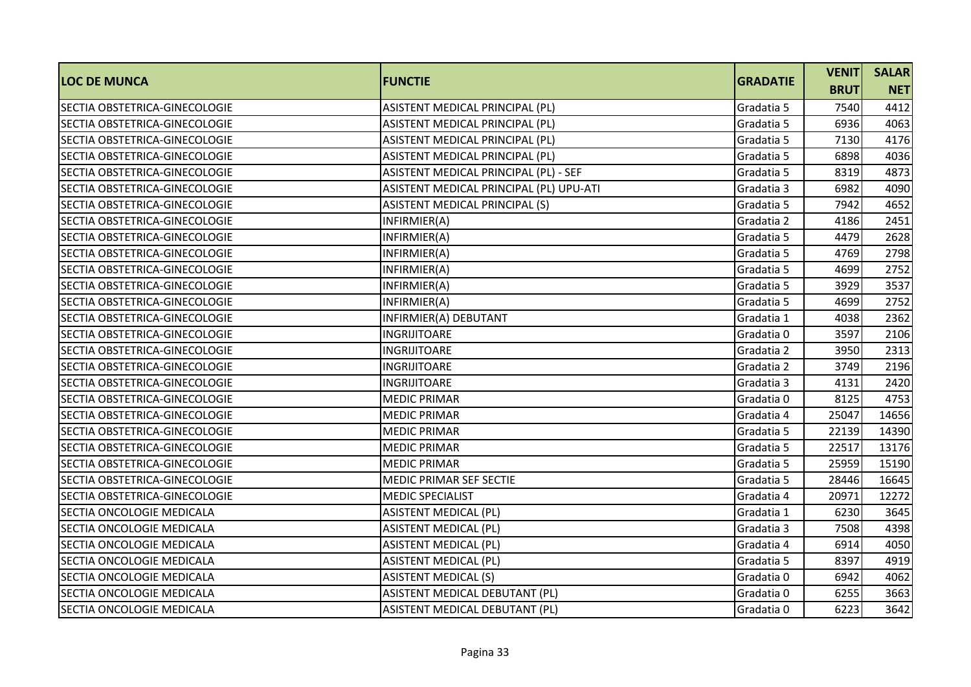|                                  |                                         | <b>GRADATIE</b> | <b>VENIT</b> | <b>SALAR</b> |
|----------------------------------|-----------------------------------------|-----------------|--------------|--------------|
| <b>LOC DE MUNCA</b>              | <b>FUNCTIE</b>                          |                 | <b>BRUT</b>  | <b>NET</b>   |
| SECTIA OBSTETRICA-GINECOLOGIE    | ASISTENT MEDICAL PRINCIPAL (PL)         | Gradatia 5      | 7540         | 4412         |
| SECTIA OBSTETRICA-GINECOLOGIE    | ASISTENT MEDICAL PRINCIPAL (PL)         | Gradatia 5      | 6936         | 4063         |
| SECTIA OBSTETRICA-GINECOLOGIE    | ASISTENT MEDICAL PRINCIPAL (PL)         | Gradatia 5      | 7130         | 4176         |
| SECTIA OBSTETRICA-GINECOLOGIE    | ASISTENT MEDICAL PRINCIPAL (PL)         | Gradatia 5      | 6898         | 4036         |
| SECTIA OBSTETRICA-GINECOLOGIE    | ASISTENT MEDICAL PRINCIPAL (PL) - SEF   | Gradatia 5      | 8319         | 4873         |
| SECTIA OBSTETRICA-GINECOLOGIE    | ASISTENT MEDICAL PRINCIPAL (PL) UPU-ATI | Gradatia 3      | 6982         | 4090         |
| SECTIA OBSTETRICA-GINECOLOGIE    | ASISTENT MEDICAL PRINCIPAL (S)          | Gradatia 5      | 7942         | 4652         |
| SECTIA OBSTETRICA-GINECOLOGIE    | INFIRMIER(A)                            | Gradatia 2      | 4186         | 2451         |
| SECTIA OBSTETRICA-GINECOLOGIE    | INFIRMIER(A)                            | Gradatia 5      | 4479         | 2628         |
| SECTIA OBSTETRICA-GINECOLOGIE    | INFIRMIER(A)                            | Gradatia 5      | 4769         | 2798         |
| SECTIA OBSTETRICA-GINECOLOGIE    | INFIRMIER(A)                            | Gradatia 5      | 4699         | 2752         |
| SECTIA OBSTETRICA-GINECOLOGIE    | INFIRMIER(A)                            | Gradatia 5      | 3929         | 3537         |
| SECTIA OBSTETRICA-GINECOLOGIE    | INFIRMIER(A)                            | Gradatia 5      | 4699         | 2752         |
| SECTIA OBSTETRICA-GINECOLOGIE    | INFIRMIER(A) DEBUTANT                   | Gradatia 1      | 4038         | 2362         |
| SECTIA OBSTETRICA-GINECOLOGIE    | <b>INGRIJITOARE</b>                     | Gradatia 0      | 3597         | 2106         |
| SECTIA OBSTETRICA-GINECOLOGIE    | <b>INGRIJITOARE</b>                     | Gradatia 2      | 3950         | 2313         |
| SECTIA OBSTETRICA-GINECOLOGIE    | <b>INGRIJITOARE</b>                     | Gradatia 2      | 3749         | 2196         |
| SECTIA OBSTETRICA-GINECOLOGIE    | <b>INGRIJITOARE</b>                     | Gradatia 3      | 4131         | 2420         |
| SECTIA OBSTETRICA-GINECOLOGIE    | <b>MEDIC PRIMAR</b>                     | Gradatia 0      | 8125         | 4753         |
| SECTIA OBSTETRICA-GINECOLOGIE    | <b>MEDIC PRIMAR</b>                     | Gradatia 4      | 25047        | 14656        |
| SECTIA OBSTETRICA-GINECOLOGIE    | <b>MEDIC PRIMAR</b>                     | Gradatia 5      | 22139        | 14390        |
| SECTIA OBSTETRICA-GINECOLOGIE    | <b>MEDIC PRIMAR</b>                     | Gradatia 5      | 22517        | 13176        |
| SECTIA OBSTETRICA-GINECOLOGIE    | <b>MEDIC PRIMAR</b>                     | Gradatia 5      | 25959        | 15190        |
| SECTIA OBSTETRICA-GINECOLOGIE    | MEDIC PRIMAR SEF SECTIE                 | Gradatia 5      | 28446        | 16645        |
| SECTIA OBSTETRICA-GINECOLOGIE    | <b>MEDIC SPECIALIST</b>                 | Gradatia 4      | 20971        | 12272        |
| SECTIA ONCOLOGIE MEDICALA        | <b>ASISTENT MEDICAL (PL)</b>            | Gradatia 1      | 6230         | 3645         |
| <b>SECTIA ONCOLOGIE MEDICALA</b> | <b>ASISTENT MEDICAL (PL)</b>            | Gradatia 3      | 7508         | 4398         |
| SECTIA ONCOLOGIE MEDICALA        | <b>ASISTENT MEDICAL (PL)</b>            | Gradatia 4      | 6914         | 4050         |
| SECTIA ONCOLOGIE MEDICALA        | <b>ASISTENT MEDICAL (PL)</b>            | Gradatia 5      | 8397         | 4919         |
| SECTIA ONCOLOGIE MEDICALA        | <b>ASISTENT MEDICAL (S)</b>             | Gradatia 0      | 6942         | 4062         |
| SECTIA ONCOLOGIE MEDICALA        | ASISTENT MEDICAL DEBUTANT (PL)          | Gradatia 0      | 6255         | 3663         |
| SECTIA ONCOLOGIE MEDICALA        | ASISTENT MEDICAL DEBUTANT (PL)          | Gradatia 0      | 6223         | 3642         |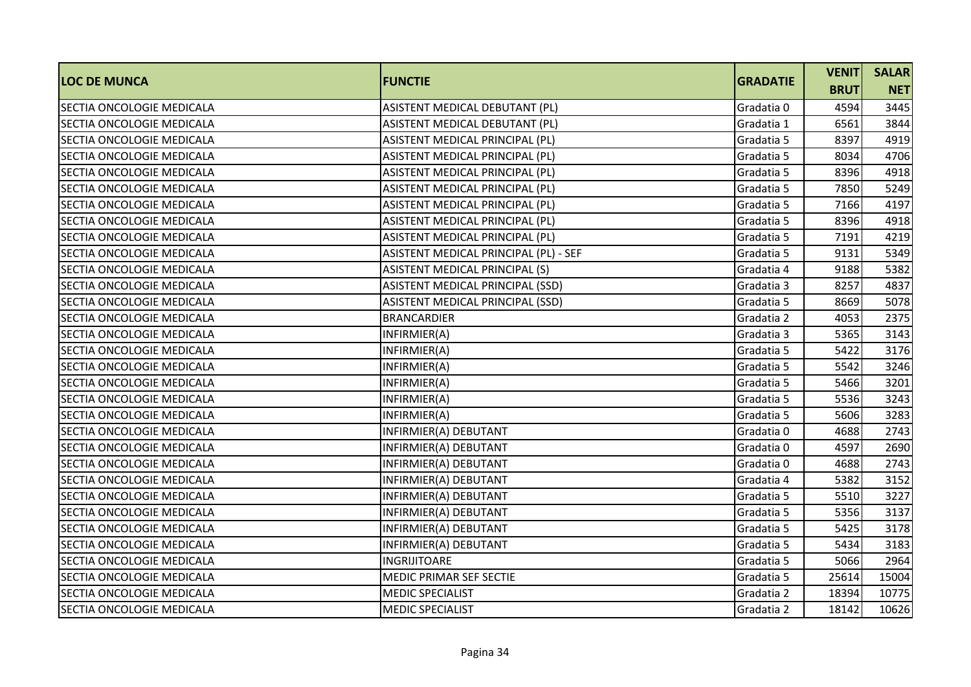|                                  |                                       |                 | <b>VENIT</b> | <b>SALAR</b> |
|----------------------------------|---------------------------------------|-----------------|--------------|--------------|
| <b>LOC DE MUNCA</b>              | <b>FUNCTIE</b>                        | <b>GRADATIE</b> | <b>BRUT</b>  | <b>NET</b>   |
| SECTIA ONCOLOGIE MEDICALA        | ASISTENT MEDICAL DEBUTANT (PL)        | Gradatia 0      | 4594         | 3445         |
| SECTIA ONCOLOGIE MEDICALA        | ASISTENT MEDICAL DEBUTANT (PL)        | Gradatia 1      | 6561         | 3844         |
| SECTIA ONCOLOGIE MEDICALA        | ASISTENT MEDICAL PRINCIPAL (PL)       | Gradatia 5      | 8397         | 4919         |
| SECTIA ONCOLOGIE MEDICALA        | ASISTENT MEDICAL PRINCIPAL (PL)       | Gradatia 5      | 8034         | 4706         |
| SECTIA ONCOLOGIE MEDICALA        | ASISTENT MEDICAL PRINCIPAL (PL)       | Gradatia 5      | 8396         | 4918         |
| SECTIA ONCOLOGIE MEDICALA        | ASISTENT MEDICAL PRINCIPAL (PL)       | Gradatia 5      | 7850         | 5249         |
| SECTIA ONCOLOGIE MEDICALA        | ASISTENT MEDICAL PRINCIPAL (PL)       | Gradatia 5      | 7166         | 4197         |
| SECTIA ONCOLOGIE MEDICALA        | ASISTENT MEDICAL PRINCIPAL (PL)       | Gradatia 5      | 8396         | 4918         |
| SECTIA ONCOLOGIE MEDICALA        | ASISTENT MEDICAL PRINCIPAL (PL)       | Gradatia 5      | 7191         | 4219         |
| SECTIA ONCOLOGIE MEDICALA        | ASISTENT MEDICAL PRINCIPAL (PL) - SEF | Gradatia 5      | 9131         | 5349         |
| SECTIA ONCOLOGIE MEDICALA        | ASISTENT MEDICAL PRINCIPAL (S)        | Gradatia 4      | 9188         | 5382         |
| SECTIA ONCOLOGIE MEDICALA        | ASISTENT MEDICAL PRINCIPAL (SSD)      | Gradatia 3      | 8257         | 4837         |
| SECTIA ONCOLOGIE MEDICALA        | ASISTENT MEDICAL PRINCIPAL (SSD)      | Gradatia 5      | 8669         | 5078         |
| SECTIA ONCOLOGIE MEDICALA        | <b>BRANCARDIER</b>                    | Gradatia 2      | 4053         | 2375         |
| SECTIA ONCOLOGIE MEDICALA        | INFIRMIER(A)                          | Gradatia 3      | 5365         | 3143         |
| <b>SECTIA ONCOLOGIE MEDICALA</b> | INFIRMIER(A)                          | Gradatia 5      | 5422         | 3176         |
| SECTIA ONCOLOGIE MEDICALA        | INFIRMIER(A)                          | Gradatia 5      | 5542         | 3246         |
| SECTIA ONCOLOGIE MEDICALA        | INFIRMIER(A)                          | Gradatia 5      | 5466         | 3201         |
| SECTIA ONCOLOGIE MEDICALA        | INFIRMIER(A)                          | Gradatia 5      | 5536         | 3243         |
| SECTIA ONCOLOGIE MEDICALA        | INFIRMIER(A)                          | Gradatia 5      | 5606         | 3283         |
| SECTIA ONCOLOGIE MEDICALA        | INFIRMIER(A) DEBUTANT                 | Gradatia 0      | 4688         | 2743         |
| <b>SECTIA ONCOLOGIE MEDICALA</b> | INFIRMIER(A) DEBUTANT                 | Gradatia 0      | 4597         | 2690         |
| SECTIA ONCOLOGIE MEDICALA        | INFIRMIER(A) DEBUTANT                 | Gradatia 0      | 4688         | 2743         |
| SECTIA ONCOLOGIE MEDICALA        | INFIRMIER(A) DEBUTANT                 | Gradatia 4      | 5382         | 3152         |
| SECTIA ONCOLOGIE MEDICALA        | INFIRMIER(A) DEBUTANT                 | Gradatia 5      | 5510         | 3227         |
| SECTIA ONCOLOGIE MEDICALA        | INFIRMIER(A) DEBUTANT                 | Gradatia 5      | 5356         | 3137         |
| <b>SECTIA ONCOLOGIE MEDICALA</b> | INFIRMIER(A) DEBUTANT                 | Gradatia 5      | 5425         | 3178         |
| SECTIA ONCOLOGIE MEDICALA        | INFIRMIER(A) DEBUTANT                 | Gradatia 5      | 5434         | 3183         |
| SECTIA ONCOLOGIE MEDICALA        | <b>INGRIJITOARE</b>                   | Gradatia 5      | 5066         | 2964         |
| SECTIA ONCOLOGIE MEDICALA        | MEDIC PRIMAR SEF SECTIE               | Gradatia 5      | 25614        | 15004        |
| SECTIA ONCOLOGIE MEDICALA        | <b>MEDIC SPECIALIST</b>               | Gradatia 2      | 18394        | 10775        |
| SECTIA ONCOLOGIE MEDICALA        | <b>MEDIC SPECIALIST</b>               | Gradatia 2      | 18142        | 10626        |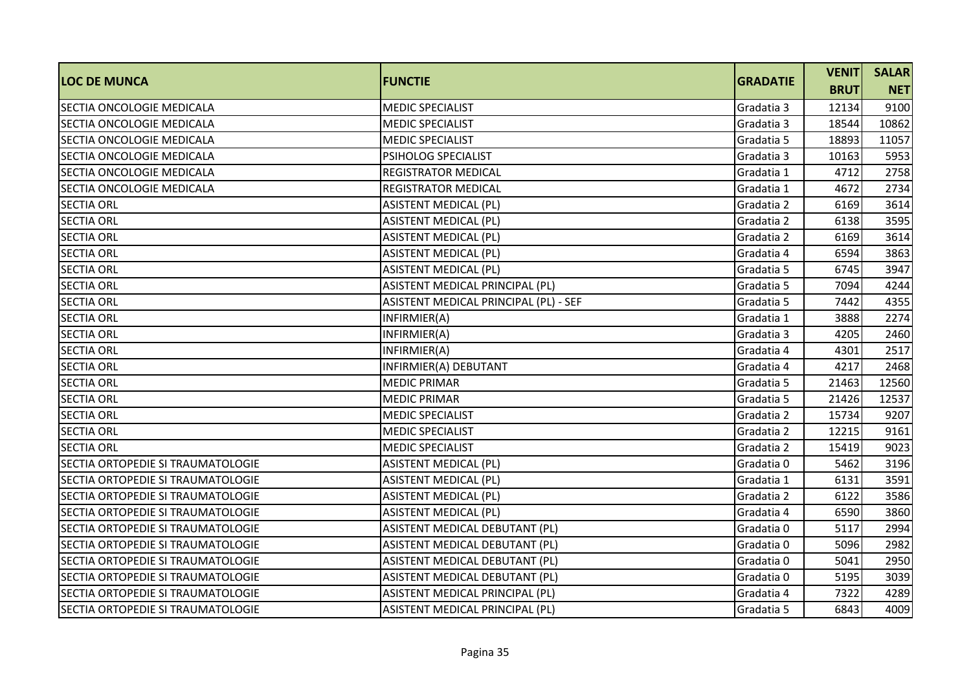| <b>LOC DE MUNCA</b>                      | <b>FUNCTIE</b>                        | <b>GRADATIE</b> | <b>VENIT</b> | <b>SALAR</b> |
|------------------------------------------|---------------------------------------|-----------------|--------------|--------------|
|                                          |                                       |                 | <b>BRUT</b>  | <b>NET</b>   |
| SECTIA ONCOLOGIE MEDICALA                | <b>MEDIC SPECIALIST</b>               | Gradatia 3      | 12134        | 9100         |
| SECTIA ONCOLOGIE MEDICALA                | <b>MEDIC SPECIALIST</b>               | Gradatia 3      | 18544        | 10862        |
| <b>SECTIA ONCOLOGIE MEDICALA</b>         | <b>MEDIC SPECIALIST</b>               | Gradatia 5      | 18893        | 11057        |
| <b>SECTIA ONCOLOGIE MEDICALA</b>         | PSIHOLOG SPECIALIST                   | Gradatia 3      | 10163        | 5953         |
| <b>SECTIA ONCOLOGIE MEDICALA</b>         | <b>REGISTRATOR MEDICAL</b>            | Gradatia 1      | 4712         | 2758         |
| SECTIA ONCOLOGIE MEDICALA                | <b>REGISTRATOR MEDICAL</b>            | Gradatia 1      | 4672         | 2734         |
| <b>SECTIA ORL</b>                        | <b>ASISTENT MEDICAL (PL)</b>          | Gradatia 2      | 6169         | 3614         |
| <b>SECTIA ORL</b>                        | <b>ASISTENT MEDICAL (PL)</b>          | Gradatia 2      | 6138         | 3595         |
| <b>SECTIA ORL</b>                        | <b>ASISTENT MEDICAL (PL)</b>          | Gradatia 2      | 6169         | 3614         |
| <b>SECTIA ORL</b>                        | ASISTENT MEDICAL (PL)                 | Gradatia 4      | 6594         | 3863         |
| <b>SECTIA ORL</b>                        | <b>ASISTENT MEDICAL (PL)</b>          | Gradatia 5      | 6745         | 3947         |
| <b>SECTIA ORL</b>                        | ASISTENT MEDICAL PRINCIPAL (PL)       | Gradatia 5      | 7094         | 4244         |
| <b>SECTIA ORL</b>                        | ASISTENT MEDICAL PRINCIPAL (PL) - SEF | Gradatia 5      | 7442         | 4355         |
| <b>SECTIA ORL</b>                        | INFIRMIER(A)                          | Gradatia 1      | 3888         | 2274         |
| <b>SECTIA ORL</b>                        | INFIRMIER(A)                          | Gradatia 3      | 4205         | 2460         |
| <b>SECTIA ORL</b>                        | INFIRMIER(A)                          | Gradatia 4      | 4301         | 2517         |
| <b>SECTIA ORL</b>                        | INFIRMIER(A) DEBUTANT                 | Gradatia 4      | 4217         | 2468         |
| <b>SECTIA ORL</b>                        | <b>MEDIC PRIMAR</b>                   | Gradatia 5      | 21463        | 12560        |
| <b>SECTIA ORL</b>                        | <b>MEDIC PRIMAR</b>                   | Gradatia 5      | 21426        | 12537        |
| <b>SECTIA ORL</b>                        | <b>MEDIC SPECIALIST</b>               | Gradatia 2      | 15734        | 9207         |
| <b>SECTIA ORL</b>                        | <b>MEDIC SPECIALIST</b>               | Gradatia 2      | 12215        | 9161         |
| <b>SECTIA ORL</b>                        | <b>MEDIC SPECIALIST</b>               | Gradatia 2      | 15419        | 9023         |
| <b>SECTIA ORTOPEDIE SI TRAUMATOLOGIE</b> | <b>ASISTENT MEDICAL (PL)</b>          | Gradatia 0      | 5462         | 3196         |
| SECTIA ORTOPEDIE SI TRAUMATOLOGIE        | <b>ASISTENT MEDICAL (PL)</b>          | Gradatia 1      | 6131         | 3591         |
| <b>SECTIA ORTOPEDIE SI TRAUMATOLOGIE</b> | <b>ASISTENT MEDICAL (PL)</b>          | Gradatia 2      | 6122         | 3586         |
| SECTIA ORTOPEDIE SI TRAUMATOLOGIE        | <b>ASISTENT MEDICAL (PL)</b>          | Gradatia 4      | 6590         | 3860         |
| SECTIA ORTOPEDIE SI TRAUMATOLOGIE        | ASISTENT MEDICAL DEBUTANT (PL)        | Gradatia 0      | 5117         | 2994         |
| SECTIA ORTOPEDIE SI TRAUMATOLOGIE        | ASISTENT MEDICAL DEBUTANT (PL)        | Gradatia 0      | 5096         | 2982         |
| SECTIA ORTOPEDIE SI TRAUMATOLOGIE        | ASISTENT MEDICAL DEBUTANT (PL)        | Gradatia 0      | 5041         | 2950         |
| SECTIA ORTOPEDIE SI TRAUMATOLOGIE        | ASISTENT MEDICAL DEBUTANT (PL)        | Gradatia 0      | 5195         | 3039         |
| SECTIA ORTOPEDIE SI TRAUMATOLOGIE        | ASISTENT MEDICAL PRINCIPAL (PL)       | Gradatia 4      | 7322         | 4289         |
| <b>SECTIA ORTOPEDIE SI TRAUMATOLOGIE</b> | ASISTENT MEDICAL PRINCIPAL (PL)       | Gradatia 5      | 6843         | 4009         |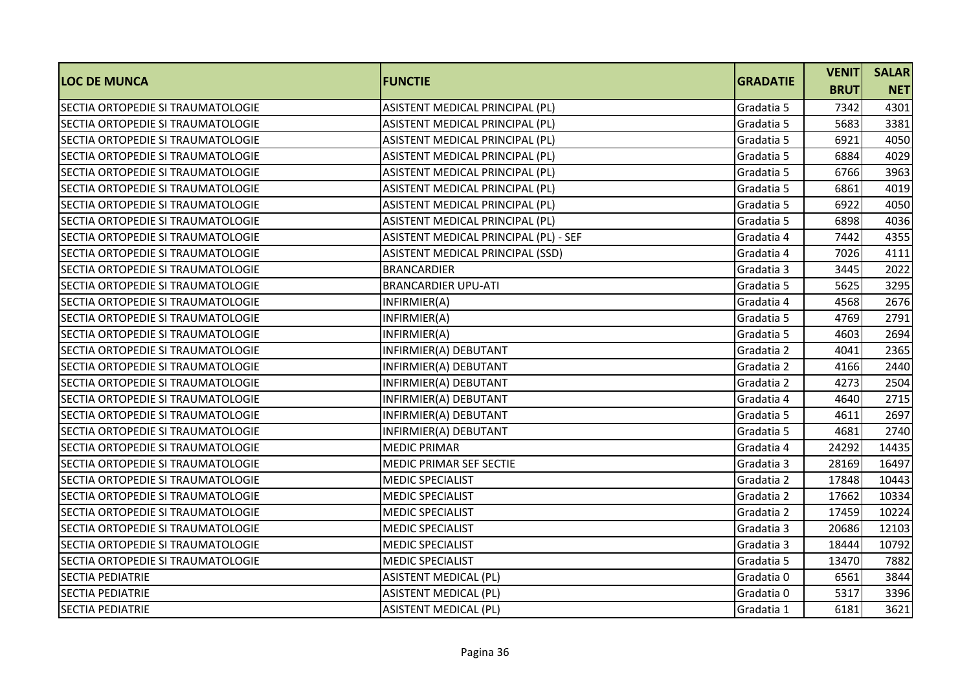|                                   |                                       |                 | <b>VENIT</b> | <b>SALAR</b> |
|-----------------------------------|---------------------------------------|-----------------|--------------|--------------|
| <b>LOC DE MUNCA</b>               | <b>FUNCTIE</b>                        | <b>GRADATIE</b> | <b>BRUT</b>  | <b>NET</b>   |
| SECTIA ORTOPEDIE SI TRAUMATOLOGIE | ASISTENT MEDICAL PRINCIPAL (PL)       | Gradatia 5      | 7342         | 4301         |
| SECTIA ORTOPEDIE SI TRAUMATOLOGIE | ASISTENT MEDICAL PRINCIPAL (PL)       | Gradatia 5      | 5683         | 3381         |
| SECTIA ORTOPEDIE SI TRAUMATOLOGIE | ASISTENT MEDICAL PRINCIPAL (PL)       | Gradatia 5      | 6921         | 4050         |
| SECTIA ORTOPEDIE SI TRAUMATOLOGIE | ASISTENT MEDICAL PRINCIPAL (PL)       | Gradatia 5      | 6884         | 4029         |
| SECTIA ORTOPEDIE SI TRAUMATOLOGIE | ASISTENT MEDICAL PRINCIPAL (PL)       | Gradatia 5      | 6766         | 3963         |
| SECTIA ORTOPEDIE SI TRAUMATOLOGIE | ASISTENT MEDICAL PRINCIPAL (PL)       | Gradatia 5      | 6861         | 4019         |
| SECTIA ORTOPEDIE SI TRAUMATOLOGIE | ASISTENT MEDICAL PRINCIPAL (PL)       | Gradatia 5      | 6922         | 4050         |
| SECTIA ORTOPEDIE SI TRAUMATOLOGIE | ASISTENT MEDICAL PRINCIPAL (PL)       | Gradatia 5      | 6898         | 4036         |
| SECTIA ORTOPEDIE SI TRAUMATOLOGIE | ASISTENT MEDICAL PRINCIPAL (PL) - SEF | Gradatia 4      | 7442         | 4355         |
| SECTIA ORTOPEDIE SI TRAUMATOLOGIE | ASISTENT MEDICAL PRINCIPAL (SSD)      | Gradatia 4      | 7026         | 4111         |
| SECTIA ORTOPEDIE SI TRAUMATOLOGIE | <b>BRANCARDIER</b>                    | Gradatia 3      | 3445         | 2022         |
| SECTIA ORTOPEDIE SI TRAUMATOLOGIE | <b>BRANCARDIER UPU-ATI</b>            | Gradatia 5      | 5625         | 3295         |
| SECTIA ORTOPEDIE SI TRAUMATOLOGIE | INFIRMIER(A)                          | Gradatia 4      | 4568         | 2676         |
| SECTIA ORTOPEDIE SI TRAUMATOLOGIE | INFIRMIER(A)                          | Gradatia 5      | 4769         | 2791         |
| SECTIA ORTOPEDIE SI TRAUMATOLOGIE | INFIRMIER(A)                          | Gradatia 5      | 4603         | 2694         |
| SECTIA ORTOPEDIE SI TRAUMATOLOGIE | INFIRMIER(A) DEBUTANT                 | Gradatia 2      | 4041         | 2365         |
| SECTIA ORTOPEDIE SI TRAUMATOLOGIE | INFIRMIER(A) DEBUTANT                 | Gradatia 2      | 4166         | 2440         |
| SECTIA ORTOPEDIE SI TRAUMATOLOGIE | INFIRMIER(A) DEBUTANT                 | Gradatia 2      | 4273         | 2504         |
| SECTIA ORTOPEDIE SI TRAUMATOLOGIE | INFIRMIER(A) DEBUTANT                 | Gradatia 4      | 4640         | 2715         |
| SECTIA ORTOPEDIE SI TRAUMATOLOGIE | INFIRMIER(A) DEBUTANT                 | Gradatia 5      | 4611         | 2697         |
| SECTIA ORTOPEDIE SI TRAUMATOLOGIE | INFIRMIER(A) DEBUTANT                 | Gradatia 5      | 4681         | 2740         |
| SECTIA ORTOPEDIE SI TRAUMATOLOGIE | <b>MEDIC PRIMAR</b>                   | Gradatia 4      | 24292        | 14435        |
| SECTIA ORTOPEDIE SI TRAUMATOLOGIE | MEDIC PRIMAR SEF SECTIE               | Gradatia 3      | 28169        | 16497        |
| SECTIA ORTOPEDIE SI TRAUMATOLOGIE | <b>MEDIC SPECIALIST</b>               | Gradatia 2      | 17848        | 10443        |
| SECTIA ORTOPEDIE SI TRAUMATOLOGIE | <b>MEDIC SPECIALIST</b>               | Gradatia 2      | 17662        | 10334        |
| SECTIA ORTOPEDIE SI TRAUMATOLOGIE | <b>MEDIC SPECIALIST</b>               | Gradatia 2      | 17459        | 10224        |
| SECTIA ORTOPEDIE SI TRAUMATOLOGIE | <b>MEDIC SPECIALIST</b>               | Gradatia 3      | 20686        | 12103        |
| SECTIA ORTOPEDIE SI TRAUMATOLOGIE | <b>MEDIC SPECIALIST</b>               | Gradatia 3      | 18444        | 10792        |
| SECTIA ORTOPEDIE SI TRAUMATOLOGIE | <b>MEDIC SPECIALIST</b>               | Gradatia 5      | 13470        | 7882         |
| <b>SECTIA PEDIATRIE</b>           | <b>ASISTENT MEDICAL (PL)</b>          | Gradatia 0      | 6561         | 3844         |
| <b>SECTIA PEDIATRIE</b>           | <b>ASISTENT MEDICAL (PL)</b>          | Gradatia 0      | 5317         | 3396         |
| <b>SECTIA PEDIATRIE</b>           | <b>ASISTENT MEDICAL (PL)</b>          | Gradatia 1      | 6181         | 3621         |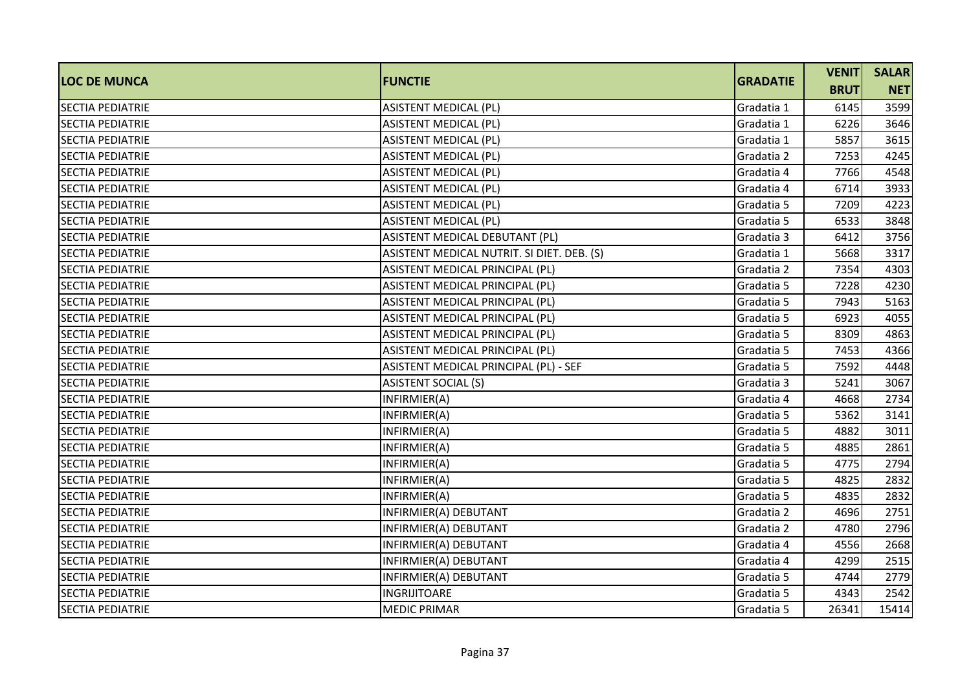| <b>LOC DE MUNCA</b>     | <b>FUNCTIE</b>                             | <b>GRADATIE</b> | <b>VENIT</b> | <b>SALAR</b> |
|-------------------------|--------------------------------------------|-----------------|--------------|--------------|
|                         |                                            |                 | <b>BRUT</b>  | <b>NET</b>   |
| <b>SECTIA PEDIATRIE</b> | <b>ASISTENT MEDICAL (PL)</b>               | Gradatia 1      | 6145         | 3599         |
| <b>SECTIA PEDIATRIE</b> | <b>ASISTENT MEDICAL (PL)</b>               | Gradatia 1      | 6226         | 3646         |
| <b>SECTIA PEDIATRIE</b> | <b>ASISTENT MEDICAL (PL)</b>               | Gradatia 1      | 5857         | 3615         |
| <b>SECTIA PEDIATRIE</b> | <b>ASISTENT MEDICAL (PL)</b>               | Gradatia 2      | 7253         | 4245         |
| <b>SECTIA PEDIATRIE</b> | <b>ASISTENT MEDICAL (PL)</b>               | Gradatia 4      | 7766         | 4548         |
| <b>SECTIA PEDIATRIE</b> | <b>ASISTENT MEDICAL (PL)</b>               | Gradatia 4      | 6714         | 3933         |
| <b>SECTIA PEDIATRIE</b> | <b>ASISTENT MEDICAL (PL)</b>               | Gradatia 5      | 7209         | 4223         |
| <b>SECTIA PEDIATRIE</b> | <b>ASISTENT MEDICAL (PL)</b>               | Gradatia 5      | 6533         | 3848         |
| <b>SECTIA PEDIATRIE</b> | ASISTENT MEDICAL DEBUTANT (PL)             | Gradatia 3      | 6412         | 3756         |
| SECTIA PEDIATRIE        | ASISTENT MEDICAL NUTRIT. SI DIET. DEB. (S) | Gradatia 1      | 5668         | 3317         |
| <b>SECTIA PEDIATRIE</b> | ASISTENT MEDICAL PRINCIPAL (PL)            | Gradatia 2      | 7354         | 4303         |
| <b>SECTIA PEDIATRIE</b> | ASISTENT MEDICAL PRINCIPAL (PL)            | Gradatia 5      | 7228         | 4230         |
| <b>SECTIA PEDIATRIE</b> | ASISTENT MEDICAL PRINCIPAL (PL)            | Gradatia 5      | 7943         | 5163         |
| <b>SECTIA PEDIATRIE</b> | ASISTENT MEDICAL PRINCIPAL (PL)            | Gradatia 5      | 6923         | 4055         |
| <b>SECTIA PEDIATRIE</b> | ASISTENT MEDICAL PRINCIPAL (PL)            | Gradatia 5      | 8309         | 4863         |
| <b>SECTIA PEDIATRIE</b> | ASISTENT MEDICAL PRINCIPAL (PL)            | Gradatia 5      | 7453         | 4366         |
| <b>SECTIA PEDIATRIE</b> | ASISTENT MEDICAL PRINCIPAL (PL) - SEF      | Gradatia 5      | 7592         | 4448         |
| <b>SECTIA PEDIATRIE</b> | <b>ASISTENT SOCIAL (S)</b>                 | Gradatia 3      | 5241         | 3067         |
| <b>SECTIA PEDIATRIE</b> | INFIRMIER(A)                               | Gradatia 4      | 4668         | 2734         |
| <b>SECTIA PEDIATRIE</b> | INFIRMIER(A)                               | Gradatia 5      | 5362         | 3141         |
| <b>SECTIA PEDIATRIE</b> | INFIRMIER(A)                               | Gradatia 5      | 4882         | 3011         |
| <b>SECTIA PEDIATRIE</b> | INFIRMIER(A)                               | Gradatia 5      | 4885         | 2861         |
| <b>SECTIA PEDIATRIE</b> | INFIRMIER(A)                               | Gradatia 5      | 4775         | 2794         |
| <b>SECTIA PEDIATRIE</b> | INFIRMIER(A)                               | Gradatia 5      | 4825         | 2832         |
| <b>SECTIA PEDIATRIE</b> | INFIRMIER(A)                               | Gradatia 5      | 4835         | 2832         |
| <b>SECTIA PEDIATRIE</b> | INFIRMIER(A) DEBUTANT                      | Gradatia 2      | 4696         | 2751         |
| <b>SECTIA PEDIATRIE</b> | INFIRMIER(A) DEBUTANT                      | Gradatia 2      | 4780         | 2796         |
| <b>SECTIA PEDIATRIE</b> | INFIRMIER(A) DEBUTANT                      | Gradatia 4      | 4556         | 2668         |
| <b>SECTIA PEDIATRIE</b> | INFIRMIER(A) DEBUTANT                      | Gradatia 4      | 4299         | 2515         |
| <b>SECTIA PEDIATRIE</b> | INFIRMIER(A) DEBUTANT                      | Gradatia 5      | 4744         | 2779         |
| <b>SECTIA PEDIATRIE</b> | <b>INGRIJITOARE</b>                        | Gradatia 5      | 4343         | 2542         |
| <b>SECTIA PEDIATRIE</b> | <b>MEDIC PRIMAR</b>                        | Gradatia 5      | 26341        | 15414        |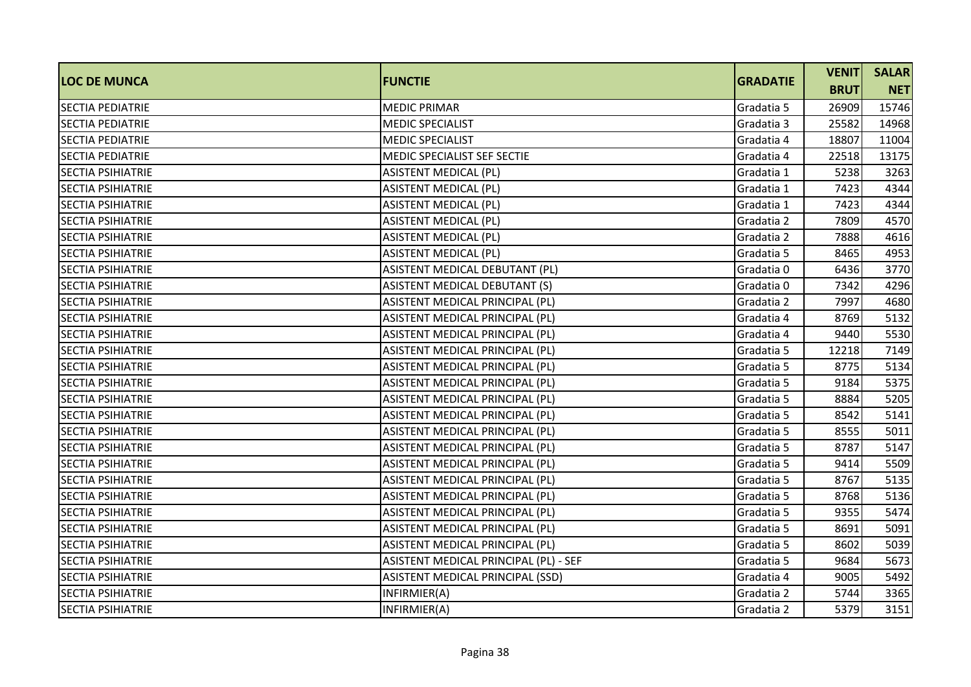| <b>LOC DE MUNCA</b>      | <b>IFUNCTIE</b>                       | <b>GRADATIE</b> | <b>VENIT</b> | <b>SALAR</b> |
|--------------------------|---------------------------------------|-----------------|--------------|--------------|
|                          |                                       |                 | <b>BRUT</b>  | <b>NET</b>   |
| <b>SECTIA PEDIATRIE</b>  | <b>MEDIC PRIMAR</b>                   | Gradatia 5      | 26909        | 15746        |
| <b>SECTIA PEDIATRIE</b>  | <b>MEDIC SPECIALIST</b>               | Gradatia 3      | 25582        | 14968        |
| <b>SECTIA PEDIATRIE</b>  | <b>MEDIC SPECIALIST</b>               | Gradatia 4      | 18807        | 11004        |
| <b>SECTIA PEDIATRIE</b>  | MEDIC SPECIALIST SEF SECTIE           | Gradatia 4      | 22518        | 13175        |
| <b>SECTIA PSIHIATRIE</b> | <b>ASISTENT MEDICAL (PL)</b>          | Gradatia 1      | 5238         | 3263         |
| <b>SECTIA PSIHIATRIE</b> | <b>ASISTENT MEDICAL (PL)</b>          | Gradatia 1      | 7423         | 4344         |
| <b>SECTIA PSIHIATRIE</b> | <b>ASISTENT MEDICAL (PL)</b>          | Gradatia 1      | 7423         | 4344         |
| <b>SECTIA PSIHIATRIE</b> | <b>ASISTENT MEDICAL (PL)</b>          | Gradatia 2      | 7809         | 4570         |
| <b>SECTIA PSIHIATRIE</b> | <b>ASISTENT MEDICAL (PL)</b>          | Gradatia 2      | 7888         | 4616         |
| <b>SECTIA PSIHIATRIE</b> | <b>ASISTENT MEDICAL (PL)</b>          | Gradatia 5      | 8465         | 4953         |
| <b>SECTIA PSIHIATRIE</b> | ASISTENT MEDICAL DEBUTANT (PL)        | Gradatia 0      | 6436         | 3770         |
| <b>SECTIA PSIHIATRIE</b> | ASISTENT MEDICAL DEBUTANT (S)         | Gradatia 0      | 7342         | 4296         |
| <b>SECTIA PSIHIATRIE</b> | ASISTENT MEDICAL PRINCIPAL (PL)       | Gradatia 2      | 7997         | 4680         |
| <b>SECTIA PSIHIATRIE</b> | ASISTENT MEDICAL PRINCIPAL (PL)       | Gradatia 4      | 8769         | 5132         |
| <b>SECTIA PSIHIATRIE</b> | ASISTENT MEDICAL PRINCIPAL (PL)       | Gradatia 4      | 9440         | 5530         |
| <b>SECTIA PSIHIATRIE</b> | ASISTENT MEDICAL PRINCIPAL (PL)       | Gradatia 5      | 12218        | 7149         |
| <b>SECTIA PSIHIATRIE</b> | ASISTENT MEDICAL PRINCIPAL (PL)       | Gradatia 5      | 8775         | 5134         |
| <b>SECTIA PSIHIATRIE</b> | ASISTENT MEDICAL PRINCIPAL (PL)       | Gradatia 5      | 9184         | 5375         |
| <b>SECTIA PSIHIATRIE</b> | ASISTENT MEDICAL PRINCIPAL (PL)       | Gradatia 5      | 8884         | 5205         |
| <b>SECTIA PSIHIATRIE</b> | ASISTENT MEDICAL PRINCIPAL (PL)       | Gradatia 5      | 8542         | 5141         |
| <b>SECTIA PSIHIATRIE</b> | ASISTENT MEDICAL PRINCIPAL (PL)       | Gradatia 5      | 8555         | 5011         |
| <b>SECTIA PSIHIATRIE</b> | ASISTENT MEDICAL PRINCIPAL (PL)       | Gradatia 5      | 8787         | 5147         |
| <b>SECTIA PSIHIATRIE</b> | ASISTENT MEDICAL PRINCIPAL (PL)       | Gradatia 5      | 9414         | 5509         |
| <b>SECTIA PSIHIATRIE</b> | ASISTENT MEDICAL PRINCIPAL (PL)       | Gradatia 5      | 8767         | 5135         |
| <b>SECTIA PSIHIATRIE</b> | ASISTENT MEDICAL PRINCIPAL (PL)       | Gradatia 5      | 8768         | 5136         |
| <b>SECTIA PSIHIATRIE</b> | ASISTENT MEDICAL PRINCIPAL (PL)       | Gradatia 5      | 9355         | 5474         |
| <b>SECTIA PSIHIATRIE</b> | ASISTENT MEDICAL PRINCIPAL (PL)       | Gradatia 5      | 8691         | 5091         |
| <b>SECTIA PSIHIATRIE</b> | ASISTENT MEDICAL PRINCIPAL (PL)       | Gradatia 5      | 8602         | 5039         |
| <b>SECTIA PSIHIATRIE</b> | ASISTENT MEDICAL PRINCIPAL (PL) - SEF | Gradatia 5      | 9684         | 5673         |
| <b>SECTIA PSIHIATRIE</b> | ASISTENT MEDICAL PRINCIPAL (SSD)      | Gradatia 4      | 9005         | 5492         |
| <b>SECTIA PSIHIATRIE</b> | INFIRMIER(A)                          | Gradatia 2      | 5744         | 3365         |
| <b>SECTIA PSIHIATRIE</b> | INFIRMIER(A)                          | Gradatia 2      | 5379         | 3151         |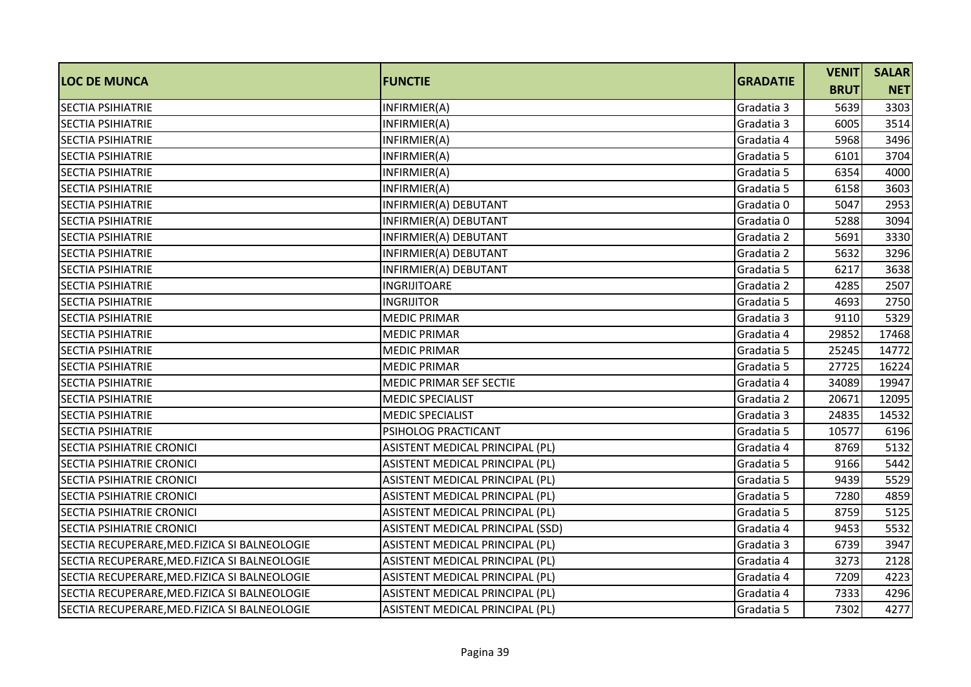| <b>LOC DE MUNCA</b>                           | <b>FUNCTIE</b>                   | <b>GRADATIE</b> | <b>VENIT</b> | <b>SALAR</b> |
|-----------------------------------------------|----------------------------------|-----------------|--------------|--------------|
|                                               |                                  |                 | <b>BRUT</b>  | <b>NET</b>   |
| <b>SECTIA PSIHIATRIE</b>                      | INFIRMIER(A)                     | Gradatia 3      | 5639         | 3303         |
| <b>SECTIA PSIHIATRIE</b>                      | INFIRMIER(A)                     | Gradatia 3      | 6005         | 3514         |
| <b>SECTIA PSIHIATRIE</b>                      | INFIRMIER(A)                     | Gradatia 4      | 5968         | 3496         |
| <b>SECTIA PSIHIATRIE</b>                      | INFIRMIER(A)                     | Gradatia 5      | 6101         | 3704         |
| <b>SECTIA PSIHIATRIE</b>                      | INFIRMIER(A)                     | Gradatia 5      | 6354         | 4000         |
| <b>SECTIA PSIHIATRIE</b>                      | INFIRMIER(A)                     | Gradatia 5      | 6158         | 3603         |
| <b>SECTIA PSIHIATRIE</b>                      | INFIRMIER(A) DEBUTANT            | Gradatia 0      | 5047         | 2953         |
| <b>SECTIA PSIHIATRIE</b>                      | INFIRMIER(A) DEBUTANT            | Gradatia 0      | 5288         | 3094         |
| <b>SECTIA PSIHIATRIE</b>                      | INFIRMIER(A) DEBUTANT            | Gradatia 2      | 5691         | 3330         |
| SECTIA PSIHIATRIE                             | INFIRMIER(A) DEBUTANT            | Gradatia 2      | 5632         | 3296         |
| <b>SECTIA PSIHIATRIE</b>                      | INFIRMIER(A) DEBUTANT            | Gradatia 5      | 6217         | 3638         |
| <b>SECTIA PSIHIATRIE</b>                      | <b>INGRIJITOARE</b>              | Gradatia 2      | 4285         | 2507         |
| <b>SECTIA PSIHIATRIE</b>                      | <b>INGRIJITOR</b>                | Gradatia 5      | 4693         | 2750         |
| <b>SECTIA PSIHIATRIE</b>                      | <b>MEDIC PRIMAR</b>              | Gradatia 3      | 9110         | 5329         |
| <b>SECTIA PSIHIATRIE</b>                      | <b>MEDIC PRIMAR</b>              | Gradatia 4      | 29852        | 17468        |
| <b>SECTIA PSIHIATRIE</b>                      | <b>MEDIC PRIMAR</b>              | Gradatia 5      | 25245        | 14772        |
| <b>SECTIA PSIHIATRIE</b>                      | <b>MEDIC PRIMAR</b>              | Gradatia 5      | 27725        | 16224        |
| <b>SECTIA PSIHIATRIE</b>                      | MEDIC PRIMAR SEF SECTIE          | Gradatia 4      | 34089        | 19947        |
| SECTIA PSIHIATRIE                             | <b>MEDIC SPECIALIST</b>          | Gradatia 2      | 20671        | 12095        |
| <b>SECTIA PSIHIATRIE</b>                      | <b>MEDIC SPECIALIST</b>          | Gradatia 3      | 24835        | 14532        |
| <b>SECTIA PSIHIATRIE</b>                      | PSIHOLOG PRACTICANT              | Gradatia 5      | 10577        | 6196         |
| <b>SECTIA PSIHIATRIE CRONICI</b>              | ASISTENT MEDICAL PRINCIPAL (PL)  | Gradatia 4      | 8769         | 5132         |
| <b>SECTIA PSIHIATRIE CRONICI</b>              | ASISTENT MEDICAL PRINCIPAL (PL)  | Gradatia 5      | 9166         | 5442         |
| <b>SECTIA PSIHIATRIE CRONICI</b>              | ASISTENT MEDICAL PRINCIPAL (PL)  | Gradatia 5      | 9439         | 5529         |
| <b>SECTIA PSIHIATRIE CRONICI</b>              | ASISTENT MEDICAL PRINCIPAL (PL)  | Gradatia 5      | 7280         | 4859         |
| <b>SECTIA PSIHIATRIE CRONICI</b>              | ASISTENT MEDICAL PRINCIPAL (PL)  | Gradatia 5      | 8759         | 5125         |
| <b>SECTIA PSIHIATRIE CRONICI</b>              | ASISTENT MEDICAL PRINCIPAL (SSD) | Gradatia 4      | 9453         | 5532         |
| SECTIA RECUPERARE, MED. FIZICA SI BALNEOLOGIE | ASISTENT MEDICAL PRINCIPAL (PL)  | Gradatia 3      | 6739         | 3947         |
| SECTIA RECUPERARE, MED. FIZICA SI BALNEOLOGIE | ASISTENT MEDICAL PRINCIPAL (PL)  | Gradatia 4      | 3273         | 2128         |
| SECTIA RECUPERARE, MED. FIZICA SI BALNEOLOGIE | ASISTENT MEDICAL PRINCIPAL (PL)  | Gradatia 4      | 7209         | 4223         |
| SECTIA RECUPERARE, MED. FIZICA SI BALNEOLOGIE | ASISTENT MEDICAL PRINCIPAL (PL)  | Gradatia 4      | 7333         | 4296         |
| SECTIA RECUPERARE, MED. FIZICA SI BALNEOLOGIE | ASISTENT MEDICAL PRINCIPAL (PL)  | Gradatia 5      | 7302         | 4277         |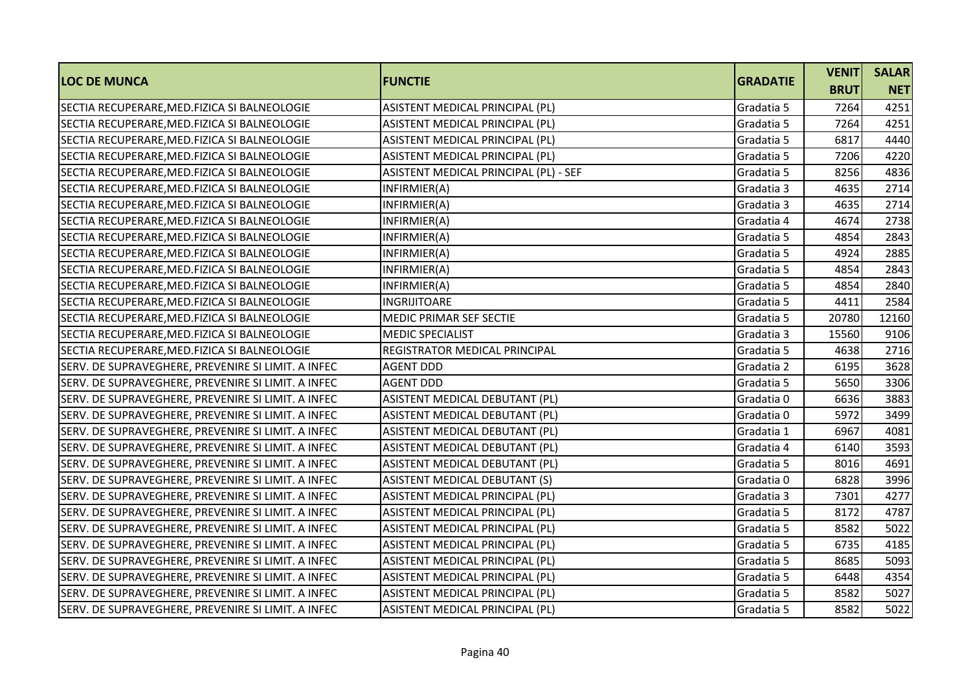| <b>LOC DE MUNCA</b>                                | <b>IFUNCTIE</b>                       | <b>GRADATIE</b> | <b>VENIT</b> | <b>SALAR</b> |
|----------------------------------------------------|---------------------------------------|-----------------|--------------|--------------|
|                                                    |                                       |                 | <b>BRUT</b>  | <b>NET</b>   |
| SECTIA RECUPERARE, MED. FIZICA SI BALNEOLOGIE      | ASISTENT MEDICAL PRINCIPAL (PL)       | Gradatia 5      | 7264         | 4251         |
| SECTIA RECUPERARE, MED. FIZICA SI BALNEOLOGIE      | ASISTENT MEDICAL PRINCIPAL (PL)       | Gradatia 5      | 7264         | 4251         |
| SECTIA RECUPERARE, MED. FIZICA SI BALNEOLOGIE      | ASISTENT MEDICAL PRINCIPAL (PL)       | Gradatia 5      | 6817         | 4440         |
| SECTIA RECUPERARE, MED. FIZICA SI BALNEOLOGIE      | ASISTENT MEDICAL PRINCIPAL (PL)       | Gradatia 5      | 7206         | 4220         |
| SECTIA RECUPERARE, MED. FIZICA SI BALNEOLOGIE      | ASISTENT MEDICAL PRINCIPAL (PL) - SEF | Gradatia 5      | 8256         | 4836         |
| SECTIA RECUPERARE, MED. FIZICA SI BALNEOLOGIE      | INFIRMIER(A)                          | Gradatia 3      | 4635         | 2714         |
| SECTIA RECUPERARE, MED. FIZICA SI BALNEOLOGIE      | INFIRMIER(A)                          | Gradatia 3      | 4635         | 2714         |
| SECTIA RECUPERARE, MED. FIZICA SI BALNEOLOGIE      | INFIRMIER(A)                          | Gradatia 4      | 4674         | 2738         |
| SECTIA RECUPERARE, MED. FIZICA SI BALNEOLOGIE      | INFIRMIER(A)                          | Gradatia 5      | 4854         | 2843         |
| SECTIA RECUPERARE, MED. FIZICA SI BALNEOLOGIE      | INFIRMIER(A)                          | Gradatia 5      | 4924         | 2885         |
| SECTIA RECUPERARE, MED. FIZICA SI BALNEOLOGIE      | INFIRMIER(A)                          | Gradatia 5      | 4854         | 2843         |
| SECTIA RECUPERARE, MED. FIZICA SI BALNEOLOGIE      | INFIRMIER(A)                          | Gradatia 5      | 4854         | 2840         |
| SECTIA RECUPERARE, MED. FIZICA SI BALNEOLOGIE      | INGRIJITOARE                          | Gradatia 5      | 4411         | 2584         |
| SECTIA RECUPERARE, MED. FIZICA SI BALNEOLOGIE      | MEDIC PRIMAR SEF SECTIE               | Gradatia 5      | 20780        | 12160        |
| SECTIA RECUPERARE, MED. FIZICA SI BALNEOLOGIE      | <b>MEDIC SPECIALIST</b>               | Gradatia 3      | 15560        | 9106         |
| SECTIA RECUPERARE, MED. FIZICA SI BALNEOLOGIE      | REGISTRATOR MEDICAL PRINCIPAL         | Gradatia 5      | 4638         | 2716         |
| SERV. DE SUPRAVEGHERE, PREVENIRE SI LIMIT. A INFEC | <b>AGENT DDD</b>                      | Gradatia 2      | 6195         | 3628         |
| SERV. DE SUPRAVEGHERE, PREVENIRE SI LIMIT. A INFEC | <b>AGENT DDD</b>                      | Gradatia 5      | 5650         | 3306         |
| SERV. DE SUPRAVEGHERE, PREVENIRE SI LIMIT. A INFEC | ASISTENT MEDICAL DEBUTANT (PL)        | Gradatia 0      | 6636         | 3883         |
| SERV. DE SUPRAVEGHERE, PREVENIRE SI LIMIT. A INFEC | ASISTENT MEDICAL DEBUTANT (PL)        | Gradatia 0      | 5972         | 3499         |
| SERV. DE SUPRAVEGHERE, PREVENIRE SI LIMIT. A INFEC | ASISTENT MEDICAL DEBUTANT (PL)        | Gradatia 1      | 6967         | 4081         |
| SERV. DE SUPRAVEGHERE, PREVENIRE SI LIMIT. A INFEC | ASISTENT MEDICAL DEBUTANT (PL)        | Gradatia 4      | 6140         | 3593         |
| SERV. DE SUPRAVEGHERE, PREVENIRE SI LIMIT. A INFEC | ASISTENT MEDICAL DEBUTANT (PL)        | Gradatia 5      | 8016         | 4691         |
| SERV. DE SUPRAVEGHERE, PREVENIRE SI LIMIT. A INFEC | <b>ASISTENT MEDICAL DEBUTANT (S)</b>  | Gradatia 0      | 6828         | 3996         |
| SERV. DE SUPRAVEGHERE, PREVENIRE SI LIMIT. A INFEC | ASISTENT MEDICAL PRINCIPAL (PL)       | Gradatia 3      | 7301         | 4277         |
| SERV. DE SUPRAVEGHERE, PREVENIRE SI LIMIT. A INFEC | ASISTENT MEDICAL PRINCIPAL (PL)       | Gradatia 5      | 8172         | 4787         |
| SERV. DE SUPRAVEGHERE, PREVENIRE SI LIMIT. A INFEC | ASISTENT MEDICAL PRINCIPAL (PL)       | Gradatia 5      | 8582         | 5022         |
| SERV. DE SUPRAVEGHERE, PREVENIRE SI LIMIT. A INFEC | ASISTENT MEDICAL PRINCIPAL (PL)       | Gradatia 5      | 6735         | 4185         |
| SERV. DE SUPRAVEGHERE, PREVENIRE SI LIMIT. A INFEC | ASISTENT MEDICAL PRINCIPAL (PL)       | Gradatia 5      | 8685         | 5093         |
| SERV. DE SUPRAVEGHERE, PREVENIRE SI LIMIT. A INFEC | ASISTENT MEDICAL PRINCIPAL (PL)       | Gradatia 5      | 6448         | 4354         |
| SERV. DE SUPRAVEGHERE, PREVENIRE SI LIMIT. A INFEC | ASISTENT MEDICAL PRINCIPAL (PL)       | Gradatia 5      | 8582         | 5027         |
| SERV. DE SUPRAVEGHERE, PREVENIRE SI LIMIT. A INFEC | ASISTENT MEDICAL PRINCIPAL (PL)       | Gradatia 5      | 8582         | 5022         |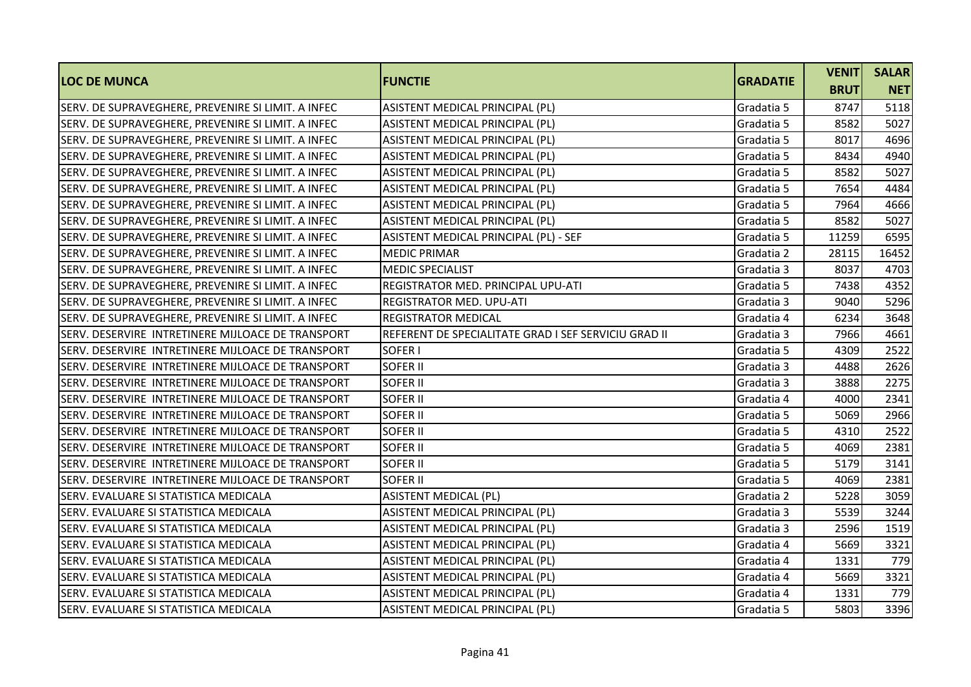| <b>LOC DE MUNCA</b>                                | <b>FUNCTIE</b>                                       | <b>GRADATIE</b> | <b>VENIT</b> | <b>SALAR</b> |
|----------------------------------------------------|------------------------------------------------------|-----------------|--------------|--------------|
|                                                    |                                                      |                 | <b>BRUT</b>  | <b>NET</b>   |
| SERV. DE SUPRAVEGHERE, PREVENIRE SI LIMIT. A INFEC | ASISTENT MEDICAL PRINCIPAL (PL)                      | Gradatia 5      | 8747         | 5118         |
| SERV. DE SUPRAVEGHERE, PREVENIRE SI LIMIT. A INFEC | ASISTENT MEDICAL PRINCIPAL (PL)                      | Gradatia 5      | 8582         | 5027         |
| SERV. DE SUPRAVEGHERE, PREVENIRE SI LIMIT. A INFEC | ASISTENT MEDICAL PRINCIPAL (PL)                      | Gradatia 5      | 8017         | 4696         |
| SERV. DE SUPRAVEGHERE, PREVENIRE SI LIMIT. A INFEC | ASISTENT MEDICAL PRINCIPAL (PL)                      | Gradatia 5      | 8434         | 4940         |
| SERV. DE SUPRAVEGHERE, PREVENIRE SI LIMIT. A INFEC | ASISTENT MEDICAL PRINCIPAL (PL)                      | Gradatia 5      | 8582         | 5027         |
| SERV. DE SUPRAVEGHERE, PREVENIRE SI LIMIT. A INFEC | ASISTENT MEDICAL PRINCIPAL (PL)                      | Gradatia 5      | 7654         | 4484         |
| SERV. DE SUPRAVEGHERE, PREVENIRE SI LIMIT. A INFEC | ASISTENT MEDICAL PRINCIPAL (PL)                      | Gradatia 5      | 7964         | 4666         |
| SERV. DE SUPRAVEGHERE, PREVENIRE SI LIMIT. A INFEC | ASISTENT MEDICAL PRINCIPAL (PL)                      | Gradatia 5      | 8582         | 5027         |
| SERV. DE SUPRAVEGHERE, PREVENIRE SI LIMIT. A INFEC | ASISTENT MEDICAL PRINCIPAL (PL) - SEF                | Gradatia 5      | 11259        | 6595         |
| SERV. DE SUPRAVEGHERE, PREVENIRE SI LIMIT. A INFEC | <b>MEDIC PRIMAR</b>                                  | Gradatia 2      | 28115        | 16452        |
| SERV. DE SUPRAVEGHERE, PREVENIRE SI LIMIT. A INFEC | <b>MEDIC SPECIALIST</b>                              | Gradatia 3      | 8037         | 4703         |
| SERV. DE SUPRAVEGHERE, PREVENIRE SI LIMIT. A INFEC | REGISTRATOR MED. PRINCIPAL UPU-ATI                   | Gradatia 5      | 7438         | 4352         |
| SERV. DE SUPRAVEGHERE, PREVENIRE SI LIMIT. A INFEC | REGISTRATOR MED. UPU-ATI                             | Gradatia 3      | 9040         | 5296         |
| SERV. DE SUPRAVEGHERE, PREVENIRE SI LIMIT. A INFEC | <b>REGISTRATOR MEDICAL</b>                           | Gradatia 4      | 6234         | 3648         |
| SERV. DESERVIRE INTRETINERE MIJLOACE DE TRANSPORT  | REFERENT DE SPECIALITATE GRAD I SEF SERVICIU GRAD II | Gradatia 3      | 7966         | 4661         |
| SERV. DESERVIRE INTRETINERE MIJLOACE DE TRANSPORT  | SOFER I                                              | Gradatia 5      | 4309         | 2522         |
| SERV. DESERVIRE INTRETINERE MIJLOACE DE TRANSPORT  | <b>SOFER II</b>                                      | Gradatia 3      | 4488         | 2626         |
| SERV. DESERVIRE INTRETINERE MIJLOACE DE TRANSPORT  | <b>SOFER II</b>                                      | Gradatia 3      | 3888         | 2275         |
| SERV. DESERVIRE INTRETINERE MIJLOACE DE TRANSPORT  | <b>SOFER II</b>                                      | Gradatia 4      | 4000         | 2341         |
| SERV. DESERVIRE INTRETINERE MIJLOACE DE TRANSPORT  | <b>SOFER II</b>                                      | Gradatia 5      | 5069         | 2966         |
| SERV. DESERVIRE INTRETINERE MIJLOACE DE TRANSPORT  | <b>SOFER II</b>                                      | Gradatia 5      | 4310         | 2522         |
| SERV. DESERVIRE INTRETINERE MIJLOACE DE TRANSPORT  | <b>SOFER II</b>                                      | Gradatia 5      | 4069         | 2381         |
| SERV. DESERVIRE INTRETINERE MIJLOACE DE TRANSPORT  | <b>SOFER II</b>                                      | Gradatia 5      | 5179         | 3141         |
| SERV. DESERVIRE INTRETINERE MIJLOACE DE TRANSPORT  | SOFER II                                             | Gradatia 5      | 4069         | 2381         |
| SERV. EVALUARE SI STATISTICA MEDICALA              | <b>ASISTENT MEDICAL (PL)</b>                         | Gradatia 2      | 5228         | 3059         |
| SERV. EVALUARE SI STATISTICA MEDICALA              | ASISTENT MEDICAL PRINCIPAL (PL)                      | Gradatia 3      | 5539         | 3244         |
| SERV. EVALUARE SI STATISTICA MEDICALA              | ASISTENT MEDICAL PRINCIPAL (PL)                      | Gradatia 3      | 2596         | 1519         |
| SERV. EVALUARE SI STATISTICA MEDICALA              | ASISTENT MEDICAL PRINCIPAL (PL)                      | Gradatia 4      | 5669         | 3321         |
| SERV. EVALUARE SI STATISTICA MEDICALA              | ASISTENT MEDICAL PRINCIPAL (PL)                      | Gradatia 4      | 1331         | 779          |
| SERV. EVALUARE SI STATISTICA MEDICALA              | ASISTENT MEDICAL PRINCIPAL (PL)                      | Gradatia 4      | 5669         | 3321         |
| SERV. EVALUARE SI STATISTICA MEDICALA              | ASISTENT MEDICAL PRINCIPAL (PL)                      | Gradatia 4      | 1331         | 779          |
| SERV. EVALUARE SI STATISTICA MEDICALA              | ASISTENT MEDICAL PRINCIPAL (PL)                      | Gradatia 5      | 5803         | 3396         |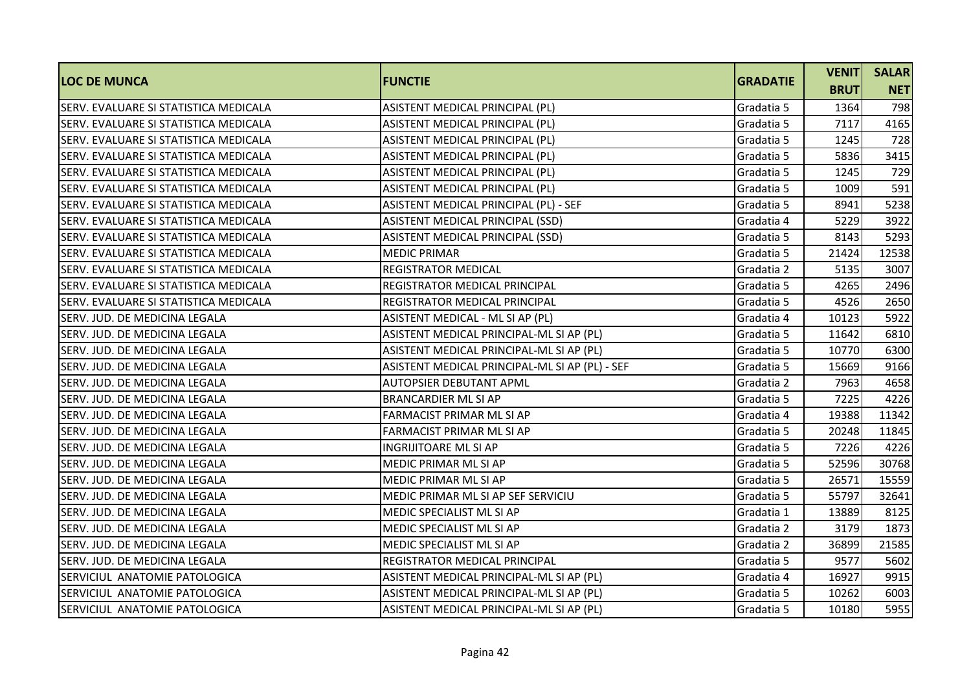|                                       |                                                | <b>GRADATIE</b> | <b>VENIT</b> | <b>SALAR</b> |
|---------------------------------------|------------------------------------------------|-----------------|--------------|--------------|
| <b>LOC DE MUNCA</b>                   | <b>FUNCTIE</b>                                 |                 | <b>BRUT</b>  | <b>NET</b>   |
| SERV. EVALUARE SI STATISTICA MEDICALA | ASISTENT MEDICAL PRINCIPAL (PL)                | Gradatia 5      | 1364         | 798          |
| SERV. EVALUARE SI STATISTICA MEDICALA | ASISTENT MEDICAL PRINCIPAL (PL)                | Gradatia 5      | 7117         | 4165         |
| SERV. EVALUARE SI STATISTICA MEDICALA | ASISTENT MEDICAL PRINCIPAL (PL)                | Gradatia 5      | 1245         | 728          |
| SERV. EVALUARE SI STATISTICA MEDICALA | ASISTENT MEDICAL PRINCIPAL (PL)                | Gradatia 5      | 5836         | 3415         |
| SERV. EVALUARE SI STATISTICA MEDICALA | ASISTENT MEDICAL PRINCIPAL (PL)                | Gradatia 5      | 1245         | 729          |
| SERV. EVALUARE SI STATISTICA MEDICALA | ASISTENT MEDICAL PRINCIPAL (PL)                | Gradatia 5      | 1009         | 591          |
| SERV. EVALUARE SI STATISTICA MEDICALA | ASISTENT MEDICAL PRINCIPAL (PL) - SEF          | Gradatia 5      | 8941         | 5238         |
| SERV. EVALUARE SI STATISTICA MEDICALA | ASISTENT MEDICAL PRINCIPAL (SSD)               | Gradatia 4      | 5229         | 3922         |
| SERV. EVALUARE SI STATISTICA MEDICALA | ASISTENT MEDICAL PRINCIPAL (SSD)               | Gradatia 5      | 8143         | 5293         |
| SERV. EVALUARE SI STATISTICA MEDICALA | <b>MEDIC PRIMAR</b>                            | Gradatia 5      | 21424        | 12538        |
| SERV. EVALUARE SI STATISTICA MEDICALA | <b>REGISTRATOR MEDICAL</b>                     | Gradatia 2      | 5135         | 3007         |
| SERV. EVALUARE SI STATISTICA MEDICALA | <b>REGISTRATOR MEDICAL PRINCIPAL</b>           | Gradatia 5      | 4265         | 2496         |
| SERV. EVALUARE SI STATISTICA MEDICALA | REGISTRATOR MEDICAL PRINCIPAL                  | Gradatia 5      | 4526         | 2650         |
| SERV. JUD. DE MEDICINA LEGALA         | ASISTENT MEDICAL - ML SI AP (PL)               | Gradatia 4      | 10123        | 5922         |
| SERV. JUD. DE MEDICINA LEGALA         | ASISTENT MEDICAL PRINCIPAL-ML SI AP (PL)       | Gradatia 5      | 11642        | 6810         |
| SERV. JUD. DE MEDICINA LEGALA         | ASISTENT MEDICAL PRINCIPAL-ML SI AP (PL)       | Gradatia 5      | 10770        | 6300         |
| SERV. JUD. DE MEDICINA LEGALA         | ASISTENT MEDICAL PRINCIPAL-ML SI AP (PL) - SEF | Gradatia 5      | 15669        | 9166         |
| SERV. JUD. DE MEDICINA LEGALA         | AUTOPSIER DEBUTANT APML                        | Gradatia 2      | 7963         | 4658         |
| SERV. JUD. DE MEDICINA LEGALA         | <b>BRANCARDIER ML SI AP</b>                    | Gradatia 5      | 7225         | 4226         |
| <b>SERV. JUD. DE MEDICINA LEGALA</b>  | FARMACIST PRIMAR ML SI AP                      | Gradatia 4      | 19388        | 11342        |
| SERV. JUD. DE MEDICINA LEGALA         | FARMACIST PRIMAR ML SI AP                      | Gradatia 5      | 20248        | 11845        |
| <b>SERV. JUD. DE MEDICINA LEGALA</b>  | INGRIJITOARE ML SI AP                          | Gradatia 5      | 7226         | 4226         |
| SERV. JUD. DE MEDICINA LEGALA         | MEDIC PRIMAR ML SI AP                          | Gradatia 5      | 52596        | 30768        |
| SERV. JUD. DE MEDICINA LEGALA         | MEDIC PRIMAR ML SI AP                          | Gradatia 5      | 26571        | 15559        |
| SERV. JUD. DE MEDICINA LEGALA         | MEDIC PRIMAR ML SI AP SEF SERVICIU             | Gradatia 5      | 55797        | 32641        |
| SERV. JUD. DE MEDICINA LEGALA         | MEDIC SPECIALIST ML SI AP                      | Gradatia 1      | 13889        | 8125         |
| ISERV. JUD. DE MEDICINA LEGALA        | <b>MEDIC SPECIALIST ML SI AP</b>               | Gradatia 2      | 3179         | 1873         |
| SERV. JUD. DE MEDICINA LEGALA         | MEDIC SPECIALIST ML SI AP                      | Gradatia 2      | 36899        | 21585        |
| SERV. JUD. DE MEDICINA LEGALA         | REGISTRATOR MEDICAL PRINCIPAL                  | Gradatia 5      | 9577         | 5602         |
| SERVICIUL ANATOMIE PATOLOGICA         | ASISTENT MEDICAL PRINCIPAL-ML SI AP (PL)       | Gradatia 4      | 16927        | 9915         |
| SERVICIUL ANATOMIE PATOLOGICA         | ASISTENT MEDICAL PRINCIPAL-ML SI AP (PL)       | Gradatia 5      | 10262        | 6003         |
| SERVICIUL ANATOMIE PATOLOGICA         | ASISTENT MEDICAL PRINCIPAL-ML SI AP (PL)       | Gradatia 5      | 10180        | 5955         |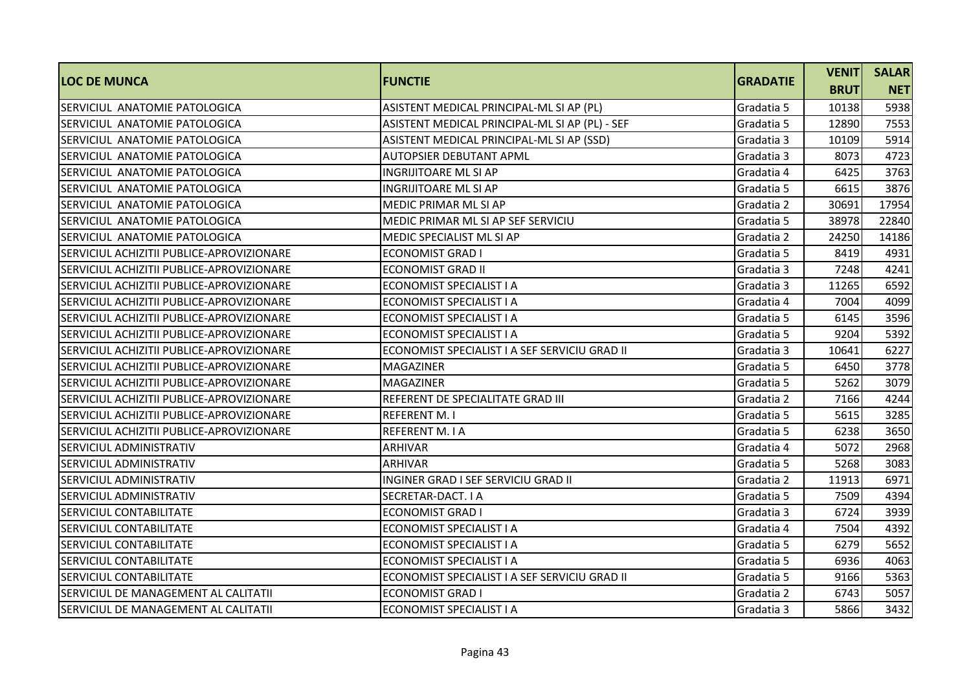| <b>LOC DE MUNCA</b>                       | <b>FUNCTIE</b>                                 | <b>GRADATIE</b> | <b>VENIT</b> | <b>SALAR</b> |
|-------------------------------------------|------------------------------------------------|-----------------|--------------|--------------|
|                                           |                                                |                 | <b>BRUT</b>  | <b>NET</b>   |
| SERVICIUL ANATOMIE PATOLOGICA             | ASISTENT MEDICAL PRINCIPAL-ML SI AP (PL)       | Gradatia 5      | 10138        | 5938         |
| <b>SERVICIUL ANATOMIE PATOLOGICA</b>      | ASISTENT MEDICAL PRINCIPAL-ML SI AP (PL) - SEF | Gradatia 5      | 12890        | 7553         |
| SERVICIUL ANATOMIE PATOLOGICA             | ASISTENT MEDICAL PRINCIPAL-ML SI AP (SSD)      | Gradatia 3      | 10109        | 5914         |
| SERVICIUL ANATOMIE PATOLOGICA             | <b>AUTOPSIER DEBUTANT APML</b>                 | Gradatia 3      | 8073         | 4723         |
| <b>SERVICIUL ANATOMIE PATOLOGICA</b>      | INGRIJITOARE ML SI AP                          | Gradatia 4      | 6425         | 3763         |
| SERVICIUL ANATOMIE PATOLOGICA             | <b>INGRIJITOARE ML SI AP</b>                   | Gradatia 5      | 6615         | 3876         |
| <b>SERVICIUL ANATOMIE PATOLOGICA</b>      | MEDIC PRIMAR ML SI AP                          | Gradatia 2      | 30691        | 17954        |
| SERVICIUL ANATOMIE PATOLOGICA             | MEDIC PRIMAR ML SI AP SEF SERVICIU             | Gradatia 5      | 38978        | 22840        |
| ISERVICIUL ANATOMIE PATOLOGICA            | <b>MEDIC SPECIALIST ML SI AP</b>               | Gradatia 2      | 24250        | 14186        |
| SERVICIUL ACHIZITII PUBLICE-APROVIZIONARE | <b>ECONOMIST GRAD I</b>                        | Gradatia 5      | 8419         | 4931         |
| SERVICIUL ACHIZITII PUBLICE-APROVIZIONARE | <b>ECONOMIST GRAD II</b>                       | Gradatia 3      | 7248         | 4241         |
| SERVICIUL ACHIZITII PUBLICE-APROVIZIONARE | ECONOMIST SPECIALIST I A                       | Gradatia 3      | 11265        | 6592         |
| SERVICIUL ACHIZITII PUBLICE-APROVIZIONARE | ECONOMIST SPECIALIST I A                       | Gradatia 4      | 7004         | 4099         |
| SERVICIUL ACHIZITII PUBLICE-APROVIZIONARE | ECONOMIST SPECIALIST I A                       | Gradatia 5      | 6145         | 3596         |
| SERVICIUL ACHIZITII PUBLICE-APROVIZIONARE | ECONOMIST SPECIALIST I A                       | Gradatia 5      | 9204         | 5392         |
| SERVICIUL ACHIZITII PUBLICE-APROVIZIONARE | ECONOMIST SPECIALIST I A SEF SERVICIU GRAD II  | Gradatia 3      | 10641        | 6227         |
| SERVICIUL ACHIZITII PUBLICE-APROVIZIONARE | <b>MAGAZINER</b>                               | Gradatia 5      | 6450         | 3778         |
| SERVICIUL ACHIZITII PUBLICE-APROVIZIONARE | <b>MAGAZINER</b>                               | Gradatia 5      | 5262         | 3079         |
| SERVICIUL ACHIZITII PUBLICE-APROVIZIONARE | REFERENT DE SPECIALITATE GRAD III              | Gradatia 2      | 7166         | 4244         |
| SERVICIUL ACHIZITII PUBLICE-APROVIZIONARE | <b>REFERENT M.I</b>                            | Gradatia 5      | 5615         | 3285         |
| SERVICIUL ACHIZITII PUBLICE-APROVIZIONARE | <b>REFERENT M. I A</b>                         | Gradatia 5      | 6238         | 3650         |
| SERVICIUL ADMINISTRATIV                   | <b>ARHIVAR</b>                                 | Gradatia 4      | 5072         | 2968         |
| SERVICIUL ADMINISTRATIV                   | <b>ARHIVAR</b>                                 | Gradatia 5      | 5268         | 3083         |
| SERVICIUL ADMINISTRATIV                   | INGINER GRAD I SEF SERVICIU GRAD II            | Gradatia 2      | 11913        | 6971         |
| SERVICIUL ADMINISTRATIV                   | SECRETAR-DACT. I A                             | Gradatia 5      | 7509         | 4394         |
| <b>SERVICIUL CONTABILITATE</b>            | <b>ECONOMIST GRAD I</b>                        | Gradatia 3      | 6724         | 3939         |
| <b>SERVICIUL CONTABILITATE</b>            | ECONOMIST SPECIALIST I A                       | Gradatia 4      | 7504         | 4392         |
| <b>SERVICIUL CONTABILITATE</b>            | ECONOMIST SPECIALIST I A                       | Gradatia 5      | 6279         | 5652         |
| <b>SERVICIUL CONTABILITATE</b>            | ECONOMIST SPECIALIST I A                       | Gradatia 5      | 6936         | 4063         |
| <b>SERVICIUL CONTABILITATE</b>            | ECONOMIST SPECIALIST I A SEF SERVICIU GRAD II  | Gradatia 5      | 9166         | 5363         |
| SERVICIUL DE MANAGEMENT AL CALITATII      | <b>ECONOMIST GRAD I</b>                        | Gradatia 2      | 6743         | 5057         |
| SERVICIUL DE MANAGEMENT AL CALITATII      | ECONOMIST SPECIALIST I A                       | Gradatia 3      | 5866         | 3432         |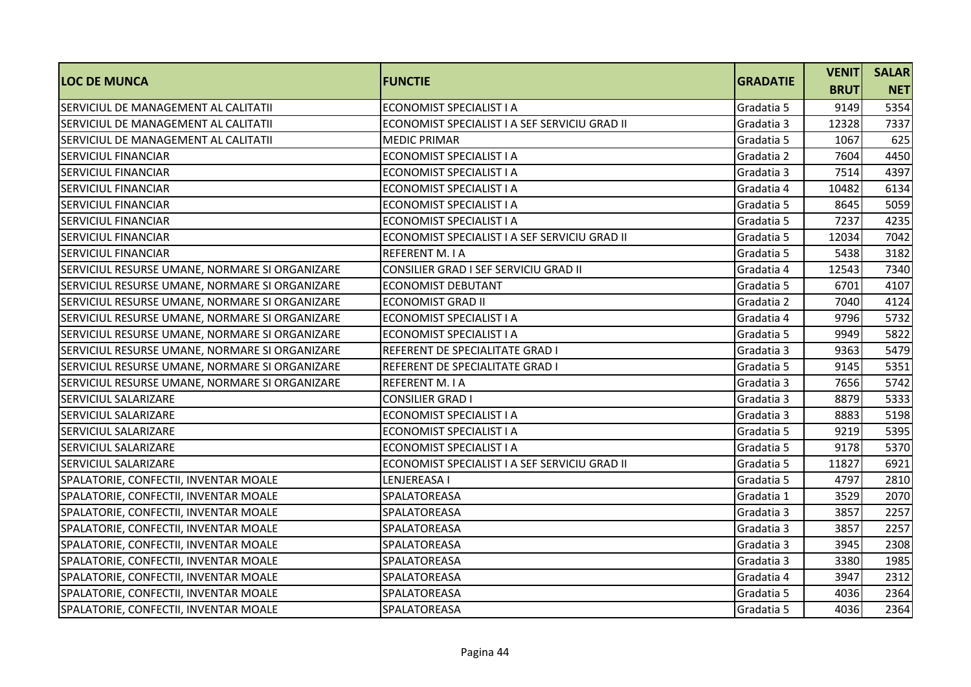| <b>LOC DE MUNCA</b>                            | <b>FUNCTIE</b>                                | <b>GRADATIE</b> | <b>VENIT</b> | <b>SALAR</b> |
|------------------------------------------------|-----------------------------------------------|-----------------|--------------|--------------|
|                                                |                                               |                 | <b>BRUT</b>  | <b>NET</b>   |
| SERVICIUL DE MANAGEMENT AL CALITATII           | ECONOMIST SPECIALIST I A                      | Gradatia 5      | 9149         | 5354         |
| SERVICIUL DE MANAGEMENT AL CALITATII           | ECONOMIST SPECIALIST I A SEF SERVICIU GRAD II | Gradatia 3      | 12328        | 7337         |
| SERVICIUL DE MANAGEMENT AL CALITATII           | <b>MEDIC PRIMAR</b>                           | Gradatia 5      | 1067         | 625          |
| <b>SERVICIUL FINANCIAR</b>                     | <b>ECONOMIST SPECIALIST I A</b>               | Gradatia 2      | 7604         | 4450         |
| <b>SERVICIUL FINANCIAR</b>                     | ECONOMIST SPECIALIST I A                      | Gradatia 3      | 7514         | 4397         |
| <b>SERVICIUL FINANCIAR</b>                     | <b>ECONOMIST SPECIALIST I A</b>               | Gradatia 4      | 10482        | 6134         |
| <b>SERVICIUL FINANCIAR</b>                     | ECONOMIST SPECIALIST I A                      | Gradatia 5      | 8645         | 5059         |
| <b>SERVICIUL FINANCIAR</b>                     | ECONOMIST SPECIALIST I A                      | Gradatia 5      | 7237         | 4235         |
| <b>SERVICIUL FINANCIAR</b>                     | ECONOMIST SPECIALIST I A SEF SERVICIU GRAD II | Gradatia 5      | 12034        | 7042         |
| <b>SERVICIUL FINANCIAR</b>                     | <b>REFERENT M. I A</b>                        | Gradatia 5      | 5438         | 3182         |
| SERVICIUL RESURSE UMANE, NORMARE SI ORGANIZARE | CONSILIER GRAD I SEF SERVICIU GRAD II         | Gradatia 4      | 12543        | 7340         |
| SERVICIUL RESURSE UMANE, NORMARE SI ORGANIZARE | <b>ECONOMIST DEBUTANT</b>                     | Gradatia 5      | 6701         | 4107         |
| SERVICIUL RESURSE UMANE, NORMARE SI ORGANIZARE | <b>ECONOMIST GRAD II</b>                      | Gradatia 2      | 7040         | 4124         |
| SERVICIUL RESURSE UMANE, NORMARE SI ORGANIZARE | ECONOMIST SPECIALIST I A                      | Gradatia 4      | 9796         | 5732         |
| SERVICIUL RESURSE UMANE, NORMARE SI ORGANIZARE | ECONOMIST SPECIALIST I A                      | Gradatia 5      | 9949         | 5822         |
| SERVICIUL RESURSE UMANE, NORMARE SI ORGANIZARE | REFERENT DE SPECIALITATE GRAD I               | Gradatia 3      | 9363         | 5479         |
| SERVICIUL RESURSE UMANE, NORMARE SI ORGANIZARE | REFERENT DE SPECIALITATE GRAD I               | Gradatia 5      | 9145         | 5351         |
| SERVICIUL RESURSE UMANE, NORMARE SI ORGANIZARE | <b>REFERENT M. I A</b>                        | Gradatia 3      | 7656         | 5742         |
| <b>SERVICIUL SALARIZARE</b>                    | <b>CONSILIER GRAD I</b>                       | Gradatia 3      | 8879         | 5333         |
| <b>SERVICIUL SALARIZARE</b>                    | <b>ECONOMIST SPECIALIST I A</b>               | Gradatia 3      | 8883         | 5198         |
| <b>SERVICIUL SALARIZARE</b>                    | ECONOMIST SPECIALIST I A                      | Gradatia 5      | 9219         | 5395         |
| <b>SERVICIUL SALARIZARE</b>                    | ECONOMIST SPECIALIST I A                      | Gradatia 5      | 9178         | 5370         |
| <b>SERVICIUL SALARIZARE</b>                    | ECONOMIST SPECIALIST I A SEF SERVICIU GRAD II | Gradatia 5      | 11827        | 6921         |
| SPALATORIE, CONFECTII, INVENTAR MOALE          | LENJEREASA I                                  | Gradatia 5      | 4797         | 2810         |
| SPALATORIE, CONFECTII, INVENTAR MOALE          | SPALATOREASA                                  | Gradatia 1      | 3529         | 2070         |
| SPALATORIE, CONFECTII, INVENTAR MOALE          | SPALATOREASA                                  | Gradatia 3      | 3857         | 2257         |
| SPALATORIE, CONFECTII, INVENTAR MOALE          | SPALATOREASA                                  | Gradatia 3      | 3857         | 2257         |
| SPALATORIE, CONFECTII, INVENTAR MOALE          | SPALATOREASA                                  | Gradatia 3      | 3945         | 2308         |
| SPALATORIE, CONFECTII, INVENTAR MOALE          | SPALATOREASA                                  | Gradatia 3      | 3380         | 1985         |
| SPALATORIE, CONFECTII, INVENTAR MOALE          | SPALATOREASA                                  | Gradatia 4      | 3947         | 2312         |
| SPALATORIE, CONFECTII, INVENTAR MOALE          | SPALATOREASA                                  | Gradatia 5      | 4036         | 2364         |
| SPALATORIE, CONFECTII, INVENTAR MOALE          | SPALATOREASA                                  | Gradatia 5      | 4036         | 2364         |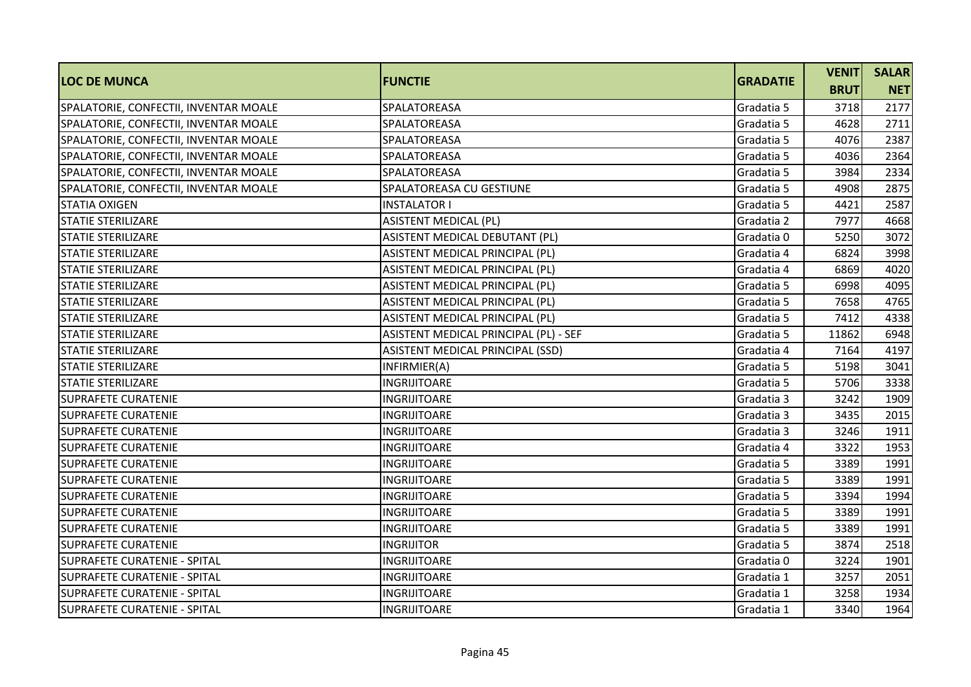| <b>LOC DE MUNCA</b>                   | <b>FUNCTIE</b>                        | <b>GRADATIE</b> | <b>VENIT</b> | <b>SALAR</b> |
|---------------------------------------|---------------------------------------|-----------------|--------------|--------------|
|                                       |                                       |                 | <b>BRUT</b>  | <b>NET</b>   |
| SPALATORIE, CONFECTII, INVENTAR MOALE | SPALATOREASA                          | Gradatia 5      | 3718         | 2177         |
| SPALATORIE, CONFECTII, INVENTAR MOALE | SPALATOREASA                          | Gradatia 5      | 4628         | 2711         |
| SPALATORIE, CONFECTII, INVENTAR MOALE | SPALATOREASA                          | Gradatia 5      | 4076         | 2387         |
| SPALATORIE, CONFECTII, INVENTAR MOALE | SPALATOREASA                          | Gradatia 5      | 4036         | 2364         |
| SPALATORIE, CONFECTII, INVENTAR MOALE | SPALATOREASA                          | Gradatia 5      | 3984         | 2334         |
| SPALATORIE, CONFECTII, INVENTAR MOALE | SPALATOREASA CU GESTIUNE              | Gradatia 5      | 4908         | 2875         |
| <b>STATIA OXIGEN</b>                  | <b>INSTALATOR I</b>                   | Gradatia 5      | 4421         | 2587         |
| <b>STATIE STERILIZARE</b>             | <b>ASISTENT MEDICAL (PL)</b>          | Gradatia 2      | 7977         | 4668         |
| <b>STATIE STERILIZARE</b>             | ASISTENT MEDICAL DEBUTANT (PL)        | Gradatia 0      | 5250         | 3072         |
| <b>STATIE STERILIZARE</b>             | ASISTENT MEDICAL PRINCIPAL (PL)       | Gradatia 4      | 6824         | 3998         |
| <b>STATIE STERILIZARE</b>             | ASISTENT MEDICAL PRINCIPAL (PL)       | Gradatia 4      | 6869         | 4020         |
| <b>STATIE STERILIZARE</b>             | ASISTENT MEDICAL PRINCIPAL (PL)       | Gradatia 5      | 6998         | 4095         |
| <b>STATIE STERILIZARE</b>             | ASISTENT MEDICAL PRINCIPAL (PL)       | Gradatia 5      | 7658         | 4765         |
| <b>STATIE STERILIZARE</b>             | ASISTENT MEDICAL PRINCIPAL (PL)       | Gradatia 5      | 7412         | 4338         |
| <b>STATIE STERILIZARE</b>             | ASISTENT MEDICAL PRINCIPAL (PL) - SEF | Gradatia 5      | 11862        | 6948         |
| ISTATIE STERILIZARE                   | ASISTENT MEDICAL PRINCIPAL (SSD)      | Gradatia 4      | 7164         | 4197         |
| <b>STATIE STERILIZARE</b>             | INFIRMIER(A)                          | Gradatia 5      | 5198         | 3041         |
| <b>STATIE STERILIZARE</b>             | <b>INGRIJITOARE</b>                   | Gradatia 5      | 5706         | 3338         |
| <b>SUPRAFETE CURATENIE</b>            | <b>INGRIJITOARE</b>                   | Gradatia 3      | 3242         | 1909         |
| <b>SUPRAFETE CURATENIE</b>            | <b>INGRIJITOARE</b>                   | Gradatia 3      | 3435         | 2015         |
| <b>SUPRAFETE CURATENIE</b>            | <b>INGRIJITOARE</b>                   | Gradatia 3      | 3246         | 1911         |
| <b>SUPRAFETE CURATENIE</b>            | <b>INGRIJITOARE</b>                   | Gradatia 4      | 3322         | 1953         |
| <b>SUPRAFETE CURATENIE</b>            | <b>INGRIJITOARE</b>                   | Gradatia 5      | 3389         | 1991         |
| <b>SUPRAFETE CURATENIE</b>            | <b>INGRIJITOARE</b>                   | Gradatia 5      | 3389         | 1991         |
| <b>SUPRAFETE CURATENIE</b>            | <b>INGRIJITOARE</b>                   | Gradatia 5      | 3394         | 1994         |
| <b>SUPRAFETE CURATENIE</b>            | <b>INGRIJITOARE</b>                   | Gradatia 5      | 3389         | 1991         |
| <b>SUPRAFETE CURATENIE</b>            | <b>INGRIJITOARE</b>                   | Gradatia 5      | 3389         | 1991         |
| <b>SUPRAFETE CURATENIE</b>            | <b>INGRIJITOR</b>                     | Gradatia 5      | 3874         | 2518         |
| <b>SUPRAFETE CURATENIE - SPITAL</b>   | <b>INGRIJITOARE</b>                   | Gradatia 0      | 3224         | 1901         |
| <b>SUPRAFETE CURATENIE - SPITAL</b>   | INGRIJITOARE                          | Gradatia 1      | 3257         | 2051         |
| <b>SUPRAFETE CURATENIE - SPITAL</b>   | <b>INGRIJITOARE</b>                   | Gradatia 1      | 3258         | 1934         |
| <b>SUPRAFETE CURATENIE - SPITAL</b>   | <b>INGRIJITOARE</b>                   | Gradatia 1      | 3340         | 1964         |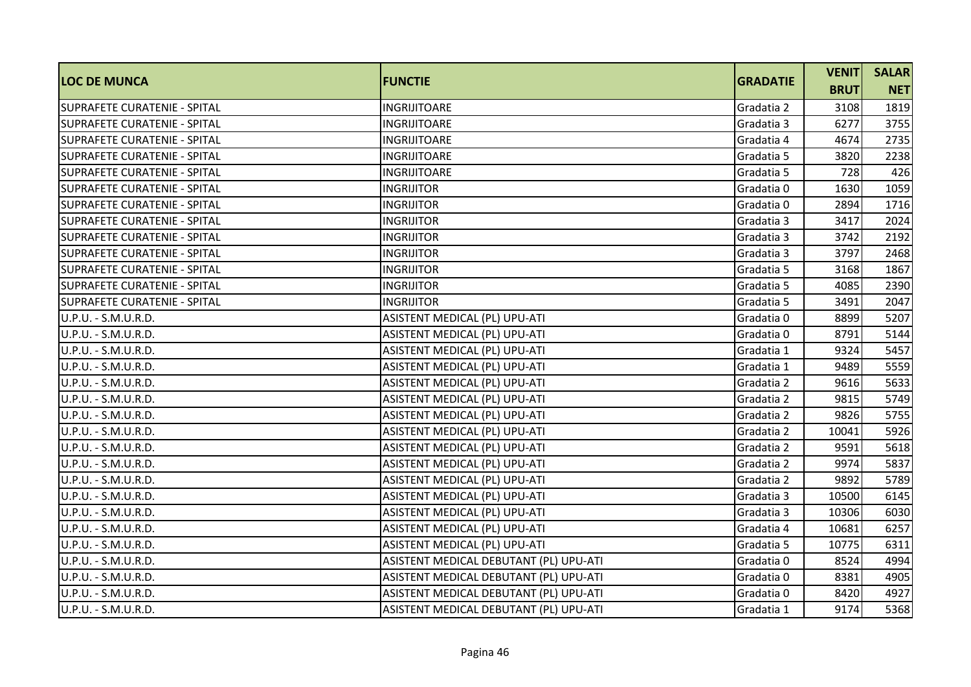| <b>LOC DE MUNCA</b>                 | <b>FUNCTIE</b>                         | <b>GRADATIE</b> | <b>VENIT</b> | <b>SALAR</b> |
|-------------------------------------|----------------------------------------|-----------------|--------------|--------------|
|                                     |                                        |                 | <b>BRUT</b>  | <b>NET</b>   |
| SUPRAFETE CURATENIE - SPITAL        | <b>INGRIJITOARE</b>                    | Gradatia 2      | 3108         | 1819         |
| <b>SUPRAFETE CURATENIE - SPITAL</b> | <b>INGRIJITOARE</b>                    | Gradatia 3      | 6277         | 3755         |
| SUPRAFETE CURATENIE - SPITAL        | <b>INGRIJITOARE</b>                    | Gradatia 4      | 4674         | 2735         |
| SUPRAFETE CURATENIE - SPITAL        | <b>INGRIJITOARE</b>                    | Gradatia 5      | 3820         | 2238         |
| <b>SUPRAFETE CURATENIE - SPITAL</b> | INGRIJITOARE                           | Gradatia 5      | 728          | 426          |
| SUPRAFETE CURATENIE - SPITAL        | <b>INGRIJITOR</b>                      | Gradatia 0      | 1630         | 1059         |
| SUPRAFETE CURATENIE - SPITAL        | <b>INGRIJITOR</b>                      | Gradatia 0      | 2894         | 1716         |
| <b>SUPRAFETE CURATENIE - SPITAL</b> | <b>INGRIJITOR</b>                      | Gradatia 3      | 3417         | 2024         |
| SUPRAFETE CURATENIE - SPITAL        | <b>INGRIJITOR</b>                      | Gradatia 3      | 3742         | 2192         |
| SUPRAFETE CURATENIE - SPITAL        | <b>INGRIJITOR</b>                      | Gradatia 3      | 3797         | 2468         |
| <b>SUPRAFETE CURATENIE - SPITAL</b> | <b>INGRIJITOR</b>                      | Gradatia 5      | 3168         | 1867         |
| SUPRAFETE CURATENIE - SPITAL        | <b>INGRIJITOR</b>                      | Gradatia 5      | 4085         | 2390         |
| <b>SUPRAFETE CURATENIE - SPITAL</b> | <b>INGRIJITOR</b>                      | Gradatia 5      | 3491         | 2047         |
| U.P.U. - S.M.U.R.D.                 | ASISTENT MEDICAL (PL) UPU-ATI          | Gradatia 0      | 8899         | 5207         |
| U.P.U. - S.M.U.R.D.                 | ASISTENT MEDICAL (PL) UPU-ATI          | Gradatia 0      | 8791         | 5144         |
| U.P.U. - S.M.U.R.D.                 | ASISTENT MEDICAL (PL) UPU-ATI          | Gradatia 1      | 9324         | 5457         |
| U.P.U. - S.M.U.R.D.                 | ASISTENT MEDICAL (PL) UPU-ATI          | Gradatia 1      | 9489         | 5559         |
| U.P.U. - S.M.U.R.D.                 | ASISTENT MEDICAL (PL) UPU-ATI          | Gradatia 2      | 9616         | 5633         |
| U.P.U. - S.M.U.R.D.                 | ASISTENT MEDICAL (PL) UPU-ATI          | Gradatia 2      | 9815         | 5749         |
| U.P.U. - S.M.U.R.D.                 | ASISTENT MEDICAL (PL) UPU-ATI          | Gradatia 2      | 9826         | 5755         |
| U.P.U. - S.M.U.R.D.                 | ASISTENT MEDICAL (PL) UPU-ATI          | Gradatia 2      | 10041        | 5926         |
| U.P.U. - S.M.U.R.D.                 | ASISTENT MEDICAL (PL) UPU-ATI          | Gradatia 2      | 9591         | 5618         |
| U.P.U. - S.M.U.R.D.                 | ASISTENT MEDICAL (PL) UPU-ATI          | Gradatia 2      | 9974         | 5837         |
| U.P.U. - S.M.U.R.D.                 | ASISTENT MEDICAL (PL) UPU-ATI          | Gradatia 2      | 9892         | 5789         |
| U.P.U. - S.M.U.R.D.                 | ASISTENT MEDICAL (PL) UPU-ATI          | Gradatia 3      | 10500        | 6145         |
| U.P.U. - S.M.U.R.D.                 | ASISTENT MEDICAL (PL) UPU-ATI          | Gradatia 3      | 10306        | 6030         |
| U.P.U. - S.M.U.R.D.                 | ASISTENT MEDICAL (PL) UPU-ATI          | Gradatia 4      | 10681        | 6257         |
| U.P.U. - S.M.U.R.D.                 | ASISTENT MEDICAL (PL) UPU-ATI          | Gradatia 5      | 10775        | 6311         |
| U.P.U. - S.M.U.R.D.                 | ASISTENT MEDICAL DEBUTANT (PL) UPU-ATI | Gradatia 0      | 8524         | 4994         |
| U.P.U. - S.M.U.R.D.                 | ASISTENT MEDICAL DEBUTANT (PL) UPU-ATI | Gradatia 0      | 8381         | 4905         |
| U.P.U. - S.M.U.R.D.                 | ASISTENT MEDICAL DEBUTANT (PL) UPU-ATI | Gradatia 0      | 8420         | 4927         |
| U.P.U. - S.M.U.R.D.                 | ASISTENT MEDICAL DEBUTANT (PL) UPU-ATI | Gradatia 1      | 9174         | 5368         |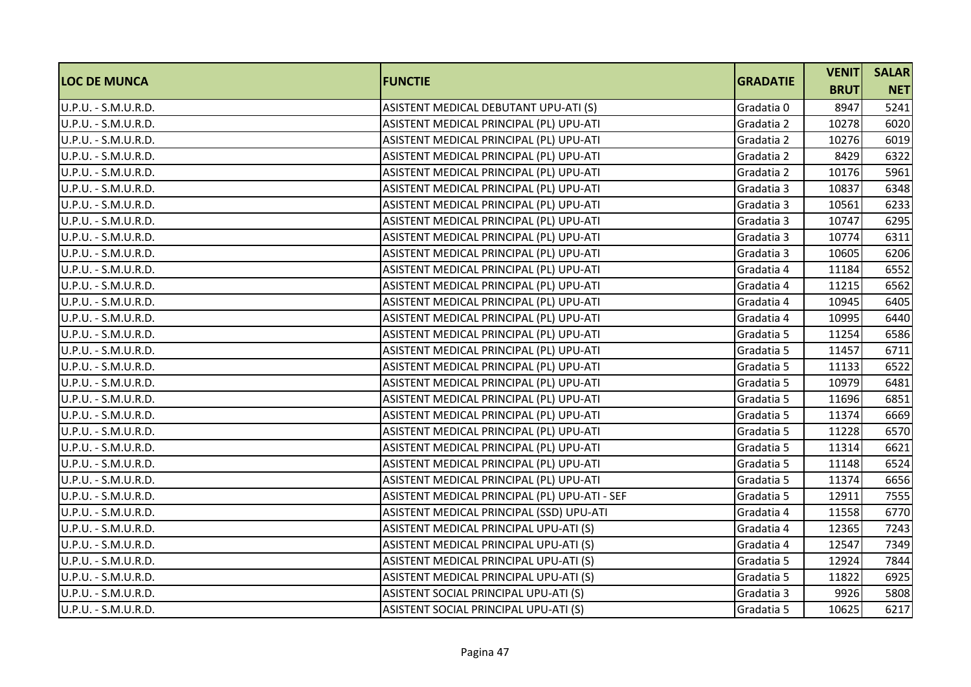| <b>LOC DE MUNCA</b> | <b>FUNCTIE</b>                                | <b>GRADATIE</b> | <b>VENITI</b> | <b>SALAR</b> |
|---------------------|-----------------------------------------------|-----------------|---------------|--------------|
|                     |                                               |                 | <b>BRUT</b>   | <b>NET</b>   |
| U.P.U. - S.M.U.R.D. | ASISTENT MEDICAL DEBUTANT UPU-ATI (S)         | Gradatia 0      | 8947          | 5241         |
| U.P.U. - S.M.U.R.D. | ASISTENT MEDICAL PRINCIPAL (PL) UPU-ATI       | Gradatia 2      | 10278         | 6020         |
| U.P.U. - S.M.U.R.D. | ASISTENT MEDICAL PRINCIPAL (PL) UPU-ATI       | Gradatia 2      | 10276         | 6019         |
| U.P.U. - S.M.U.R.D. | ASISTENT MEDICAL PRINCIPAL (PL) UPU-ATI       | Gradatia 2      | 8429          | 6322         |
| U.P.U. - S.M.U.R.D. | ASISTENT MEDICAL PRINCIPAL (PL) UPU-ATI       | Gradatia 2      | 10176         | 5961         |
| U.P.U. - S.M.U.R.D. | ASISTENT MEDICAL PRINCIPAL (PL) UPU-ATI       | Gradatia 3      | 10837         | 6348         |
| U.P.U. - S.M.U.R.D. | ASISTENT MEDICAL PRINCIPAL (PL) UPU-ATI       | Gradatia 3      | 10561         | 6233         |
| U.P.U. - S.M.U.R.D. | ASISTENT MEDICAL PRINCIPAL (PL) UPU-ATI       | Gradatia 3      | 10747         | 6295         |
| U.P.U. - S.M.U.R.D. | ASISTENT MEDICAL PRINCIPAL (PL) UPU-ATI       | Gradatia 3      | 10774         | 6311         |
| U.P.U. - S.M.U.R.D. | ASISTENT MEDICAL PRINCIPAL (PL) UPU-ATI       | Gradatia 3      | 10605         | 6206         |
| U.P.U. - S.M.U.R.D. | ASISTENT MEDICAL PRINCIPAL (PL) UPU-ATI       | Gradatia 4      | 11184         | 6552         |
| U.P.U. - S.M.U.R.D. | ASISTENT MEDICAL PRINCIPAL (PL) UPU-ATI       | Gradatia 4      | 11215         | 6562         |
| U.P.U. - S.M.U.R.D. | ASISTENT MEDICAL PRINCIPAL (PL) UPU-ATI       | Gradatia 4      | 10945         | 6405         |
| U.P.U. - S.M.U.R.D. | ASISTENT MEDICAL PRINCIPAL (PL) UPU-ATI       | Gradatia 4      | 10995         | 6440         |
| U.P.U. - S.M.U.R.D. | ASISTENT MEDICAL PRINCIPAL (PL) UPU-ATI       | Gradatia 5      | 11254         | 6586         |
| U.P.U. - S.M.U.R.D. | ASISTENT MEDICAL PRINCIPAL (PL) UPU-ATI       | Gradatia 5      | 11457         | 6711         |
| U.P.U. - S.M.U.R.D. | ASISTENT MEDICAL PRINCIPAL (PL) UPU-ATI       | Gradatia 5      | 11133         | 6522         |
| U.P.U. - S.M.U.R.D. | ASISTENT MEDICAL PRINCIPAL (PL) UPU-ATI       | Gradatia 5      | 10979         | 6481         |
| U.P.U. - S.M.U.R.D. | ASISTENT MEDICAL PRINCIPAL (PL) UPU-ATI       | Gradatia 5      | 11696         | 6851         |
| U.P.U. - S.M.U.R.D. | ASISTENT MEDICAL PRINCIPAL (PL) UPU-ATI       | Gradatia 5      | 11374         | 6669         |
| U.P.U. - S.M.U.R.D. | ASISTENT MEDICAL PRINCIPAL (PL) UPU-ATI       | Gradatia 5      | 11228         | 6570         |
| U.P.U. - S.M.U.R.D. | ASISTENT MEDICAL PRINCIPAL (PL) UPU-ATI       | Gradatia 5      | 11314         | 6621         |
| U.P.U. - S.M.U.R.D. | ASISTENT MEDICAL PRINCIPAL (PL) UPU-ATI       | Gradatia 5      | 11148         | 6524         |
| U.P.U. - S.M.U.R.D. | ASISTENT MEDICAL PRINCIPAL (PL) UPU-ATI       | Gradatia 5      | 11374         | 6656         |
| U.P.U. - S.M.U.R.D. | ASISTENT MEDICAL PRINCIPAL (PL) UPU-ATI - SEF | Gradatia 5      | 12911         | 7555         |
| U.P.U. - S.M.U.R.D. | ASISTENT MEDICAL PRINCIPAL (SSD) UPU-ATI      | Gradatia 4      | 11558         | 6770         |
| U.P.U. - S.M.U.R.D. | ASISTENT MEDICAL PRINCIPAL UPU-ATI (S)        | Gradatia 4      | 12365         | 7243         |
| U.P.U. - S.M.U.R.D. | ASISTENT MEDICAL PRINCIPAL UPU-ATI (S)        | Gradatia 4      | 12547         | 7349         |
| U.P.U. - S.M.U.R.D. | ASISTENT MEDICAL PRINCIPAL UPU-ATI (S)        | Gradatia 5      | 12924         | 7844         |
| U.P.U. - S.M.U.R.D. | ASISTENT MEDICAL PRINCIPAL UPU-ATI (S)        | Gradatia 5      | 11822         | 6925         |
| U.P.U. - S.M.U.R.D. | ASISTENT SOCIAL PRINCIPAL UPU-ATI (S)         | Gradatia 3      | 9926          | 5808         |
| U.P.U. - S.M.U.R.D. | ASISTENT SOCIAL PRINCIPAL UPU-ATI (S)         | Gradatia 5      | 10625         | 6217         |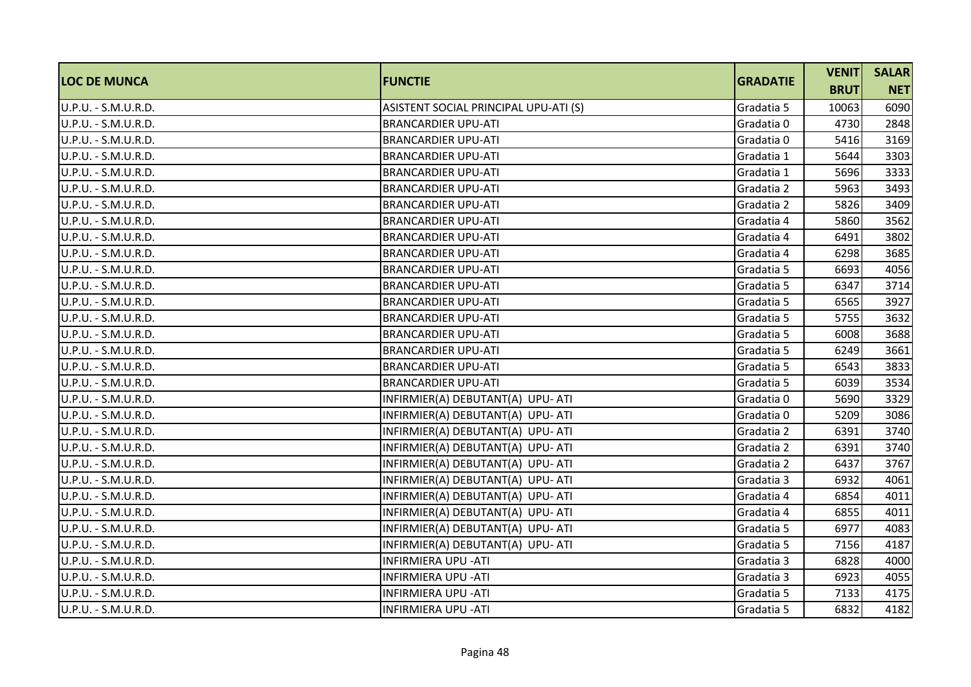| <b>LOC DE MUNCA</b> | <b>FUNCTIE</b>                        | <b>GRADATIE</b> | <b>VENITI</b> | <b>SALAR</b> |
|---------------------|---------------------------------------|-----------------|---------------|--------------|
|                     |                                       |                 | <b>BRUT</b>   | <b>NET</b>   |
| U.P.U. - S.M.U.R.D. | ASISTENT SOCIAL PRINCIPAL UPU-ATI (S) | Gradatia 5      | 10063         | 6090         |
| U.P.U. - S.M.U.R.D. | <b>BRANCARDIER UPU-ATI</b>            | Gradatia 0      | 4730          | 2848         |
| U.P.U. - S.M.U.R.D. | <b>BRANCARDIER UPU-ATI</b>            | Gradatia 0      | 5416          | 3169         |
| U.P.U. - S.M.U.R.D. | <b>BRANCARDIER UPU-ATI</b>            | Gradatia 1      | 5644          | 3303         |
| U.P.U. - S.M.U.R.D. | <b>BRANCARDIER UPU-ATI</b>            | Gradatia 1      | 5696          | 3333         |
| U.P.U. - S.M.U.R.D. | <b>BRANCARDIER UPU-ATI</b>            | Gradatia 2      | 5963          | 3493         |
| U.P.U. - S.M.U.R.D. | <b>BRANCARDIER UPU-ATI</b>            | Gradatia 2      | 5826          | 3409         |
| U.P.U. - S.M.U.R.D. | <b>BRANCARDIER UPU-ATI</b>            | Gradatia 4      | 5860          | 3562         |
| U.P.U. - S.M.U.R.D. | <b>BRANCARDIER UPU-ATI</b>            | Gradatia 4      | 6491          | 3802         |
| U.P.U. - S.M.U.R.D. | <b>BRANCARDIER UPU-ATI</b>            | Gradatia 4      | 6298          | 3685         |
| U.P.U. - S.M.U.R.D. | <b>BRANCARDIER UPU-ATI</b>            | Gradatia 5      | 6693          | 4056         |
| U.P.U. - S.M.U.R.D. | <b>BRANCARDIER UPU-ATI</b>            | Gradatia 5      | 6347          | 3714         |
| U.P.U. - S.M.U.R.D. | <b>BRANCARDIER UPU-ATI</b>            | Gradatia 5      | 6565          | 3927         |
| U.P.U. - S.M.U.R.D. | <b>BRANCARDIER UPU-ATI</b>            | Gradatia 5      | 5755          | 3632         |
| U.P.U. - S.M.U.R.D. | <b>BRANCARDIER UPU-ATI</b>            | Gradatia 5      | 6008          | 3688         |
| U.P.U. - S.M.U.R.D. | <b>BRANCARDIER UPU-ATI</b>            | Gradatia 5      | 6249          | 3661         |
| U.P.U. - S.M.U.R.D. | <b>BRANCARDIER UPU-ATI</b>            | Gradatia 5      | 6543          | 3833         |
| U.P.U. - S.M.U.R.D. | <b>BRANCARDIER UPU-ATI</b>            | Gradatia 5      | 6039          | 3534         |
| U.P.U. - S.M.U.R.D. | INFIRMIER(A) DEBUTANT(A) UPU- ATI     | Gradatia 0      | 5690          | 3329         |
| U.P.U. - S.M.U.R.D. | INFIRMIER(A) DEBUTANT(A) UPU- ATI     | Gradatia 0      | 5209          | 3086         |
| U.P.U. - S.M.U.R.D. | INFIRMIER(A) DEBUTANT(A) UPU- ATI     | Gradatia 2      | 6391          | 3740         |
| U.P.U. - S.M.U.R.D. | INFIRMIER(A) DEBUTANT(A) UPU- ATI     | Gradatia 2      | 6391          | 3740         |
| U.P.U. - S.M.U.R.D. | INFIRMIER(A) DEBUTANT(A) UPU- ATI     | Gradatia 2      | 6437          | 3767         |
| U.P.U. - S.M.U.R.D. | INFIRMIER(A) DEBUTANT(A) UPU- ATI     | Gradatia 3      | 6932          | 4061         |
| U.P.U. - S.M.U.R.D. | INFIRMIER(A) DEBUTANT(A) UPU- ATI     | Gradatia 4      | 6854          | 4011         |
| U.P.U. - S.M.U.R.D. | INFIRMIER(A) DEBUTANT(A) UPU- ATI     | Gradatia 4      | 6855          | 4011         |
| U.P.U. - S.M.U.R.D. | INFIRMIER(A) DEBUTANT(A) UPU- ATI     | Gradatia 5      | 6977          | 4083         |
| U.P.U. - S.M.U.R.D. | INFIRMIER(A) DEBUTANT(A) UPU- ATI     | Gradatia 5      | 7156          | 4187         |
| U.P.U. - S.M.U.R.D. | <b>INFIRMIERA UPU - ATI</b>           | Gradatia 3      | 6828          | 4000         |
| U.P.U. - S.M.U.R.D. | <b>INFIRMIERA UPU - ATI</b>           | Gradatia 3      | 6923          | 4055         |
| U.P.U. - S.M.U.R.D. | <b>INFIRMIERA UPU - ATI</b>           | Gradatia 5      | 7133          | 4175         |
| U.P.U. - S.M.U.R.D. | <b>INFIRMIERA UPU - ATI</b>           | Gradatia 5      | 6832          | 4182         |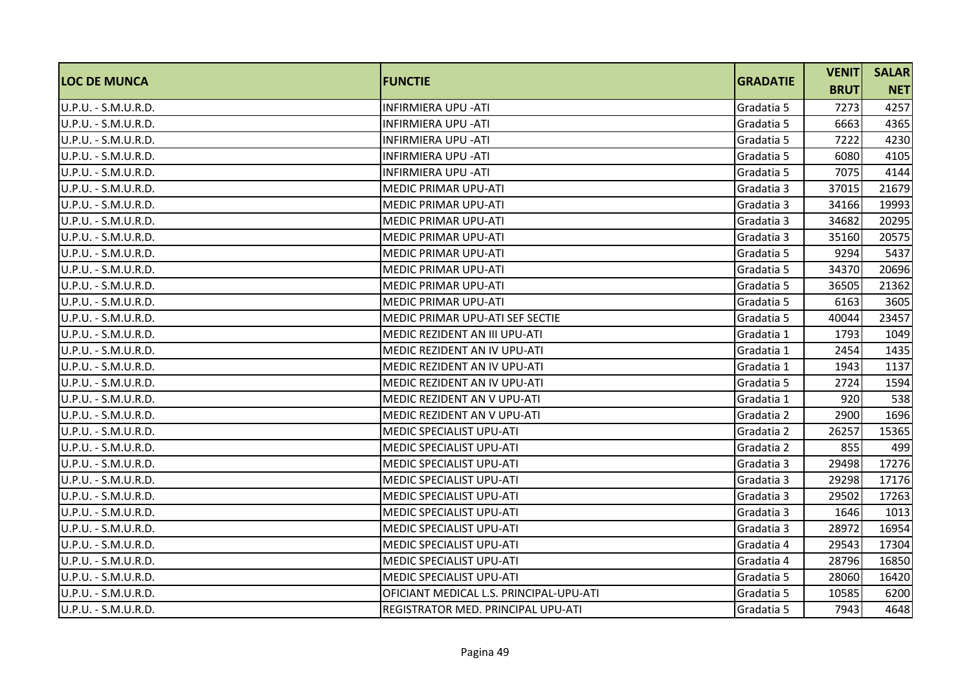| <b>LOC DE MUNCA</b>  | <b>FUNCTIE</b>                          | <b>GRADATIE</b> | <b>VENIT</b> | <b>SALAR</b> |
|----------------------|-----------------------------------------|-----------------|--------------|--------------|
|                      |                                         |                 | <b>BRUT</b>  | <b>NET</b>   |
| U.P.U. - S.M.U.R.D.  | <b>INFIRMIERA UPU - ATI</b>             | Gradatia 5      | 7273         | 4257         |
| IU.P.U. - S.M.U.R.D. | <b>INFIRMIERA UPU -ATI</b>              | Gradatia 5      | 6663         | 4365         |
| U.P.U. - S.M.U.R.D.  | <b>INFIRMIERA UPU - ATI</b>             | Gradatia 5      | 7222         | 4230         |
| U.P.U. - S.M.U.R.D.  | <b>INFIRMIERA UPU - ATI</b>             | Gradatia 5      | 6080         | 4105         |
| U.P.U. - S.M.U.R.D.  | <b>INFIRMIERA UPU - ATI</b>             | Gradatia 5      | 7075         | 4144         |
| U.P.U. - S.M.U.R.D.  | IMEDIC PRIMAR UPU-ATI                   | Gradatia 3      | 37015        | 21679        |
| U.P.U. - S.M.U.R.D.  | <b>MEDIC PRIMAR UPU-ATI</b>             | Gradatia 3      | 34166        | 19993        |
| U.P.U. - S.M.U.R.D.  | <b>MEDIC PRIMAR UPU-ATI</b>             | Gradatia 3      | 34682        | 20295        |
| U.P.U. - S.M.U.R.D.  | <b>MEDIC PRIMAR UPU-ATI</b>             | Gradatia 3      | 35160        | 20575        |
| U.P.U. - S.M.U.R.D.  | <b>MEDIC PRIMAR UPU-ATI</b>             | Gradatia 5      | 9294         | 5437         |
| U.P.U. - S.M.U.R.D.  | <b>MEDIC PRIMAR UPU-ATI</b>             | Gradatia 5      | 34370        | 20696        |
| U.P.U. - S.M.U.R.D.  | <b>MEDIC PRIMAR UPU-ATI</b>             | Gradatia 5      | 36505        | 21362        |
| U.P.U. - S.M.U.R.D.  | <b>MEDIC PRIMAR UPU-ATI</b>             | Gradatia 5      | 6163         | 3605         |
| U.P.U. - S.M.U.R.D.  | MEDIC PRIMAR UPU-ATI SEF SECTIE         | Gradatia 5      | 40044        | 23457        |
| U.P.U. - S.M.U.R.D.  | <b>MEDIC REZIDENT AN III UPU-ATI</b>    | Gradatia 1      | 1793         | 1049         |
| U.P.U. - S.M.U.R.D.  | MEDIC REZIDENT AN IV UPU-ATI            | Gradatia 1      | 2454         | 1435         |
| U.P.U. - S.M.U.R.D.  | IMEDIC REZIDENT AN IV UPU-ATI           | Gradatia 1      | 1943         | 1137         |
| U.P.U. - S.M.U.R.D.  | MEDIC REZIDENT AN IV UPU-ATI            | Gradatia 5      | 2724         | 1594         |
| U.P.U. - S.M.U.R.D.  | <b>MEDIC REZIDENT AN V UPU-ATI</b>      | Gradatia 1      | 920          | 538          |
| U.P.U. - S.M.U.R.D.  | <b>MEDIC REZIDENT AN V UPU-ATI</b>      | Gradatia 2      | 2900         | 1696         |
| U.P.U. - S.M.U.R.D.  | <b>MEDIC SPECIALIST UPU-ATI</b>         | Gradatia 2      | 26257        | 15365        |
| U.P.U. - S.M.U.R.D.  | <b>MEDIC SPECIALIST UPU-ATI</b>         | Gradatia 2      | 855          | 499          |
| U.P.U. - S.M.U.R.D.  | <b>MEDIC SPECIALIST UPU-ATI</b>         | Gradatia 3      | 29498        | 17276        |
| U.P.U. - S.M.U.R.D.  | MEDIC SPECIALIST UPU-ATI                | Gradatia 3      | 29298        | 17176        |
| U.P.U. - S.M.U.R.D.  | <b>MEDIC SPECIALIST UPU-ATI</b>         | Gradatia 3      | 29502        | 17263        |
| U.P.U. - S.M.U.R.D.  | <b>MEDIC SPECIALIST UPU-ATI</b>         | Gradatia 3      | 1646         | 1013         |
| U.P.U. - S.M.U.R.D.  | <b>MEDIC SPECIALIST UPU-ATI</b>         | Gradatia 3      | 28972        | 16954        |
| U.P.U. - S.M.U.R.D.  | IMEDIC SPECIALIST UPU-ATI               | Gradatia 4      | 29543        | 17304        |
| U.P.U. - S.M.U.R.D.  | <b>MEDIC SPECIALIST UPU-ATI</b>         | Gradatia 4      | 28796        | 16850        |
| U.P.U. - S.M.U.R.D.  | <b>MEDIC SPECIALIST UPU-ATI</b>         | Gradatia 5      | 28060        | 16420        |
| U.P.U. - S.M.U.R.D.  | OFICIANT MEDICAL L.S. PRINCIPAL-UPU-ATI | Gradatia 5      | 10585        | 6200         |
| U.P.U. - S.M.U.R.D.  | REGISTRATOR MED. PRINCIPAL UPU-ATI      | Gradatia 5      | 7943         | 4648         |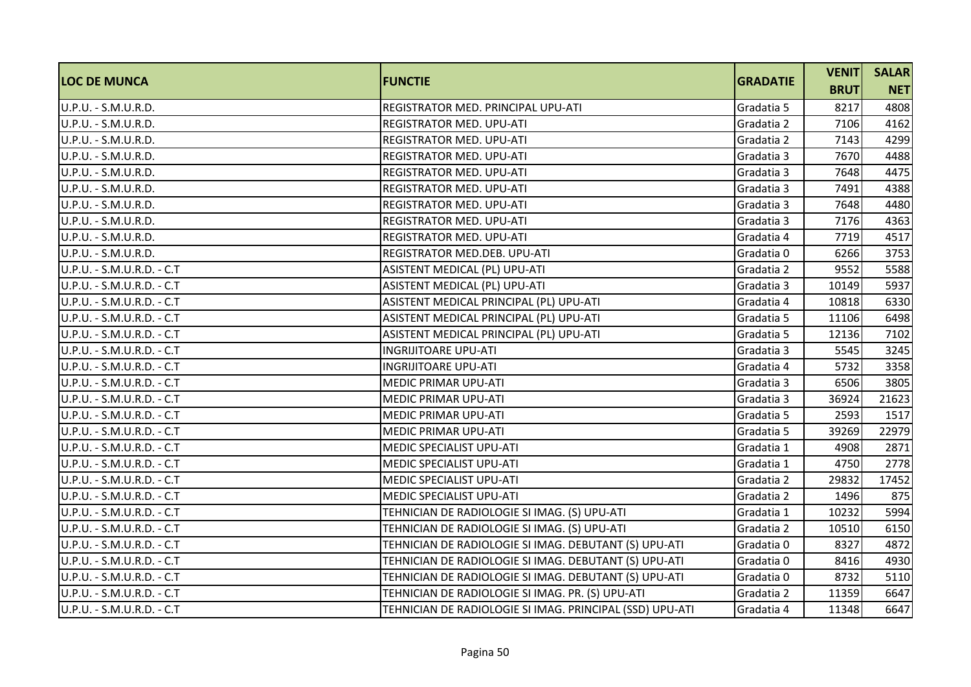| <b>LOC DE MUNCA</b>       | <b>FUNCTIE</b>                                           | <b>GRADATIE</b> | <b>VENIT</b> | <b>SALAR</b> |
|---------------------------|----------------------------------------------------------|-----------------|--------------|--------------|
|                           |                                                          |                 | <b>BRUT</b>  | <b>NET</b>   |
| U.P.U. - S.M.U.R.D.       | REGISTRATOR MED. PRINCIPAL UPU-ATI                       | Gradatia 5      | 8217         | 4808         |
| U.P.U. - S.M.U.R.D.       | <b>REGISTRATOR MED. UPU-ATI</b>                          | Gradatia 2      | 7106         | 4162         |
| U.P.U. - S.M.U.R.D.       | <b>REGISTRATOR MED. UPU-ATI</b>                          | Gradatia 2      | 7143         | 4299         |
| U.P.U. - S.M.U.R.D.       | <b>REGISTRATOR MED. UPU-ATI</b>                          | Gradatia 3      | 7670         | 4488         |
| U.P.U. - S.M.U.R.D.       | <b>REGISTRATOR MED. UPU-ATI</b>                          | Gradatia 3      | 7648         | 4475         |
| U.P.U. - S.M.U.R.D.       | <b>REGISTRATOR MED. UPU-ATI</b>                          | Gradatia 3      | 7491         | 4388         |
| U.P.U. - S.M.U.R.D.       | REGISTRATOR MED. UPU-ATI                                 | Gradatia 3      | 7648         | 4480         |
| U.P.U. - S.M.U.R.D.       | <b>REGISTRATOR MED. UPU-ATI</b>                          | Gradatia 3      | 7176         | 4363         |
| U.P.U. - S.M.U.R.D.       | <b>REGISTRATOR MED. UPU-ATI</b>                          | Gradatia 4      | 7719         | 4517         |
| U.P.U. - S.M.U.R.D.       | REGISTRATOR MED.DEB. UPU-ATI                             | Gradatia 0      | 6266         | 3753         |
| U.P.U. - S.M.U.R.D. - C.T | ASISTENT MEDICAL (PL) UPU-ATI                            | Gradatia 2      | 9552         | 5588         |
| U.P.U. - S.M.U.R.D. - C.T | ASISTENT MEDICAL (PL) UPU-ATI                            | Gradatia 3      | 10149        | 5937         |
| U.P.U. - S.M.U.R.D. - C.T | ASISTENT MEDICAL PRINCIPAL (PL) UPU-ATI                  | Gradatia 4      | 10818        | 6330         |
| U.P.U. - S.M.U.R.D. - C.T | ASISTENT MEDICAL PRINCIPAL (PL) UPU-ATI                  | Gradatia 5      | 11106        | 6498         |
| U.P.U. - S.M.U.R.D. - C.T | ASISTENT MEDICAL PRINCIPAL (PL) UPU-ATI                  | Gradatia 5      | 12136        | 7102         |
| U.P.U. - S.M.U.R.D. - C.T | <b>INGRIJITOARE UPU-ATI</b>                              | Gradatia 3      | 5545         | 3245         |
| U.P.U. - S.M.U.R.D. - C.T | <b>INGRIJITOARE UPU-ATI</b>                              | Gradatia 4      | 5732         | 3358         |
| U.P.U. - S.M.U.R.D. - C.T | <b>MEDIC PRIMAR UPU-ATI</b>                              | Gradatia 3      | 6506         | 3805         |
| U.P.U. - S.M.U.R.D. - C.T | <b>MEDIC PRIMAR UPU-ATI</b>                              | Gradatia 3      | 36924        | 21623        |
| U.P.U. - S.M.U.R.D. - C.T | <b>MEDIC PRIMAR UPU-ATI</b>                              | Gradatia 5      | 2593         | 1517         |
| U.P.U. - S.M.U.R.D. - C.T | <b>MEDIC PRIMAR UPU-ATI</b>                              | Gradatia 5      | 39269        | 22979        |
| U.P.U. - S.M.U.R.D. - C.T | <b>MEDIC SPECIALIST UPU-ATI</b>                          | Gradatia 1      | 4908         | 2871         |
| U.P.U. - S.M.U.R.D. - C.T | MEDIC SPECIALIST UPU-ATI                                 | Gradatia 1      | 4750         | 2778         |
| U.P.U. - S.M.U.R.D. - C.T | MEDIC SPECIALIST UPU-ATI                                 | Gradatia 2      | 29832        | 17452        |
| U.P.U. - S.M.U.R.D. - C.T | MEDIC SPECIALIST UPU-ATI                                 | Gradatia 2      | 1496         | 875          |
| U.P.U. - S.M.U.R.D. - C.T | TEHNICIAN DE RADIOLOGIE SI IMAG. (S) UPU-ATI             | Gradatia 1      | 10232        | 5994         |
| U.P.U. - S.M.U.R.D. - C.T | TEHNICIAN DE RADIOLOGIE SI IMAG. (S) UPU-ATI             | Gradatia 2      | 10510        | 6150         |
| U.P.U. - S.M.U.R.D. - C.T | TEHNICIAN DE RADIOLOGIE SI IMAG. DEBUTANT (S) UPU-ATI    | Gradatia 0      | 8327         | 4872         |
| U.P.U. - S.M.U.R.D. - C.T | TEHNICIAN DE RADIOLOGIE SI IMAG. DEBUTANT (S) UPU-ATI    | Gradatia 0      | 8416         | 4930         |
| U.P.U. - S.M.U.R.D. - C.T | TEHNICIAN DE RADIOLOGIE SI IMAG. DEBUTANT (S) UPU-ATI    | Gradatia 0      | 8732         | 5110         |
| U.P.U. - S.M.U.R.D. - C.T | TEHNICIAN DE RADIOLOGIE SI IMAG. PR. (S) UPU-ATI         | Gradatia 2      | 11359        | 6647         |
| U.P.U. - S.M.U.R.D. - C.T | TEHNICIAN DE RADIOLOGIE SI IMAG. PRINCIPAL (SSD) UPU-ATI | Gradatia 4      | 11348        | 6647         |